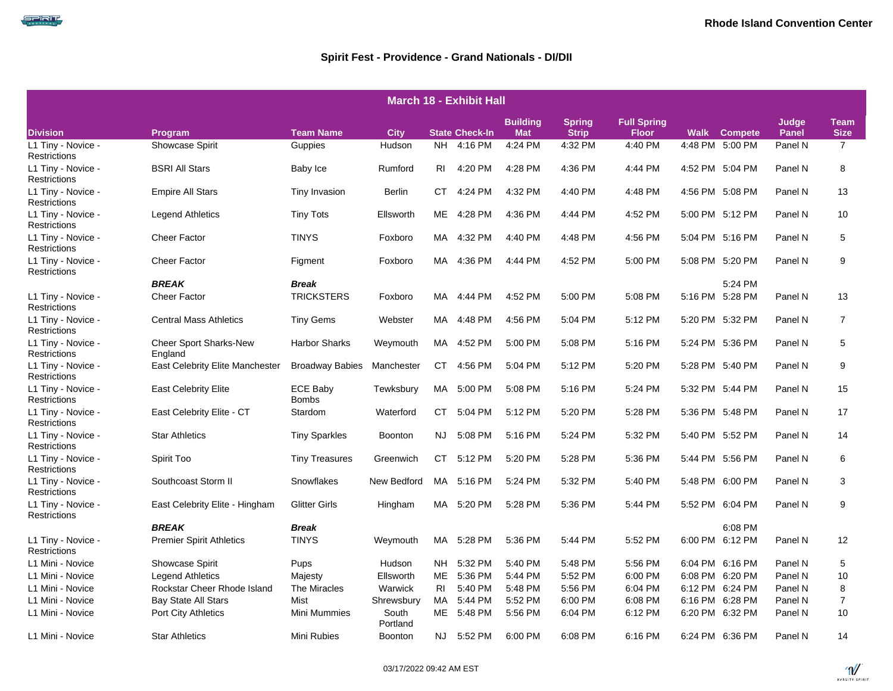| <b>March 18 - Exhibit Hall</b>     |                                          |                                 |                   |                |                       |                               |                               |                                    |             |                 |                       |                            |  |
|------------------------------------|------------------------------------------|---------------------------------|-------------------|----------------|-----------------------|-------------------------------|-------------------------------|------------------------------------|-------------|-----------------|-----------------------|----------------------------|--|
| <b>Division</b>                    | Program                                  | <b>Team Name</b>                | <b>City</b>       |                | <b>State Check-In</b> | <b>Building</b><br><b>Mat</b> | <b>Spring</b><br><b>Strip</b> | <b>Full Spring</b><br><b>Floor</b> | <b>Walk</b> | <b>Compete</b>  | Judge<br><b>Panel</b> | <b>Team</b><br><b>Size</b> |  |
| L1 Tiny - Novice -<br>Restrictions | Showcase Spirit                          | Guppies                         | Hudson            |                | NH 4:16 PM            | 4:24 PM                       | 4:32 PM                       | 4:40 PM                            |             | 4:48 PM 5:00 PM | Panel N               | $\overline{7}$             |  |
| L1 Tiny - Novice -<br>Restrictions | <b>BSRI All Stars</b>                    | Baby Ice                        | Rumford           | RI             | 4:20 PM               | 4:28 PM                       | 4:36 PM                       | 4:44 PM                            |             | 4:52 PM 5:04 PM | Panel N               | 8                          |  |
| L1 Tiny - Novice -<br>Restrictions | <b>Empire All Stars</b>                  | Tiny Invasion                   | Berlin            | СT             | 4:24 PM               | 4:32 PM                       | 4:40 PM                       | 4:48 PM                            |             | 4:56 PM 5:08 PM | Panel N               | 13                         |  |
| L1 Tiny - Novice -<br>Restrictions | <b>Legend Athletics</b>                  | <b>Tiny Tots</b>                | Ellsworth         | ME             | 4:28 PM               | 4:36 PM                       | 4:44 PM                       | 4:52 PM                            |             | 5:00 PM 5:12 PM | Panel N               | 10                         |  |
| L1 Tiny - Novice -<br>Restrictions | <b>Cheer Factor</b>                      | <b>TINYS</b>                    | Foxboro           | MA             | 4:32 PM               | 4:40 PM                       | 4:48 PM                       | 4:56 PM                            |             | 5:04 PM 5:16 PM | Panel N               | 5                          |  |
| L1 Tiny - Novice -<br>Restrictions | <b>Cheer Factor</b>                      | Figment                         | Foxboro           |                | MA 4:36 PM            | 4:44 PM                       | 4:52 PM                       | 5:00 PM                            |             | 5:08 PM 5:20 PM | Panel N               | 9                          |  |
|                                    | <b>BREAK</b>                             | <b>Break</b>                    |                   |                |                       |                               |                               |                                    |             | 5:24 PM         |                       |                            |  |
| L1 Tiny - Novice -<br>Restrictions | <b>Cheer Factor</b>                      | <b>TRICKSTERS</b>               | Foxboro           | MA.            | 4:44 PM               | 4:52 PM                       | 5:00 PM                       | 5:08 PM                            |             | 5:16 PM 5:28 PM | Panel N               | 13                         |  |
| L1 Tiny - Novice -<br>Restrictions | <b>Central Mass Athletics</b>            | <b>Tiny Gems</b>                | Webster           |                | MA 4:48 PM            | 4:56 PM                       | 5:04 PM                       | 5:12 PM                            |             | 5:20 PM 5:32 PM | Panel N               | $\overline{7}$             |  |
| L1 Tiny - Novice -<br>Restrictions | <b>Cheer Sport Sharks-New</b><br>England | Harbor Sharks                   | Weymouth          |                | MA 4:52 PM            | 5:00 PM                       | 5:08 PM                       | 5:16 PM                            |             | 5:24 PM 5:36 PM | Panel N               | 5                          |  |
| L1 Tiny - Novice -<br>Restrictions | <b>East Celebrity Elite Manchester</b>   | <b>Broadway Babies</b>          | Manchester        | CT             | 4:56 PM               | 5:04 PM                       | 5:12 PM                       | 5:20 PM                            |             | 5:28 PM 5:40 PM | Panel N               | 9                          |  |
| L1 Tiny - Novice -<br>Restrictions | <b>East Celebrity Elite</b>              | <b>ECE Baby</b><br><b>Bombs</b> | Tewksbury         | MA             | 5:00 PM               | 5:08 PM                       | 5:16 PM                       | 5:24 PM                            |             | 5:32 PM 5:44 PM | Panel N               | 15                         |  |
| L1 Tiny - Novice -<br>Restrictions | East Celebrity Elite - CT                | Stardom                         | Waterford         | CT             | 5:04 PM               | 5:12 PM                       | 5:20 PM                       | 5:28 PM                            |             | 5:36 PM 5:48 PM | Panel N               | 17                         |  |
| L1 Tiny - Novice -<br>Restrictions | <b>Star Athletics</b>                    | <b>Tiny Sparkles</b>            | Boonton           | NJ.            | 5:08 PM               | 5:16 PM                       | 5:24 PM                       | 5:32 PM                            |             | 5:40 PM 5:52 PM | Panel N               | 14                         |  |
| L1 Tiny - Novice -<br>Restrictions | Spirit Too                               | <b>Tiny Treasures</b>           | Greenwich         | CT             | 5:12 PM               | 5:20 PM                       | 5:28 PM                       | 5:36 PM                            |             | 5:44 PM 5:56 PM | Panel N               | 6                          |  |
| L1 Tiny - Novice -<br>Restrictions | Southcoast Storm II                      | Snowflakes                      | New Bedford       |                | MA 5:16 PM            | 5:24 PM                       | 5:32 PM                       | 5:40 PM                            |             | 5:48 PM 6:00 PM | Panel N               | 3                          |  |
| L1 Tiny - Novice -<br>Restrictions | East Celebrity Elite - Hingham           | <b>Glitter Girls</b>            | Hingham           |                | MA 5:20 PM            | 5:28 PM                       | 5:36 PM                       | 5:44 PM                            |             | 5:52 PM 6:04 PM | Panel N               | 9                          |  |
|                                    | <b>BREAK</b>                             | <b>Break</b>                    |                   |                |                       |                               |                               |                                    |             | 6:08 PM         |                       |                            |  |
| L1 Tiny - Novice -<br>Restrictions | <b>Premier Spirit Athletics</b>          | <b>TINYS</b>                    | Weymouth          | MA.            | 5:28 PM               | 5:36 PM                       | 5:44 PM                       | 5:52 PM                            |             | 6:00 PM 6:12 PM | Panel N               | 12                         |  |
| L1 Mini - Novice                   | <b>Showcase Spirit</b>                   | <b>Pups</b>                     | Hudson            | <b>NH</b>      | 5:32 PM               | 5:40 PM                       | 5:48 PM                       | 5:56 PM                            |             | 6:04 PM 6:16 PM | Panel N               | 5                          |  |
| L1 Mini - Novice                   | <b>Legend Athletics</b>                  | Majesty                         | Ellsworth         | ME             | 5:36 PM               | 5:44 PM                       | 5:52 PM                       | 6:00 PM                            |             | 6:08 PM 6:20 PM | Panel N               | 10                         |  |
| L1 Mini - Novice                   | Rockstar Cheer Rhode Island              | The Miracles                    | Warwick           | R <sub>l</sub> | 5:40 PM               | 5:48 PM                       | 5:56 PM                       | 6:04 PM                            |             | 6:12 PM 6:24 PM | Panel N               | 8                          |  |
| L1 Mini - Novice                   | <b>Bay State All Stars</b>               | Mist                            | Shrewsbury        | MA             | 5:44 PM               | 5:52 PM                       | 6:00 PM                       | 6:08 PM                            |             | 6:16 PM 6:28 PM | Panel N               | $\overline{7}$             |  |
| L1 Mini - Novice                   | <b>Port City Athletics</b>               | Mini Mummies                    | South<br>Portland | ME             | 5:48 PM               | 5:56 PM                       | 6:04 PM                       | 6:12 PM                            |             | 6:20 PM 6:32 PM | Panel N               | 10                         |  |
| L1 Mini - Novice                   | <b>Star Athletics</b>                    | Mini Rubies                     | <b>Boonton</b>    | NJ -           | 5:52 PM               | 6:00 PM                       | 6:08 PM                       | 6:16 PM                            |             | 6:24 PM 6:36 PM | Panel N               | 14                         |  |

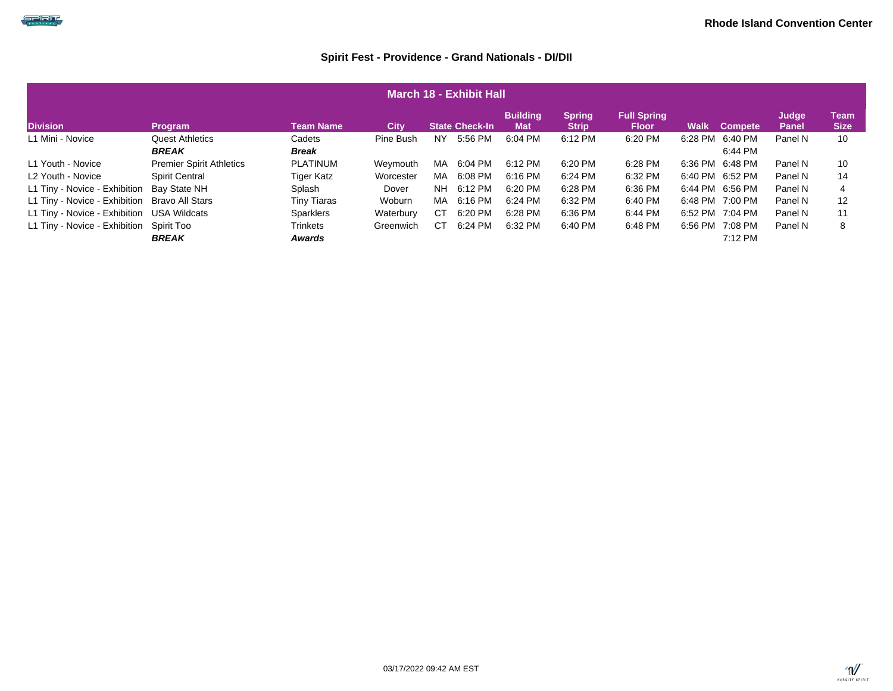## كالحاصب

| March 18 - Exhibit Hall                                                                                                                                                                                                                           |                                        |                           |           |           |         |           |         |         |         |                    |         |    |  |  |
|---------------------------------------------------------------------------------------------------------------------------------------------------------------------------------------------------------------------------------------------------|----------------------------------------|---------------------------|-----------|-----------|---------|-----------|---------|---------|---------|--------------------|---------|----|--|--|
| <b>Building</b><br><b>Full Spring</b><br><b>Spring</b><br>Judge<br><b>Division</b><br><b>Team Name</b><br><b>State Check-In</b><br><b>City</b><br><b>Mat</b><br>Walk<br><b>Strip</b><br><b>Floor</b><br>Panel<br><b>Program</b><br><b>Compete</b> |                                        |                           |           |           |         |           |         |         |         |                    |         |    |  |  |
| L1 Mini - Novice                                                                                                                                                                                                                                  | <b>Quest Athletics</b><br><b>BREAK</b> | Cadets<br><b>Break</b>    | Pine Bush | NY.       | 5:56 PM | 6:04 PM   | 6:12 PM | 6:20 PM | 6:28 PM | 6:40 PM<br>6:44 PM | Panel N | 10 |  |  |
| L1 Youth - Novice                                                                                                                                                                                                                                 | <b>Premier Spirit Athletics</b>        | PLATINUM                  | Weymouth  | MA.       | 6:04 PM | 6:12 PM   | 6:20 PM | 6:28 PM | 6:36 PM | 6:48 PM            | Panel N | 10 |  |  |
| L2 Youth - Novice                                                                                                                                                                                                                                 | <b>Spirit Central</b>                  | Tiger Katz                | Worcester | MA        | 6:08 PM | 6:16 PM   | 6:24 PM | 6:32 PM | 6:40 PM | 6:52 PM            | Panel N | 14 |  |  |
| L1 Tiny - Novice - Exhibition                                                                                                                                                                                                                     | Bav State NH                           | Splash                    | Dover     | <b>NH</b> | 6:12 PM | $6:20$ PM | 6:28 PM | 6:36 PM | 6:44 PM | 6:56 PM            | Panel N | 4  |  |  |
| L1 Tiny - Novice - Exhibition                                                                                                                                                                                                                     | Bravo All Stars                        | <b>Tiny Tiaras</b>        | Woburn    | MA.       | 6:16 PM | 6:24 PM   | 6:32 PM | 6:40 PM | 6:48 PM | 7:00 PM            | Panel N | 12 |  |  |
| L1 Tiny - Novice - Exhibition                                                                                                                                                                                                                     | USA Wildcats                           | <b>Sparklers</b>          | Waterbury | СT        | 6:20 PM | 6:28 PM   | 6:36 PM | 6:44 PM | 6:52 PM | 7:04 PM            | Panel N | 11 |  |  |
| L1 Tiny - Novice - Exhibition                                                                                                                                                                                                                     | Spirit Too<br><b>BREAK</b>             | <b>Trinkets</b><br>Awards | Greenwich | СT        | 6:24 PM | 6:32 PM   | 6:40 PM | 6:48 PM | 6:56 PM | 7:08 PM<br>7:12 PM | Panel N | 8  |  |  |

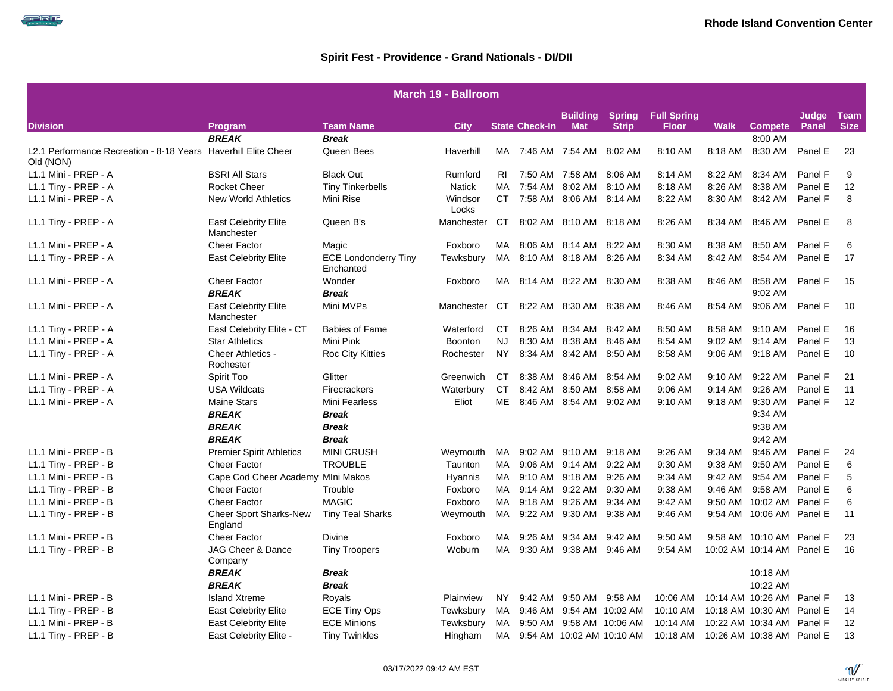| <b>March 19 - Ballroom</b>                                                  |                                           |                                          |                  |                |                       |                            |                  |              |             |                           |         |             |  |
|-----------------------------------------------------------------------------|-------------------------------------------|------------------------------------------|------------------|----------------|-----------------------|----------------------------|------------------|--------------|-------------|---------------------------|---------|-------------|--|
| <b>Spring Full Spring</b><br><b>Building</b><br>Judge<br>Team               |                                           |                                          |                  |                |                       |                            |                  |              |             |                           |         |             |  |
| <b>Division</b>                                                             | Program                                   | Team Name                                | <b>City</b>      |                | <b>State Check-In</b> | <b>Mat</b>                 | <b>Strip</b>     | <b>Floor</b> | <b>Walk</b> | <b>Compete</b>            | Panel   | <b>Size</b> |  |
|                                                                             | <b>BREAK</b>                              | <b>Break</b>                             |                  |                |                       |                            |                  |              |             | 8:00 AM                   |         |             |  |
| L2.1 Performance Recreation - 8-18 Years Haverhill Elite Cheer<br>Old (NON) |                                           | Queen Bees                               | Haverhill        | MA             |                       | 7:46 AM 7:54 AM            | 8:02 AM          | 8:10 AM      | 8:18 AM     | 8:30 AM                   | Panel E | 23          |  |
| L1.1 Mini - PREP - A                                                        | <b>BSRI All Stars</b>                     | <b>Black Out</b>                         | Rumford          | R <sub>1</sub> |                       | 7:50 AM 7:58 AM            | 8:06 AM          | 8:14 AM      | 8:22 AM     | 8:34 AM                   | Panel F | 9           |  |
| L1.1 Tiny - PREP - A                                                        | <b>Rocket Cheer</b>                       | <b>Tiny Tinkerbells</b>                  | <b>Natick</b>    | MA.            |                       | 7:54 AM 8:02 AM            | 8:10 AM          | 8:18 AM      | 8:26 AM     | 8:38 AM                   | Panel E | 12          |  |
| L1.1 Mini - PREP - A                                                        | <b>New World Athletics</b>                | Mini Rise                                | Windsor<br>Locks |                |                       | CT 7:58 AM 8:06 AM 8:14 AM |                  | 8:22 AM      | 8:30 AM     | 8:42 AM                   | Panel F | 8           |  |
| L1.1 Tiny - PREP - A                                                        | <b>East Celebrity Elite</b><br>Manchester | Queen B's                                | Manchester       | CT.            |                       | 8:02 AM 8:10 AM 8:18 AM    |                  | 8:26 AM      | 8:34 AM     | 8:46 AM                   | Panel E | 8           |  |
| L1.1 Mini - PREP - A                                                        | <b>Cheer Factor</b>                       | Magic                                    | Foxboro          | MA             |                       | 8:06 AM 8:14 AM 8:22 AM    |                  | 8:30 AM      | 8:38 AM     | 8:50 AM                   | Panel F | 6           |  |
| L1.1 Tiny - PREP - A                                                        | <b>East Celebrity Elite</b>               | <b>ECE Londonderry Tiny</b><br>Enchanted | Tewksbury        | МA             |                       | 8:10 AM 8:18 AM            | 8:26 AM          | 8:34 AM      | 8:42 AM     | 8:54 AM                   | Panel E | 17          |  |
| L1.1 Mini - PREP - A                                                        | <b>Cheer Factor</b><br><b>BREAK</b>       | Wonder<br><b>Break</b>                   | Foxboro          | MA.            |                       | 8:14 AM 8:22 AM 8:30 AM    |                  | 8:38 AM      | 8:46 AM     | 8:58 AM<br>9:02 AM        | Panel F | 15          |  |
| L1.1 Mini - PREP - A                                                        | <b>East Celebrity Elite</b><br>Manchester | Mini MVPs                                | Manchester       | CT             |                       | 8:22 AM 8:30 AM 8:38 AM    |                  | 8:46 AM      | 8:54 AM     | 9:06 AM                   | Panel F | 10          |  |
| L1.1 Tiny - PREP - A                                                        | East Celebrity Elite - CT                 | <b>Babies of Fame</b>                    | Waterford        | <b>CT</b>      |                       | 8:26 AM 8:34 AM            | 8:42 AM          | 8:50 AM      | 8:58 AM     | 9:10 AM                   | Panel E | 16          |  |
| L1.1 Mini - PREP - A                                                        | <b>Star Athletics</b>                     | Mini Pink                                | <b>Boonton</b>   | <b>NJ</b>      |                       | 8:30 AM 8:38 AM            | 8:46 AM          | 8:54 AM      | 9:02 AM     | 9:14 AM                   | Panel F | 13          |  |
| L1.1 Tiny - PREP - A                                                        | Cheer Athletics -<br>Rochester            | <b>Roc City Kitties</b>                  | Rochester        | <b>NY</b>      | 8:34 AM               | 8:42 AM                    | 8:50 AM          | 8:58 AM      | 9:06 AM     | 9:18 AM                   | Panel E | 10          |  |
| L1.1 Mini - PREP - A                                                        | Spirit Too                                | Glitter                                  | Greenwich        | CT             |                       | 8:38 AM 8:46 AM            | 8:54 AM          | 9:02 AM      | 9:10 AM     | 9:22 AM                   | Panel F | 21          |  |
| L1.1 Tiny - PREP - A                                                        | <b>USA Wildcats</b>                       | Firecrackers                             | Waterbury        | <b>CT</b>      |                       | 8:42 AM 8:50 AM            | 8:58 AM          | 9:06 AM      | $9:14$ AM   | $9:26$ AM                 | Panel E | 11          |  |
| L1.1 Mini - PREP - A                                                        | <b>Maine Stars</b>                        | Mini Fearless                            | Eliot            | ME.            |                       | 8:46 AM 8:54 AM            | $9:02$ AM        | 9:10 AM      | 9:18 AM     | 9:30 AM                   | Panel F | 12          |  |
|                                                                             | <b>BREAK</b>                              | <b>Break</b>                             |                  |                |                       |                            |                  |              |             | 9:34 AM                   |         |             |  |
|                                                                             | <b>BREAK</b>                              | <b>Break</b>                             |                  |                |                       |                            |                  |              |             | 9:38 AM                   |         |             |  |
|                                                                             | <b>BREAK</b>                              | Break                                    |                  |                |                       |                            |                  |              |             | 9:42 AM                   |         |             |  |
| L1.1 Mini - PREP - B                                                        | <b>Premier Spirit Athletics</b>           | <b>MINI CRUSH</b>                        | Weymouth         | MA             |                       | 9:02 AM 9:10 AM            | 9:18 AM          | 9:26 AM      | 9:34 AM     | 9:46 AM                   | Panel F | 24          |  |
| L1.1 Tiny - PREP - B                                                        | <b>Cheer Factor</b>                       | <b>TROUBLE</b>                           | Taunton          | MA             |                       | 9:06 AM 9:14 AM            | 9:22 AM          | 9:30 AM      | 9:38 AM     | 9:50 AM                   | Panel E | 6           |  |
| L1.1 Mini - PREP - B                                                        | Cape Cod Cheer Academy MIni Makos         |                                          | Hyannis          | МA             |                       | 9:10 AM 9:18 AM            | 9:26 AM          | 9:34 AM      | 9:42 AM     | 9:54 AM                   | Panel F | 5           |  |
| L1.1 Tiny - PREP - B                                                        | <b>Cheer Factor</b>                       | Trouble                                  | Foxboro          | MA             |                       | 9:14 AM 9:22 AM            | 9:30 AM          | 9:38 AM      | $9:46$ AM   | 9:58 AM                   | Panel E | 6           |  |
| L1.1 Mini - PREP - B                                                        | <b>Cheer Factor</b>                       | <b>MAGIC</b>                             | Foxboro          | MA.            | 9:18 AM               | 9:26 AM                    | 9:34 AM          | 9:42 AM      | 9:50 AM     | 10:02 AM                  | Panel F | 6           |  |
| L1.1 Tiny - PREP - B                                                        | <b>Cheer Sport Sharks-New</b><br>England  | <b>Tiny Teal Sharks</b>                  | Weymouth         | MA             |                       | 9:22 AM 9:30 AM            | 9:38 AM          | 9:46 AM      |             | 9:54 AM 10:06 AM Panel E  |         | 11          |  |
| L1.1 Mini - PREP - B                                                        | <b>Cheer Factor</b>                       | <b>Divine</b>                            | Foxboro          | MA             | 9:26 AM               | 9:34 AM                    | 9:42 AM          | 9:50 AM      |             | 9:58 AM 10:10 AM Panel F  |         | 23          |  |
| L1.1 Tiny - PREP - B                                                        | JAG Cheer & Dance<br>Company              | <b>Tiny Troopers</b>                     | Woburn           | MA             |                       | 9:30 AM 9:38 AM            | 9:46 AM          | 9:54 AM      |             | 10:02 AM 10:14 AM Panel E |         | 16          |  |
|                                                                             | <b>BREAK</b>                              | Break                                    |                  |                |                       |                            |                  |              |             | 10:18 AM                  |         |             |  |
|                                                                             | <b>BREAK</b>                              | <b>Break</b>                             |                  |                |                       |                            |                  |              |             | 10:22 AM                  |         |             |  |
| L1.1 Mini - PREP - B                                                        | <b>Island Xtreme</b>                      | Royals                                   | Plainview        | NY.            | 9:42 AM               | 9:50 AM                    | 9:58 AM          | 10:06 AM     |             | 10:14 AM 10:26 AM         | Panel F | 13          |  |
| L1.1 Tiny - PREP - B                                                        | <b>East Celebrity Elite</b>               | <b>ECE Tiny Ops</b>                      | Tewksbury        | МA             | 9:46 AM               | 9:54 AM 10:02 AM           |                  | 10:10 AM     |             | 10:18 AM 10:30 AM Panel E |         | 14          |  |
| L1.1 Mini - PREP - B                                                        | <b>East Celebrity Elite</b>               | <b>ECE Minions</b>                       | Tewksbury        | МA             | 9:50 AM               |                            | 9:58 AM 10:06 AM | 10:14 AM     |             | 10:22 AM 10:34 AM         | Panel F | 12          |  |
| L1.1 Tiny - PREP - B                                                        | East Celebrity Elite -                    | <b>Tiny Twinkles</b>                     | Hingham          | MA             |                       | 9:54 AM 10:02 AM 10:10 AM  |                  | 10:18 AM     |             | 10:26 AM 10:38 AM Panel E |         | 13          |  |

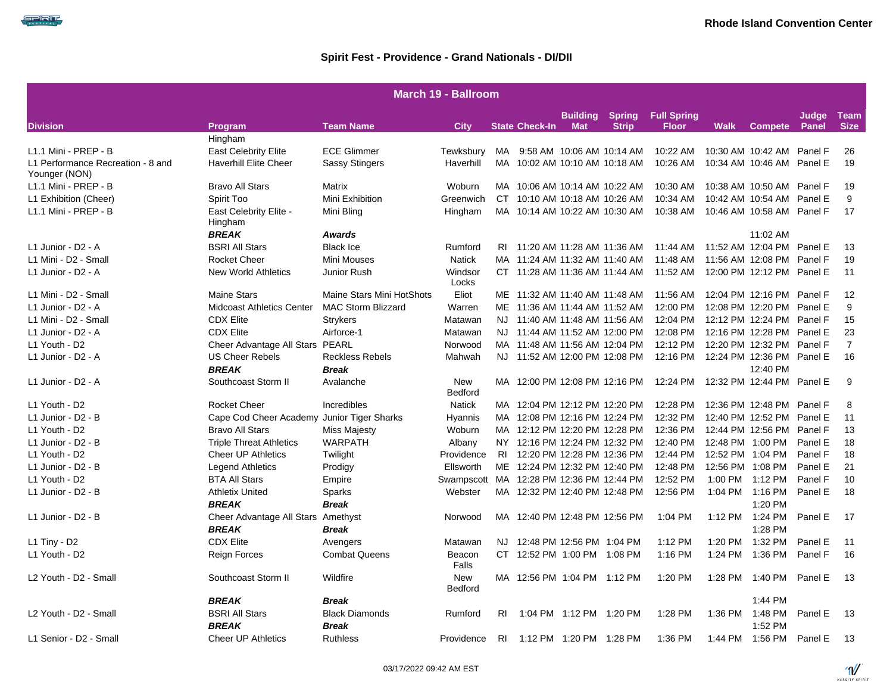|                                                    |                                   |                           | <b>March 19 - Ballroom</b>               |           |                               |                         |               |                    |             |                           |         |                |
|----------------------------------------------------|-----------------------------------|---------------------------|------------------------------------------|-----------|-------------------------------|-------------------------|---------------|--------------------|-------------|---------------------------|---------|----------------|
|                                                    |                                   |                           |                                          |           |                               | <b>Building</b>         | <b>Spring</b> | <b>Full Spring</b> |             |                           | Judge   | <b>Team</b>    |
| <b>Division</b>                                    | Program                           | <b>Team Name</b>          | <b>City</b>                              |           | <b>State Check-In</b>         | <b>Mat</b>              | <b>Strip</b>  | <b>Floor</b>       | <b>Walk</b> | <b>Compete</b>            | Panel   | <b>Size</b>    |
|                                                    | Hingham                           |                           |                                          |           |                               |                         |               |                    |             |                           |         |                |
| L1.1 Mini - PREP - B                               | <b>East Celebrity Elite</b>       | <b>ECE Glimmer</b>        | Tewksbury                                |           | MA 9:58 AM 10:06 AM 10:14 AM  |                         |               | 10:22 AM           |             | 10:30 AM 10:42 AM         | Panel F | 26             |
| L1 Performance Recreation - 8 and<br>Younger (NON) | <b>Haverhill Elite Cheer</b>      | <b>Sassy Stingers</b>     | Haverhill                                |           | MA 10:02 AM 10:10 AM 10:18 AM |                         |               | 10:26 AM           |             | 10:34 AM 10:46 AM Panel E |         | 19             |
| L1.1 Mini - PREP - B                               | <b>Bravo All Stars</b>            | Matrix                    | Woburn                                   |           | MA 10:06 AM 10:14 AM 10:22 AM |                         |               | 10:30 AM           |             | 10:38 AM 10:50 AM Panel F |         | 19             |
| L1 Exhibition (Cheer)                              | Spirit Too                        | Mini Exhibition           | Greenwich                                |           | CT 10:10 AM 10:18 AM 10:26 AM |                         |               | 10:34 AM           |             | 10:42 AM 10:54 AM Panel E |         | 9              |
| L1.1 Mini - PREP - B                               | East Celebrity Elite -<br>Hingham | Mini Bling                | Hingham                                  |           | MA 10:14 AM 10:22 AM 10:30 AM |                         |               | 10:38 AM           |             | 10:46 AM 10:58 AM Panel F |         | 17             |
|                                                    | <b>BREAK</b>                      | Awards                    |                                          |           |                               |                         |               |                    |             | 11:02 AM                  |         |                |
| L1 Junior - D2 - A                                 | <b>BSRI All Stars</b>             | <b>Black Ice</b>          | Rumford                                  |           | RI 11:20 AM 11:28 AM 11:36 AM |                         |               | 11:44 AM           |             | 11:52 AM 12:04 PM Panel E |         | 13             |
| L1 Mini - D2 - Small                               | <b>Rocket Cheer</b>               | <b>Mini Mouses</b>        | <b>Natick</b>                            |           | MA 11:24 AM 11:32 AM 11:40 AM |                         |               | 11:48 AM           |             | 11:56 AM 12:08 PM         | Panel F | 19             |
| L1 Junior - D2 - A                                 | <b>New World Athletics</b>        | Junior Rush               | Windsor<br>Locks                         |           | CT 11:28 AM 11:36 AM 11:44 AM |                         |               | 11:52 AM           |             | 12:00 PM 12:12 PM Panel E |         | 11             |
| L1 Mini - D2 - Small                               | <b>Maine Stars</b>                | Maine Stars Mini HotShots | Eliot                                    |           | ME 11:32 AM 11:40 AM 11:48 AM |                         |               | 11:56 AM           |             | 12:04 PM 12:16 PM         | Panel F | 12             |
| L1 Junior - D2 - A                                 | <b>Midcoast Athletics Center</b>  | MAC Storm Blizzard        | Warren                                   |           | ME 11:36 AM 11:44 AM 11:52 AM |                         |               | 12:00 PM           |             | 12:08 PM 12:20 PM Panel E |         | 9              |
| L1 Mini - D2 - Small                               | <b>CDX Elite</b>                  | <b>Strykers</b>           | Matawan                                  |           | NJ 11:40 AM 11:48 AM 11:56 AM |                         |               | 12:04 PM           |             | 12:12 PM 12:24 PM Panel F |         | 15             |
| L1 Junior - D2 - A                                 | <b>CDX Elite</b>                  | Airforce-1                | Matawan                                  |           | NJ 11:44 AM 11:52 AM 12:00 PM |                         |               | 12:08 PM           |             | 12:16 PM 12:28 PM         | Panel E | 23             |
| L1 Youth - D2                                      | Cheer Advantage All Stars         | PEARL                     | Norwood                                  |           | MA 11:48 AM 11:56 AM 12:04 PM |                         |               | 12:12 PM           |             | 12:20 PM 12:32 PM         | Panel F | $\overline{7}$ |
| L1 Junior - D2 - A                                 | <b>US Cheer Rebels</b>            | <b>Reckless Rebels</b>    | Mahwah                                   |           | NJ 11:52 AM 12:00 PM 12:08 PM |                         |               | 12:16 PM           |             | 12:24 PM 12:36 PM Panel E |         | 16             |
|                                                    | <b>BREAK</b>                      | <b>Break</b>              |                                          |           |                               |                         |               |                    |             | 12:40 PM                  |         |                |
| L1 Junior - D2 - A                                 | Southcoast Storm II               | Avalanche                 | <b>New</b><br>Bedford                    |           | MA 12:00 PM 12:08 PM 12:16 PM |                         |               | 12:24 PM           |             | 12:32 PM 12:44 PM Panel E |         | 9              |
| L1 Youth - D2                                      | <b>Rocket Cheer</b>               | Incredibles               | <b>Natick</b>                            |           | MA 12:04 PM 12:12 PM 12:20 PM |                         |               | 12:28 PM           |             | 12:36 PM 12:48 PM         | Panel F | 8              |
| L1 Junior - D2 - B                                 | Cape Cod Cheer Academy            | Junior Tiger Sharks       | Hyannis                                  |           | MA 12:08 PM 12:16 PM 12:24 PM |                         |               | 12:32 PM           |             | 12:40 PM 12:52 PM Panel E |         | 11             |
| L1 Youth - D2                                      | <b>Bravo All Stars</b>            | <b>Miss Majesty</b>       | Woburn                                   |           | MA 12:12 PM 12:20 PM 12:28 PM |                         |               | 12:36 PM           |             | 12:44 PM 12:56 PM         | Panel F | 13             |
| L1 Junior - D2 - B                                 | <b>Triple Threat Athletics</b>    | <b>WARPATH</b>            | Albany                                   |           | NY 12:16 PM 12:24 PM 12:32 PM |                         |               | 12:40 PM           |             | 12:48 PM 1:00 PM          | Panel E | 18             |
| L1 Youth - D2                                      | <b>Cheer UP Athletics</b>         | Twilight                  | Providence                               |           | RI 12:20 PM 12:28 PM 12:36 PM |                         |               | 12:44 PM           |             | 12:52 PM 1:04 PM          | Panel F | 18             |
| L1 Junior - D2 - B                                 | <b>Legend Athletics</b>           | Prodigy                   | Ellsworth                                |           | ME 12:24 PM 12:32 PM 12:40 PM |                         |               | 12:48 PM           | 12:56 PM    | 1:08 PM                   | Panel E | 21             |
| L1 Youth - D2                                      | <b>BTA All Stars</b>              | Empire                    | Swampscott MA 12:28 PM 12:36 PM 12:44 PM |           |                               |                         |               | 12:52 PM           | 1:00 PM     | 1:12 PM                   | Panel F | 10             |
| L1 Junior - D2 - B                                 | <b>Athletix United</b>            | Sparks                    | Webster                                  |           | MA 12:32 PM 12:40 PM 12:48 PM |                         |               | 12:56 PM           |             | 1:04 PM 1:16 PM           | Panel E | 18             |
|                                                    | <b>BREAK</b>                      | <b>Break</b>              |                                          |           |                               |                         |               |                    |             | 1:20 PM                   |         |                |
| L1 Junior - D2 - B                                 | Cheer Advantage All Stars         | Amethyst                  | Norwood                                  |           | MA 12:40 PM 12:48 PM 12:56 PM |                         |               | 1:04 PM            |             | 1:12 PM 1:24 PM           | Panel E | 17             |
|                                                    | <b>BREAK</b>                      | <b>Break</b>              |                                          |           |                               |                         |               |                    |             | 1:28 PM                   |         |                |
| $L1$ Tiny - D2                                     | <b>CDX Elite</b>                  | Avengers                  | Matawan                                  |           | NJ 12:48 PM 12:56 PM 1:04 PM  |                         |               | 1:12 PM            | 1:20 PM     | 1:32 PM                   | Panel E | 11             |
| L1 Youth - D2                                      | Reign Forces                      | <b>Combat Queens</b>      | Beacon<br>Falls                          |           | CT 12:52 PM 1:00 PM 1:08 PM   |                         |               | 1:16 PM            | 1:24 PM     | 1:36 PM                   | Panel F | 16             |
| L2 Youth - D2 - Small                              | Southcoast Storm II               | Wildfire                  | New<br>Bedford                           |           | MA 12:56 PM 1:04 PM 1:12 PM   |                         |               | 1:20 PM            | 1:28 PM     | 1:40 PM                   | Panel E | 13             |
|                                                    | <b>BREAK</b>                      | <b>Break</b>              |                                          |           |                               |                         |               |                    |             | 1:44 PM                   |         |                |
| L2 Youth - D2 - Small                              | <b>BSRI All Stars</b>             | <b>Black Diamonds</b>     | Rumford                                  | RI        |                               | 1:04 PM 1:12 PM 1:20 PM |               | 1:28 PM            | 1:36 PM     | 1:48 PM                   | Panel E | -13            |
|                                                    | <b>BREAK</b>                      | <b>Break</b>              |                                          |           |                               |                         |               |                    |             | 1:52 PM                   |         |                |
| L1 Senior - D2 - Small                             | <b>Cheer UP Athletics</b>         | <b>Ruthless</b>           | Providence                               | <b>RI</b> |                               | 1:12 PM 1:20 PM 1:28 PM |               | 1:36 PM            |             | 1:44 PM 1:56 PM           | Panel E | 13             |



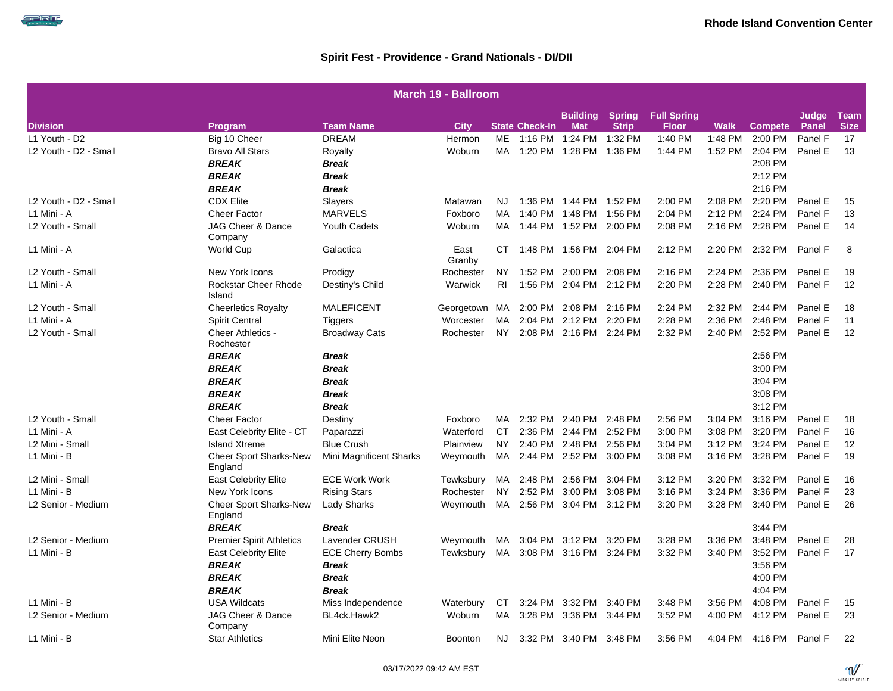|                       | March 19 - Ballroom                      |                         |                |                |                       |                         |               |                    |             |                |              |             |  |  |
|-----------------------|------------------------------------------|-------------------------|----------------|----------------|-----------------------|-------------------------|---------------|--------------------|-------------|----------------|--------------|-------------|--|--|
|                       |                                          |                         |                |                |                       | <b>Building</b>         | <b>Spring</b> | <b>Full Spring</b> |             |                | Judge        | <b>Team</b> |  |  |
| <b>Division</b>       | Program                                  | <b>Team Name</b>        | <b>City</b>    |                | <b>State Check-In</b> | <b>Mat</b>              | <b>Strip</b>  | <b>Floor</b>       | <b>Walk</b> | <b>Compete</b> | <b>Panel</b> | <b>Size</b> |  |  |
| L1 Youth - D2         | Big 10 Cheer                             | <b>DREAM</b>            | Hermon         | <b>ME</b>      |                       | 1:16 PM 1:24 PM         | 1:32 PM       | 1:40 PM            | 1:48 PM     | 2:00 PM        | Panel F      | 17          |  |  |
| L2 Youth - D2 - Small | <b>Bravo All Stars</b>                   | Royalty                 | Woburn         | MA             |                       | 1:20 PM 1:28 PM         | 1:36 PM       | 1:44 PM            | 1:52 PM     | 2:04 PM        | Panel E      | 13          |  |  |
|                       | <b>BREAK</b>                             | <b>Break</b>            |                |                |                       |                         |               |                    |             | 2:08 PM        |              |             |  |  |
|                       | <b>BREAK</b>                             | <b>Break</b>            |                |                |                       |                         |               |                    |             | 2:12 PM        |              |             |  |  |
|                       | <b>BREAK</b>                             | <b>Break</b>            |                |                |                       |                         |               |                    |             | 2:16 PM        |              |             |  |  |
| L2 Youth - D2 - Small | <b>CDX Elite</b>                         | Slayers                 | Matawan        | NJ.            |                       | 1:36 PM 1:44 PM 1:52 PM |               | 2:00 PM            | 2:08 PM     | 2:20 PM        | Panel E      | 15          |  |  |
| L1 Mini - A           | <b>Cheer Factor</b>                      | <b>MARVELS</b>          | Foxboro        | MA             |                       | 1:40 PM 1:48 PM         | 1:56 PM       | 2:04 PM            | 2:12 PM     | 2:24 PM        | Panel F      | 13          |  |  |
| L2 Youth - Small      | JAG Cheer & Dance<br>Company             | <b>Youth Cadets</b>     | Woburn         | МA             |                       | 1:44 PM 1:52 PM         | 2:00 PM       | 2:08 PM            | 2:16 PM     | 2:28 PM        | Panel E      | 14          |  |  |
| L1 Mini - A           | World Cup                                | Galactica               | East<br>Granby | CТ             |                       | 1:48 PM 1:56 PM         | 2:04 PM       | 2:12 PM            | 2:20 PM     | 2:32 PM        | Panel F      | 8           |  |  |
| L2 Youth - Small      | New York Icons                           | Prodigy                 | Rochester      | NY.            |                       | 1:52 PM 2:00 PM         | 2:08 PM       | 2:16 PM            | 2:24 PM     | 2:36 PM        | Panel E      | 19          |  |  |
| L1 Mini - A           | Rockstar Cheer Rhode<br>Island           | Destiny's Child         | Warwick        | R <sub>l</sub> | 1:56 PM               | 2:04 PM                 | 2:12 PM       | 2:20 PM            | 2:28 PM     | 2:40 PM        | Panel F      | 12          |  |  |
| L2 Youth - Small      | <b>Cheerletics Royalty</b>               | <b>MALEFICENT</b>       | Georgetown     | MA             | 2:00 PM               | 2:08 PM                 | 2:16 PM       | 2:24 PM            | 2:32 PM     | 2:44 PM        | Panel E      | 18          |  |  |
| L1 Mini - A           | <b>Spirit Central</b>                    | <b>Tiggers</b>          | Worcester      | MA             |                       | 2:04 PM 2:12 PM         | 2:20 PM       | 2:28 PM            | 2:36 PM     | 2:48 PM        | Panel F      | 11          |  |  |
| L2 Youth - Small      | <b>Cheer Athletics -</b><br>Rochester    | <b>Broadway Cats</b>    | Rochester      | NY.            |                       | 2:08 PM 2:16 PM 2:24 PM |               | 2:32 PM            | 2:40 PM     | 2:52 PM        | Panel E      | 12          |  |  |
|                       | <b>BREAK</b>                             | Break                   |                |                |                       |                         |               |                    |             | 2:56 PM        |              |             |  |  |
|                       | <b>BREAK</b>                             | <b>Break</b>            |                |                |                       |                         |               |                    |             | 3:00 PM        |              |             |  |  |
|                       | <b>BREAK</b>                             | <b>Break</b>            |                |                |                       |                         |               |                    |             | 3:04 PM        |              |             |  |  |
|                       | <b>BREAK</b>                             | <b>Break</b>            |                |                |                       |                         |               |                    |             | 3:08 PM        |              |             |  |  |
|                       | <b>BREAK</b>                             | <b>Break</b>            |                |                |                       |                         |               |                    |             | 3:12 PM        |              |             |  |  |
| L2 Youth - Small      | <b>Cheer Factor</b>                      | Destiny                 | Foxboro        | MA             |                       | 2:32 PM 2:40 PM         | 2:48 PM       | 2:56 PM            | 3:04 PM     | 3:16 PM        | Panel E      | 18          |  |  |
| L1 Mini - A           | East Celebrity Elite - CT                | Paparazzi               | Waterford      | CT             |                       | 2:36 PM 2:44 PM         | 2:52 PM       | 3:00 PM            | 3:08 PM     | 3:20 PM        | Panel F      | 16          |  |  |
| L2 Mini - Small       | <b>Island Xtreme</b>                     | <b>Blue Crush</b>       | Plainview      | <b>NY</b>      | 2:40 PM               | 2:48 PM                 | 2:56 PM       | 3:04 PM            | 3:12 PM     | 3:24 PM        | Panel E      | 12          |  |  |
| L1 Mini - B           | <b>Cheer Sport Sharks-New</b><br>England | Mini Magnificent Sharks | Weymouth       | MA             |                       | 2:44 PM 2:52 PM         | 3:00 PM       | 3:08 PM            | 3:16 PM     | 3:28 PM        | Panel F      | 19          |  |  |
| L2 Mini - Small       | <b>East Celebrity Elite</b>              | <b>ECE Work Work</b>    | Tewksbury      | MA             |                       | 2:48 PM 2:56 PM         | 3:04 PM       | 3:12 PM            | 3:20 PM     | 3:32 PM        | Panel E      | 16          |  |  |
| L1 Mini - B           | New York Icons                           | <b>Rising Stars</b>     | Rochester      | <b>NY</b>      | 2:52 PM               | 3:00 PM                 | 3:08 PM       | 3:16 PM            | 3:24 PM     | 3:36 PM        | Panel F      | 23          |  |  |
| L2 Senior - Medium    | <b>Cheer Sport Sharks-New</b><br>England | <b>Lady Sharks</b>      | Weymouth       | MA             | 2:56 PM               | 3:04 PM                 | 3:12 PM       | 3:20 PM            | 3:28 PM     | 3:40 PM        | Panel E      | 26          |  |  |
|                       | <b>BREAK</b>                             | <b>Break</b>            |                |                |                       |                         |               |                    |             | 3:44 PM        |              |             |  |  |
| L2 Senior - Medium    | <b>Premier Spirit Athletics</b>          | Lavender CRUSH          | Weymouth       | MA             |                       | 3:04 PM 3:12 PM         | 3:20 PM       | 3:28 PM            | 3:36 PM     | 3:48 PM        | Panel E      | 28          |  |  |
| L1 Mini - B           | <b>East Celebrity Elite</b>              | <b>ECE Cherry Bombs</b> | Tewksbury      | MA             |                       | 3:08 PM 3:16 PM 3:24 PM |               | 3:32 PM            | 3:40 PM     | 3:52 PM        | Panel F      | 17          |  |  |
|                       | <b>BREAK</b>                             | <b>Break</b>            |                |                |                       |                         |               |                    |             | 3:56 PM        |              |             |  |  |
|                       | <b>BREAK</b>                             | <b>Break</b>            |                |                |                       |                         |               |                    |             | 4:00 PM        |              |             |  |  |
|                       | <b>BREAK</b>                             | <b>Break</b>            |                |                |                       |                         |               |                    |             | 4:04 PM        |              |             |  |  |
| L1 Mini - B           | <b>USA Wildcats</b>                      | Miss Independence       | Waterbury      | СT             | 3:24 PM               | 3:32 PM                 | 3:40 PM       | 3:48 PM            | 3:56 PM     | 4:08 PM        | Panel F      | 15          |  |  |
| L2 Senior - Medium    | JAG Cheer & Dance<br>Company             | BL4ck.Hawk2             | Woburn         | MA.            |                       | 3:28 PM 3:36 PM         | 3:44 PM       | 3:52 PM            | 4:00 PM     | 4:12 PM        | Panel E      | 23          |  |  |
| L1 Mini - B           | <b>Star Athletics</b>                    | Mini Elite Neon         | <b>Boonton</b> | <b>NJ</b>      |                       | 3:32 PM 3:40 PM 3:48 PM |               | 3:56 PM            | 4:04 PM     | 4:16 PM        | Panel F      | 22          |  |  |

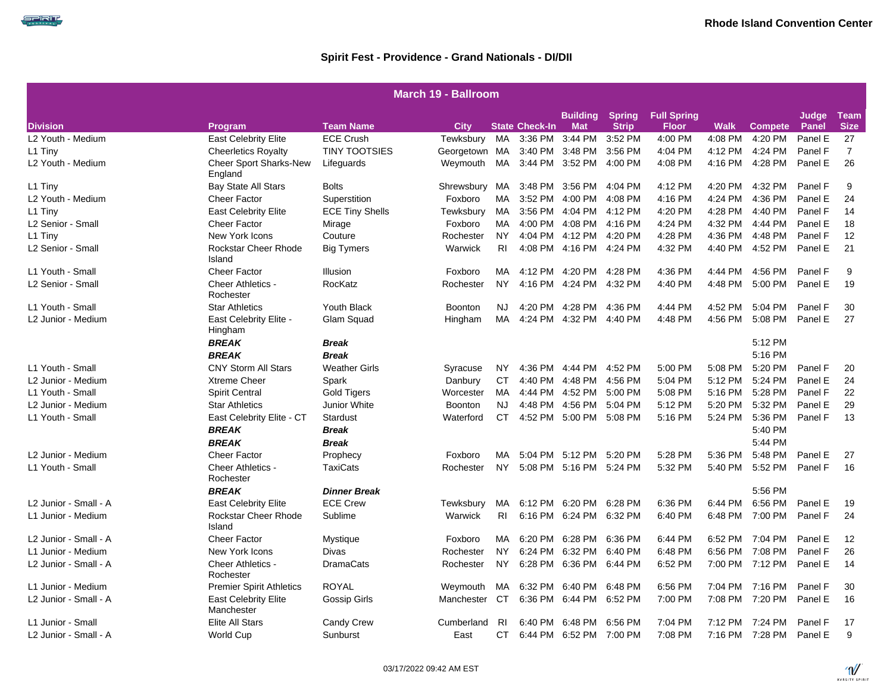كالحاصب

|                       | <b>March 19 - Ballroom</b>                |                        |                |           |                       |                               |                               |                                    |             |                 |                       |                            |  |  |
|-----------------------|-------------------------------------------|------------------------|----------------|-----------|-----------------------|-------------------------------|-------------------------------|------------------------------------|-------------|-----------------|-----------------------|----------------------------|--|--|
| <b>Division</b>       |                                           | <b>Team Name</b>       | City           |           | <b>State Check-In</b> | <b>Building</b><br><b>Mat</b> | <b>Spring</b><br><b>Strip</b> | <b>Full Spring</b><br><b>Floor</b> | <b>Walk</b> | <b>Compete</b>  | Judge<br><b>Panel</b> | <b>Team</b><br><b>Size</b> |  |  |
| L2 Youth - Medium     | Program<br><b>East Celebrity Elite</b>    | <b>ECE Crush</b>       | Tewksbury      | MA        | 3:36 PM               |                               | 3:44 PM 3:52 PM               | 4:00 PM                            | 4:08 PM     | 4:20 PM         | Panel E               | 27                         |  |  |
| L1 Tiny               | <b>Cheerletics Royalty</b>                | <b>TINY TOOTSIES</b>   | Georgetown MA  |           | 3:40 PM               | 3:48 PM                       | 3:56 PM                       | 4:04 PM                            | 4:12 PM     | 4:24 PM         | Panel F               | $\overline{7}$             |  |  |
| L2 Youth - Medium     | <b>Cheer Sport Sharks-New</b><br>England  | Lifeguards             | Weymouth MA    |           | 3:44 PM               | 3:52 PM                       | 4:00 PM                       | 4:08 PM                            | 4:16 PM     | 4:28 PM         | Panel E               | 26                         |  |  |
| L1 Tiny               | <b>Bay State All Stars</b>                | <b>Bolts</b>           | Shrewsbury     | MA        | 3:48 PM               | 3:56 PM                       | 4:04 PM                       | 4:12 PM                            | 4:20 PM     | 4:32 PM         | Panel F               | 9                          |  |  |
| L2 Youth - Medium     | <b>Cheer Factor</b>                       | Superstition           | Foxboro        | MA        | 3:52 PM               | 4:00 PM                       | 4:08 PM                       | 4:16 PM                            | 4:24 PM     | 4:36 PM         | Panel E               | 24                         |  |  |
| L1 Tiny               | <b>East Celebrity Elite</b>               | <b>ECE Tiny Shells</b> | Tewksbury      | MA        |                       | 3:56 PM 4:04 PM 4:12 PM       |                               | 4:20 PM                            | 4:28 PM     | 4:40 PM         | Panel F               | 14                         |  |  |
| L2 Senior - Small     | <b>Cheer Factor</b>                       | Mirage                 | Foxboro        | MA        | 4:00 PM               |                               | 4:08 PM 4:16 PM               | 4:24 PM                            | 4:32 PM     | 4:44 PM         | Panel E               | 18                         |  |  |
| L1 Tiny               | New York Icons                            | Couture                | Rochester      | <b>NY</b> |                       | 4:04 PM 4:12 PM 4:20 PM       |                               | 4:28 PM                            | 4:36 PM     | 4:48 PM         | Panel F               | 12                         |  |  |
| L2 Senior - Small     | Rockstar Cheer Rhode<br>Island            | <b>Big Tymers</b>      | Warwick        | RI.       |                       | 4:08 PM 4:16 PM 4:24 PM       |                               | 4:32 PM                            | 4:40 PM     | 4:52 PM         | Panel E               | 21                         |  |  |
| L1 Youth - Small      | <b>Cheer Factor</b>                       | Illusion               | Foxboro        | MA        |                       | 4:12 PM 4:20 PM 4:28 PM       |                               | 4:36 PM                            | 4:44 PM     | 4:56 PM         | Panel F               | 9                          |  |  |
| L2 Senior - Small     | Cheer Athletics -<br>Rochester            | RocKatz                | Rochester      | <b>NY</b> | 4:16 PM               |                               | 4:24 PM 4:32 PM               | 4:40 PM                            | 4:48 PM     | 5:00 PM         | Panel E               | 19                         |  |  |
| L1 Youth - Small      | <b>Star Athletics</b>                     | <b>Youth Black</b>     | <b>Boonton</b> | NJ        | 4:20 PM               | 4:28 PM                       | 4:36 PM                       | 4:44 PM                            | 4:52 PM     | 5:04 PM         | Panel F               | 30                         |  |  |
| L2 Junior - Medium    | East Celebrity Elite -<br>Hingham         | Glam Squad             | Hingham        | MA        |                       | 4:24 PM 4:32 PM 4:40 PM       |                               | 4:48 PM                            | 4:56 PM     | 5:08 PM         | Panel E               | 27                         |  |  |
|                       | <b>BREAK</b>                              | Break                  |                |           |                       |                               |                               |                                    |             | 5:12 PM         |                       |                            |  |  |
|                       | <b>BREAK</b>                              | <b>Break</b>           |                |           |                       |                               |                               |                                    |             | 5:16 PM         |                       |                            |  |  |
| L1 Youth - Small      | <b>CNY Storm All Stars</b>                | <b>Weather Girls</b>   | Syracuse       | NY.       |                       | 4:36 PM 4:44 PM 4:52 PM       |                               | 5:00 PM                            | 5:08 PM     | 5:20 PM         | Panel F               | 20                         |  |  |
| L2 Junior - Medium    | <b>Xtreme Cheer</b>                       | Spark                  | Danbury        | <b>CT</b> | 4:40 PM               |                               | 4:48 PM 4:56 PM               | 5:04 PM                            | 5:12 PM     | 5:24 PM         | Panel E               | 24                         |  |  |
| L1 Youth - Small      | Spirit Central                            | <b>Gold Tigers</b>     | Worcester      | MA        | 4:44 PM               |                               | 4:52 PM 5:00 PM               | 5:08 PM                            | 5:16 PM     | 5:28 PM         | Panel F               | 22                         |  |  |
| L2 Junior - Medium    | <b>Star Athletics</b>                     | Junior White           | Boonton        | NJ        |                       | 4:48 PM 4:56 PM 5:04 PM       |                               | 5:12 PM                            | 5:20 PM     | 5:32 PM         | Panel E               | 29                         |  |  |
| L1 Youth - Small      | East Celebrity Elite - CT                 | <b>Stardust</b>        | Waterford      | CT.       |                       | 4:52 PM 5:00 PM 5:08 PM       |                               | 5:16 PM                            | 5:24 PM     | 5:36 PM         | Panel F               | 13                         |  |  |
|                       | <b>BREAK</b>                              | Break                  |                |           |                       |                               |                               |                                    |             | 5:40 PM         |                       |                            |  |  |
|                       | <b>BREAK</b>                              | <b>Break</b>           |                |           |                       |                               |                               |                                    |             | 5:44 PM         |                       |                            |  |  |
| L2 Junior - Medium    | <b>Cheer Factor</b>                       | Prophecy               | Foxboro        | MA        | 5:04 PM               |                               | 5:12 PM 5:20 PM               | 5:28 PM                            | 5:36 PM     | 5:48 PM         | Panel E               | 27                         |  |  |
| L1 Youth - Small      | <b>Cheer Athletics -</b><br>Rochester     | TaxiCats               | Rochester      | <b>NY</b> |                       | 5:08 PM 5:16 PM 5:24 PM       |                               | 5:32 PM                            | 5:40 PM     | 5:52 PM         | Panel F               | 16                         |  |  |
|                       | <b>BREAK</b>                              | <b>Dinner Break</b>    |                |           |                       |                               |                               |                                    |             | 5:56 PM         |                       |                            |  |  |
| L2 Junior - Small - A | <b>East Celebrity Elite</b>               | <b>ECE Crew</b>        | Tewksbury      | MA        | 6:12 PM               | 6:20 PM 6:28 PM               |                               | 6:36 PM                            | 6:44 PM     | 6:56 PM         | Panel E               | 19                         |  |  |
| L1 Junior - Medium    | Rockstar Cheer Rhode<br>Island            | Sublime                | Warwick        | <b>RI</b> |                       | 6:16 PM 6:24 PM 6:32 PM       |                               | 6:40 PM                            | 6:48 PM     | 7:00 PM         | Panel F               | 24                         |  |  |
| L2 Junior - Small - A | <b>Cheer Factor</b>                       | Mystique               | Foxboro        | MA        | 6:20 PM               | 6:28 PM                       | 6:36 PM                       | 6:44 PM                            |             | 6:52 PM 7:04 PM | Panel E               | 12                         |  |  |
| L1 Junior - Medium    | New York Icons                            | Divas                  | Rochester      | <b>NY</b> | 6:24 PM               | 6:32 PM                       | 6:40 PM                       | 6:48 PM                            | 6:56 PM     | 7:08 PM         | Panel F               | 26                         |  |  |
| L2 Junior - Small - A | Cheer Athletics -<br>Rochester            | <b>DramaCats</b>       | Rochester      | NY.       | 6:28 PM               |                               | 6:36 PM 6:44 PM               | 6:52 PM                            |             | 7:00 PM 7:12 PM | Panel E               | 14                         |  |  |
| L1 Junior - Medium    | <b>Premier Spirit Athletics</b>           | <b>ROYAL</b>           | Weymouth       | MA        | 6:32 PM               | 6:40 PM                       | 6:48 PM                       | 6:56 PM                            | 7:04 PM     | 7:16 PM         | Panel F               | 30                         |  |  |
| L2 Junior - Small - A | <b>East Celebrity Elite</b><br>Manchester | Gossip Girls           | Manchester CT  |           |                       | 6:36 PM 6:44 PM 6:52 PM       |                               | 7:00 PM                            |             | 7:08 PM 7:20 PM | Panel E               | 16                         |  |  |
| L1 Junior - Small     | Elite All Stars                           | <b>Candy Crew</b>      | Cumberland     | -RI       | 6:40 PM               |                               | 6:48 PM 6:56 PM               | 7:04 PM                            | 7:12 PM     | 7:24 PM         | Panel F               | 17                         |  |  |
| L2 Junior - Small - A | <b>World Cup</b>                          | Sunburst               | East           | <b>CT</b> | 6:44 PM               |                               | 6:52 PM 7:00 PM               | 7:08 PM                            |             | 7:16 PM 7:28 PM | Panel E               | 9                          |  |  |

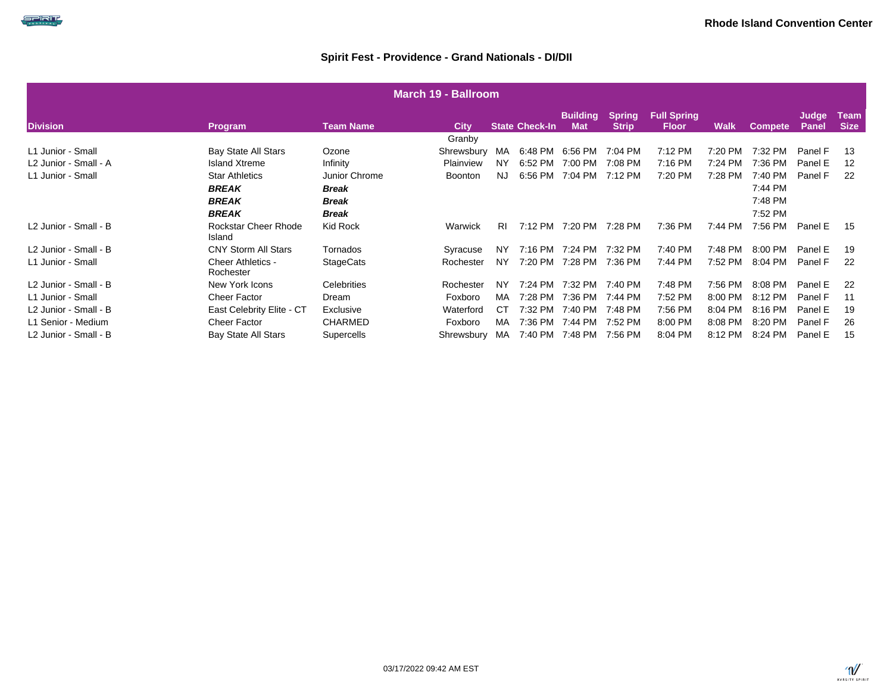|                       | <b>March 19 - Ballroom</b> |                                       |                    |                |           |                       |                               |                        |                                    |         |                |                |                            |  |
|-----------------------|----------------------------|---------------------------------------|--------------------|----------------|-----------|-----------------------|-------------------------------|------------------------|------------------------------------|---------|----------------|----------------|----------------------------|--|
| <b>Division</b>       |                            | Program                               | Team Name          | <b>City</b>    |           | <b>State Check-In</b> | <b>Building</b><br><b>Mat</b> | Spring<br><b>Strip</b> | <b>Full Spring</b><br><b>Floor</b> | Walk    | <b>Compete</b> | Judge<br>Panel | <b>Team</b><br><b>Size</b> |  |
|                       |                            |                                       |                    | Granby         |           |                       |                               |                        |                                    |         |                |                |                            |  |
| L1 Junior - Small     |                            | Bay State All Stars                   | Ozone              | Shrewsbury     | MA        | 6:48 PM               | 6:56 PM                       | 7:04 PM                | 7:12 PM                            | 7:20 PM | 7:32 PM        | Panel F        | 13                         |  |
| L2 Junior - Small - A |                            | <b>Island Xtreme</b>                  | Infinity           | Plainview      | <b>NY</b> | 6:52 PM               | 7:00 PM                       | 7:08 PM                | 7:16 PM                            | 7:24 PM | 7:36 PM        | Panel E        | 12                         |  |
| L1 Junior - Small     |                            | <b>Star Athletics</b>                 | Junior Chrome      | <b>Boonton</b> | NJ.       | 6:56 PM               | 7:04 PM                       | 7:12 PM                | 7:20 PM                            | 7:28 PM | 7:40 PM        | Panel F        | 22                         |  |
|                       |                            | <b>BREAK</b>                          | Break              |                |           |                       |                               |                        |                                    |         | 7:44 PM        |                |                            |  |
|                       |                            | <b>BREAK</b>                          | Break              |                |           |                       |                               |                        |                                    |         | 7:48 PM        |                |                            |  |
|                       |                            | <b>BREAK</b>                          | <b>Break</b>       |                |           |                       |                               |                        |                                    |         | 7:52 PM        |                |                            |  |
| L2 Junior - Small - B |                            | Rockstar Cheer Rhode<br>Island        | Kid Rock           | Warwick        | RI.       | 7:12 PM               | 7:20 PM                       | 7:28 PM                | 7:36 PM                            | 7:44 PM | 7:56 PM        | Panel E        | 15                         |  |
| L2 Junior - Small - B |                            | <b>CNY Storm All Stars</b>            | Tornados           | Syracuse       | <b>NY</b> | 7:16 PM               | 7:24 PM                       | 7:32 PM                | 7:40 PM                            | 7:48 PM | 8:00 PM        | Panel E        | 19                         |  |
| L1 Junior - Small     |                            | <b>Cheer Athletics -</b><br>Rochester | <b>StageCats</b>   | Rochester      | <b>NY</b> | 7:20 PM               | 7:28 PM                       | 7:36 PM                | 7:44 PM                            | 7:52 PM | 8:04 PM        | Panel F        | 22                         |  |
| L2 Junior - Small - B |                            | New York Icons                        | <b>Celebrities</b> | Rochester      | <b>NY</b> | 7:24 PM               | 7:32 PM                       | 7:40 PM                | 7:48 PM                            | 7:56 PM | 8:08 PM        | Panel E        | 22                         |  |
| L1 Junior - Small     |                            | <b>Cheer Factor</b>                   | Dream              | Foxboro        | MA        | 7:28 PM               | 7:36 PM                       | 7:44 PM                | 7:52 PM                            | 8:00 PM | 8:12 PM        | Panel F        | 11                         |  |
| L2 Junior - Small - B |                            | East Celebrity Elite - CT             | Exclusive          | Waterford      | CТ        | 7:32 PM               | 7:40 PM                       | 7:48 PM                | 7:56 PM                            | 8:04 PM | 8:16 PM        | Panel E        | 19                         |  |
| L1 Senior - Medium    |                            | <b>Cheer Factor</b>                   | <b>CHARMED</b>     | Foxboro        | MA        | 7:36 PM               | 7:44 PM                       | 7:52 PM                | 8:00 PM                            | 8:08 PM | 8:20 PM        | Panel F        | 26                         |  |
| L2 Junior - Small - B |                            | <b>Bay State All Stars</b>            | Supercells         | Shrewsbury     | MA        | 7:40 PM               | 7:48 PM                       | 7:56 PM                | 8:04 PM                            | 8:12 PM | 8:24 PM        | Panel E        | 15                         |  |

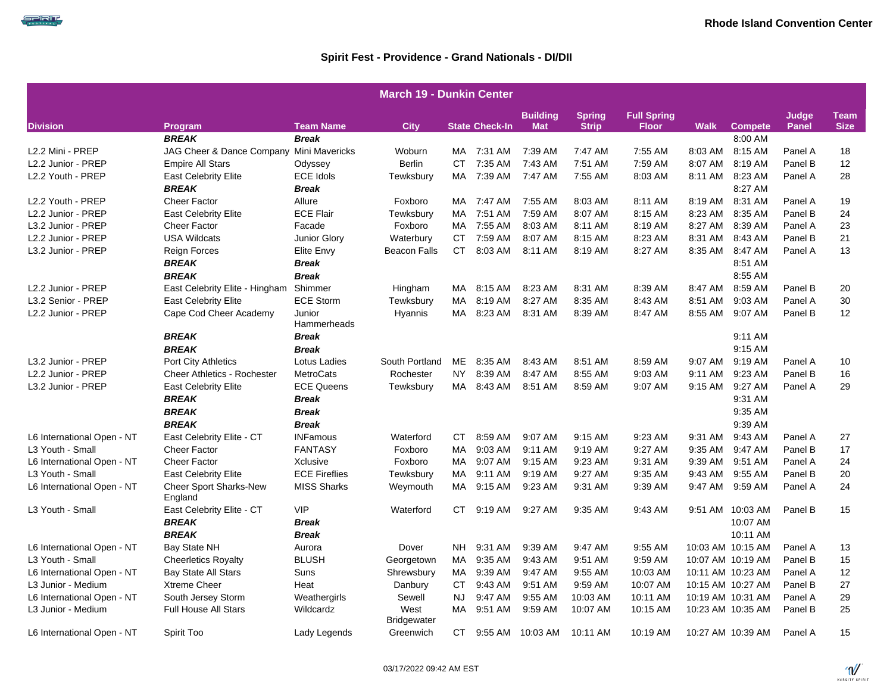|                            |                                          |                                  | <b>March 19 - Dunkin Center</b> |           |                       |                 |               |                    |             |                           |         |             |
|----------------------------|------------------------------------------|----------------------------------|---------------------------------|-----------|-----------------------|-----------------|---------------|--------------------|-------------|---------------------------|---------|-------------|
|                            |                                          |                                  |                                 |           |                       | <b>Building</b> | <b>Spring</b> | <b>Full Spring</b> |             |                           | Judge   | <b>Team</b> |
| <b>Division</b>            | Program<br><b>BREAK</b>                  | <b>Team Name</b><br><b>Break</b> | <b>City</b>                     |           | <b>State Check-In</b> | <b>Mat</b>      | <b>Strip</b>  | <b>Floor</b>       | <b>Walk</b> | <b>Compete</b><br>8:00 AM | Panel   | <b>Size</b> |
| L2.2 Mini - PREP           | JAG Cheer & Dance Company Mini Mavericks |                                  | Woburn                          | MA        | 7:31 AM               | 7:39 AM         | 7:47 AM       | 7:55 AM            | 8:03 AM     | 8:15 AM                   | Panel A | 18          |
| L2.2 Junior - PREP         | <b>Empire All Stars</b>                  | Odyssey                          | Berlin                          | CT.       | 7:35 AM               | 7:43 AM         | 7:51 AM       | 7:59 AM            | 8:07 AM     | 8:19 AM                   | Panel B | 12          |
| L2.2 Youth - PREP          | <b>East Celebrity Elite</b>              | <b>ECE Idols</b>                 | Tewksbury                       | MA        | 7:39 AM               | 7:47 AM         | 7:55 AM       | 8:03 AM            | 8:11 AM     | 8:23 AM                   | Panel A | 28          |
|                            | <b>BREAK</b>                             | <b>Break</b>                     |                                 |           |                       |                 |               |                    |             | 8:27 AM                   |         |             |
| L2.2 Youth - PREP          | <b>Cheer Factor</b>                      | Allure                           | Foxboro                         |           | MA 7:47 AM            | 7:55 AM         | 8:03 AM       | 8:11 AM            | 8:19 AM     | 8:31 AM                   | Panel A | 19          |
| L2.2 Junior - PREP         | <b>East Celebrity Elite</b>              | <b>ECE Flair</b>                 | Tewksbury                       | MA        | 7:51 AM               | 7:59 AM         | 8:07 AM       | 8:15 AM            | 8:23 AM     | 8:35 AM                   | Panel B | 24          |
| L3.2 Junior - PREP         | <b>Cheer Factor</b>                      | Facade                           | Foxboro                         | MA        | 7:55 AM               | 8:03 AM         | 8:11 AM       | 8:19 AM            | 8:27 AM     | 8:39 AM                   | Panel A | 23          |
| L2.2 Junior - PREP         | <b>USA Wildcats</b>                      | Junior Glory                     | Waterbury                       | <b>CT</b> | 7:59 AM               | 8:07 AM         | 8:15 AM       | 8:23 AM            | 8:31 AM     | 8:43 AM                   | Panel B | 21          |
| L3.2 Junior - PREP         | <b>Reign Forces</b>                      | Elite Envy                       | <b>Beacon Falls</b>             | <b>CT</b> | 8:03 AM               | 8:11 AM         | 8:19 AM       | 8:27 AM            | 8:35 AM     | 8:47 AM                   | Panel A | 13          |
|                            | <b>BREAK</b>                             | <b>Break</b>                     |                                 |           |                       |                 |               |                    |             | 8:51 AM                   |         |             |
|                            | <b>BREAK</b>                             | <b>Break</b>                     |                                 |           |                       |                 |               |                    |             | 8:55 AM                   |         |             |
| L2.2 Junior - PREP         | East Celebrity Elite - Hingham Shimmer   |                                  | Hingham                         |           | MA 8:15 AM            | 8:23 AM         | 8:31 AM       | 8:39 AM            | 8:47 AM     | 8:59 AM                   | Panel B | 20          |
| L3.2 Senior - PREP         | <b>East Celebrity Elite</b>              | <b>ECE Storm</b>                 | Tewksbury                       | MA.       | 8:19 AM               | 8:27 AM         | 8:35 AM       | 8:43 AM            | 8:51 AM     | 9:03 AM                   | Panel A | 30          |
| L2.2 Junior - PREP         |                                          | Junior                           |                                 | MA        | 8:23 AM               | 8:31 AM         | 8:39 AM       | 8:47 AM            | 8:55 AM     | 9:07 AM                   | Panel B | 12          |
|                            | Cape Cod Cheer Academy                   | Hammerheads                      | Hyannis                         |           |                       |                 |               |                    |             |                           |         |             |
|                            | <b>BREAK</b>                             | <b>Break</b>                     |                                 |           |                       |                 |               |                    |             | 9:11 AM                   |         |             |
|                            | <b>BREAK</b>                             | <b>Break</b>                     |                                 |           |                       |                 |               |                    |             | 9:15 AM                   |         |             |
| L3.2 Junior - PREP         | <b>Port City Athletics</b>               | Lotus Ladies                     | South Portland                  | ME        | 8:35 AM               | 8:43 AM         | 8:51 AM       | 8:59 AM            |             | 9:07 AM 9:19 AM           | Panel A | 10          |
| L2.2 Junior - PREP         | <b>Cheer Athletics - Rochester</b>       | MetroCats                        | Rochester                       | NY.       | 8:39 AM               | 8:47 AM         | 8:55 AM       | 9:03 AM            | 9:11 AM     | 9:23 AM                   | Panel B | 16          |
| L3.2 Junior - PREP         | <b>East Celebrity Elite</b>              | <b>ECE Queens</b>                | Tewksbury                       | MA        | 8:43 AM               | 8:51 AM         | 8:59 AM       | 9:07 AM            | $9:15$ AM   | 9:27 AM                   | Panel A | 29          |
|                            | <b>BREAK</b>                             | Break                            |                                 |           |                       |                 |               |                    |             | 9:31 AM                   |         |             |
|                            | <b>BREAK</b>                             | <b>Break</b>                     |                                 |           |                       |                 |               |                    |             | 9:35 AM                   |         |             |
|                            | <b>BREAK</b>                             | <b>Break</b>                     |                                 |           |                       |                 |               |                    |             | 9:39 AM                   |         |             |
| L6 International Open - NT | East Celebrity Elite - CT                | <b>INFamous</b>                  | Waterford                       | CT.       | 8:59 AM               | 9:07 AM         | $9:15$ AM     | 9:23 AM            | $9:31$ AM   | 9:43 AM                   | Panel A | 27          |
| L3 Youth - Small           | <b>Cheer Factor</b>                      | <b>FANTASY</b>                   | Foxboro                         | MA.       | 9:03 AM               | 9:11 AM         | 9:19 AM       | 9:27 AM            | 9:35 AM     | 9:47 AM                   | Panel B | 17          |
| L6 International Open - NT | <b>Cheer Factor</b>                      | Xclusive                         | Foxboro                         | MA.       | 9:07 AM               | 9:15 AM         | 9:23 AM       | 9:31 AM            | 9:39 AM     | 9:51 AM                   | Panel A | 24          |
| L3 Youth - Small           | <b>East Celebrity Elite</b>              | <b>ECE Fireflies</b>             | Tewksbury                       | MA        | 9:11 AM               | 9:19 AM         | 9:27 AM       | 9:35 AM            | 9:43 AM     | 9:55 AM                   | Panel B | 20          |
| L6 International Open - NT | <b>Cheer Sport Sharks-New</b><br>England | <b>MISS Sharks</b>               | Weymouth                        | MA        | 9:15 AM               | 9:23 AM         | 9:31 AM       | 9:39 AM            | 9:47 AM     | 9:59 AM                   | Panel A | 24          |
| L3 Youth - Small           | East Celebrity Elite - CT                | <b>VIP</b>                       | Waterford                       | CT.       | 9:19 AM               | 9:27 AM         | 9:35 AM       | 9:43 AM            |             | 9:51 AM 10:03 AM          | Panel B | 15          |
|                            | <b>BREAK</b>                             | <b>Break</b>                     |                                 |           |                       |                 |               |                    |             | 10:07 AM                  |         |             |
|                            | <b>BREAK</b>                             | <b>Break</b>                     |                                 |           |                       |                 |               |                    |             | 10:11 AM                  |         |             |
| L6 International Open - NT | <b>Bay State NH</b>                      | Aurora                           | Dover                           | NH.       | 9:31 AM               | 9:39 AM         | 9:47 AM       | 9:55 AM            |             | 10:03 AM 10:15 AM         | Panel A | 13          |
| L3 Youth - Small           | <b>Cheerletics Royalty</b>               | <b>BLUSH</b>                     | Georgetown                      | MA        | 9:35 AM               | 9:43 AM         | 9:51 AM       | 9:59 AM            |             | 10:07 AM 10:19 AM         | Panel B | 15          |
| L6 International Open - NT | <b>Bay State All Stars</b>               | Suns                             | Shrewsbury                      | MA        | 9:39 AM               | 9:47 AM         | 9:55 AM       | 10:03 AM           |             | 10:11 AM 10:23 AM         | Panel A | 12          |
| L3 Junior - Medium         | <b>Xtreme Cheer</b>                      | Heat                             | Danbury                         | CT.       | 9:43 AM               | 9:51 AM         | 9:59 AM       | 10:07 AM           |             | 10:15 AM 10:27 AM         | Panel B | 27          |
| L6 International Open - NT | South Jersey Storm                       | Weathergirls                     | Sewell                          | NJ.       | 9:47 AM               | 9:55 AM         | 10:03 AM      | 10:11 AM           |             | 10:19 AM 10:31 AM         | Panel A | 29          |
| L3 Junior - Medium         | <b>Full House All Stars</b>              | Wildcardz                        | West<br>Bridgewater             | MA        | 9:51 AM               | 9:59 AM         | 10:07 AM      | 10:15 AM           |             | 10:23 AM 10:35 AM         | Panel B | 25          |
| L6 International Open - NT | Spirit Too                               | Lady Legends                     | Greenwich                       | CT.       | 9:55 AM               | 10:03 AM        | 10:11 AM      | 10:19 AM           |             | 10:27 AM 10:39 AM         | Panel A | 15          |

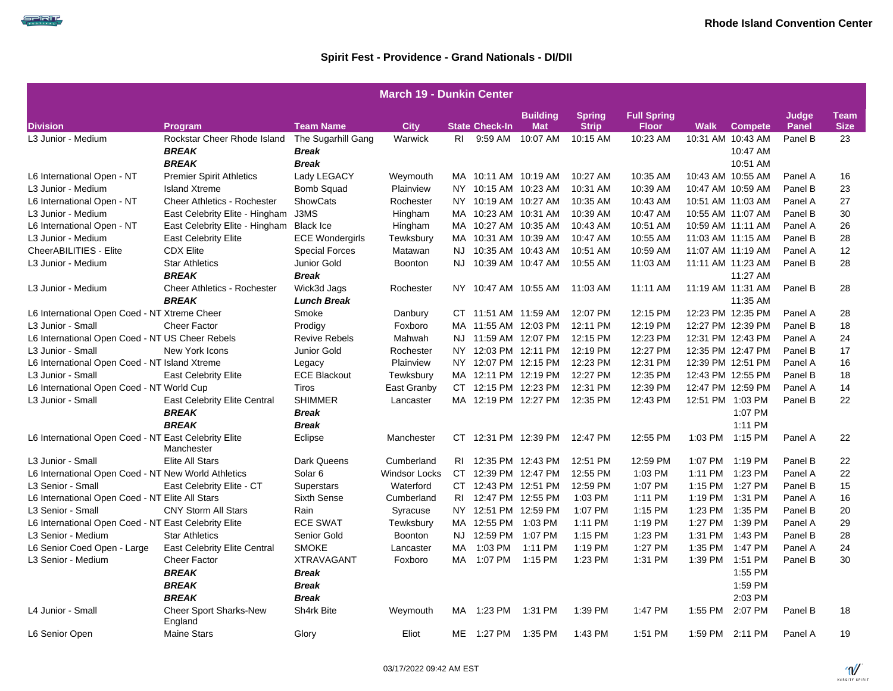|                                                      | <b>March 19 - Dunkin Center</b>          |                        |                      |     |                       |                               |                               |                                    |         |                   |                       |                            |  |  |
|------------------------------------------------------|------------------------------------------|------------------------|----------------------|-----|-----------------------|-------------------------------|-------------------------------|------------------------------------|---------|-------------------|-----------------------|----------------------------|--|--|
| <b>Division</b>                                      | Program                                  | <b>Team Name</b>       | <b>City</b>          |     | <b>State Check-In</b> | <b>Building</b><br><b>Mat</b> | <b>Spring</b><br><b>Strip</b> | <b>Full Spring</b><br><b>Floor</b> | Walk    | <b>Compete</b>    | Judge<br><b>Panel</b> | <b>Team</b><br><b>Size</b> |  |  |
| L3 Junior - Medium                                   | Rockstar Cheer Rhode Island              | The Sugarhill Gang     | Warwick              | RI. | 9:59 AM               | 10:07 AM                      | 10:15 AM                      | 10:23 AM                           |         | 10:31 AM 10:43 AM | Panel B               | 23                         |  |  |
|                                                      | <b>BREAK</b>                             | <b>Break</b>           |                      |     |                       |                               |                               |                                    |         | 10:47 AM          |                       |                            |  |  |
|                                                      | <b>BREAK</b>                             | <b>Break</b>           |                      |     |                       |                               |                               |                                    |         | 10:51 AM          |                       |                            |  |  |
| L6 International Open - NT                           | <b>Premier Spirit Athletics</b>          | Lady LEGACY            | Weymouth             |     | MA 10:11 AM 10:19 AM  |                               | 10:27 AM                      | 10:35 AM                           |         | 10:43 AM 10:55 AM | Panel A               | 16                         |  |  |
| L3 Junior - Medium                                   | <b>Island Xtreme</b>                     | <b>Bomb Squad</b>      | Plainview            |     | NY 10:15 AM 10:23 AM  |                               | 10:31 AM                      | 10:39 AM                           |         | 10:47 AM 10:59 AM | Panel B               | 23                         |  |  |
| L6 International Open - NT                           | <b>Cheer Athletics - Rochester</b>       | ShowCats               | Rochester            |     | NY 10:19 AM 10:27 AM  |                               | 10:35 AM                      | 10:43 AM                           |         | 10:51 AM 11:03 AM | Panel A               | 27                         |  |  |
| L3 Junior - Medium                                   | East Celebrity Elite - Hingham           | J3MS                   | Hingham              |     | MA 10:23 AM 10:31 AM  |                               | 10:39 AM                      | 10:47 AM                           |         | 10:55 AM 11:07 AM | Panel B               | 30                         |  |  |
| L6 International Open - NT                           | East Celebrity Elite - Hingham Black Ice |                        | Hingham              |     | MA 10:27 AM 10:35 AM  |                               | 10:43 AM                      | 10:51 AM                           |         | 10:59 AM 11:11 AM | Panel A               | 26                         |  |  |
| L3 Junior - Medium                                   | <b>East Celebrity Elite</b>              | <b>ECE Wondergirls</b> | Tewksbury            |     | MA 10:31 AM 10:39 AM  |                               | 10:47 AM                      | 10:55 AM                           |         | 11:03 AM 11:15 AM | Panel B               | 28                         |  |  |
| CheerABILITIES - Elite                               | <b>CDX Elite</b>                         | <b>Special Forces</b>  | Matawan              |     | NJ 10:35 AM 10:43 AM  |                               | 10:51 AM                      | 10:59 AM                           |         | 11:07 AM 11:19 AM | Panel A               | 12                         |  |  |
| L3 Junior - Medium                                   | <b>Star Athletics</b>                    | Junior Gold            | <b>Boonton</b>       | NJ. |                       | 10:39 AM 10:47 AM             | 10:55 AM                      | 11:03 AM                           |         | 11:11 AM 11:23 AM | Panel B               | 28                         |  |  |
|                                                      | <b>BREAK</b>                             | <b>Break</b>           |                      |     |                       |                               |                               |                                    |         | 11:27 AM          |                       |                            |  |  |
| L3 Junior - Medium                                   | <b>Cheer Athletics - Rochester</b>       | Wick3d Jags            | Rochester            |     |                       | NY 10:47 AM 10:55 AM 11:03 AM |                               | 11:11 AM                           |         | 11:19 AM 11:31 AM | Panel B               | 28                         |  |  |
|                                                      | <b>BREAK</b>                             | <b>Lunch Break</b>     |                      |     |                       |                               |                               |                                    |         | 11:35 AM          |                       |                            |  |  |
| L6 International Open Coed - NT Xtreme Cheer         |                                          | Smoke                  | Danbury              |     | CT 11:51 AM 11:59 AM  |                               | 12:07 PM                      | 12:15 PM                           |         | 12:23 PM 12:35 PM | Panel A               | 28                         |  |  |
| L3 Junior - Small                                    | <b>Cheer Factor</b>                      | Prodigy                | Foxboro              |     | MA 11:55 AM 12:03 PM  |                               | 12:11 PM                      | 12:19 PM                           |         | 12:27 PM 12:39 PM | Panel B               | 18                         |  |  |
| L6 International Open Coed - NT US Cheer Rebels      |                                          | <b>Revive Rebels</b>   | Mahwah               |     | NJ 11:59 AM 12:07 PM  |                               | 12:15 PM                      | 12:23 PM                           |         | 12:31 PM 12:43 PM | Panel A               | 24                         |  |  |
| L3 Junior - Small                                    | New York Icons                           | Junior Gold            | Rochester            |     | NY 12:03 PM 12:11 PM  |                               | 12:19 PM                      | 12:27 PM                           |         | 12:35 PM 12:47 PM | Panel B               | 17                         |  |  |
| L6 International Open Coed - NT Island Xtreme        |                                          | Legacy                 | Plainview            |     | NY 12:07 PM 12:15 PM  |                               | 12:23 PM                      | 12:31 PM                           |         | 12:39 PM 12:51 PM | Panel A               | 16                         |  |  |
| L3 Junior - Small                                    | <b>East Celebrity Elite</b>              | <b>ECE Blackout</b>    | Tewksbury            |     | MA 12:11 PM 12:19 PM  |                               | 12:27 PM                      | 12:35 PM                           |         | 12:43 PM 12:55 PM | Panel B               | 18                         |  |  |
| L6 International Open Coed - NT World Cup            |                                          | <b>Tiros</b>           | East Granby          |     | CT 12:15 PM 12:23 PM  |                               | 12:31 PM                      | 12:39 PM                           |         | 12:47 PM 12:59 PM | Panel A               | 14                         |  |  |
| L3 Junior - Small                                    | <b>East Celebrity Elite Central</b>      | <b>SHIMMER</b>         | Lancaster            |     | MA 12:19 PM 12:27 PM  |                               | 12:35 PM                      | 12:43 PM                           |         | 12:51 PM 1:03 PM  | Panel B               | 22                         |  |  |
|                                                      | <b>BREAK</b>                             | <b>Break</b>           |                      |     |                       |                               |                               |                                    |         | 1:07 PM           |                       |                            |  |  |
|                                                      | <b>BREAK</b>                             | <b>Break</b>           |                      |     |                       |                               |                               |                                    |         | 1:11 PM           |                       |                            |  |  |
| L6 International Open Coed - NT East Celebrity Elite | Manchester                               | Eclipse                | Manchester           |     |                       | CT 12:31 PM 12:39 PM          | 12:47 PM                      | 12:55 PM                           |         | 1:03 PM 1:15 PM   | Panel A               | 22                         |  |  |
| L3 Junior - Small                                    | <b>Elite All Stars</b>                   | Dark Queens            | Cumberland           | RI  |                       | 12:35 PM 12:43 PM             | 12:51 PM                      | 12:59 PM                           | 1:07 PM | 1:19 PM           | Panel B               | 22                         |  |  |
| L6 International Open Coed - NT New World Athletics  |                                          | Solar <sub>6</sub>     | <b>Windsor Locks</b> |     | CT 12:39 PM 12:47 PM  |                               | 12:55 PM                      | 1:03 PM                            |         | 1:11 PM 1:23 PM   | Panel A               | 22                         |  |  |
| L3 Senior - Small                                    | East Celebrity Elite - CT                | Superstars             | Waterford            |     | CT 12:43 PM 12:51 PM  |                               | 12:59 PM                      | 1:07 PM                            |         | 1:15 PM 1:27 PM   | Panel B               | 15                         |  |  |
| L6 International Open Coed - NT Elite All Stars      |                                          | Sixth Sense            | Cumberland           | RI. | 12:47 PM 12:55 PM     |                               | 1:03 PM                       | 1:11 PM                            | 1:19 PM | 1:31 PM           | Panel A               | 16                         |  |  |
| L3 Senior - Small                                    | <b>CNY Storm All Stars</b>               | Rain                   | Syracuse             |     | NY 12:51 PM 12:59 PM  |                               | 1:07 PM                       | 1:15 PM                            |         | 1:23 PM 1:35 PM   | Panel B               | 20                         |  |  |
| L6 International Open Coed - NT East Celebrity Elite |                                          | <b>ECE SWAT</b>        | Tewksbury            |     | MA 12:55 PM 1:03 PM   |                               | 1:11 PM                       | 1:19 PM                            | 1:27 PM | 1:39 PM           | Panel A               | 29                         |  |  |
| L3 Senior - Medium                                   | <b>Star Athletics</b>                    | Senior Gold            | <b>Boonton</b>       |     | NJ 12:59 PM           | 1:07 PM                       | 1:15 PM                       | 1:23 PM                            |         | 1:31 PM 1:43 PM   | Panel B               | 28                         |  |  |
| L6 Senior Coed Open - Large                          | <b>East Celebrity Elite Central</b>      | <b>SMOKE</b>           | Lancaster            | MA. | 1:03 PM               | 1:11 PM                       | 1:19 PM                       | 1:27 PM                            |         | 1:35 PM 1:47 PM   | Panel A               | 24                         |  |  |
| L3 Senior - Medium                                   | <b>Cheer Factor</b>                      | <b>XTRAVAGANT</b>      | Foxboro              | MA. | 1:07 PM               | 1:15 PM                       | 1:23 PM                       | 1:31 PM                            | 1:39 PM | 1:51 PM           | Panel B               | 30                         |  |  |
|                                                      | <b>BREAK</b>                             | <b>Break</b>           |                      |     |                       |                               |                               |                                    |         | 1:55 PM           |                       |                            |  |  |
|                                                      | <b>BREAK</b>                             | <b>Break</b>           |                      |     |                       |                               |                               |                                    |         | 1:59 PM           |                       |                            |  |  |
|                                                      | <b>BREAK</b>                             | <b>Break</b>           |                      |     |                       |                               |                               |                                    |         | 2:03 PM           |                       |                            |  |  |
| L4 Junior - Small                                    | <b>Cheer Sport Sharks-New</b><br>England | Sh4rk Bite             | Weymouth             | MA. | 1:23 PM               | 1:31 PM                       | 1:39 PM                       | 1:47 PM                            | 1:55 PM | 2:07 PM           | Panel B               | 18                         |  |  |
| L6 Senior Open                                       | <b>Maine Stars</b>                       | Glory                  | Eliot                |     | ME 1:27 PM            | 1:35 PM                       | 1:43 PM                       | 1:51 PM                            |         | 1:59 PM 2:11 PM   | Panel A               | 19                         |  |  |

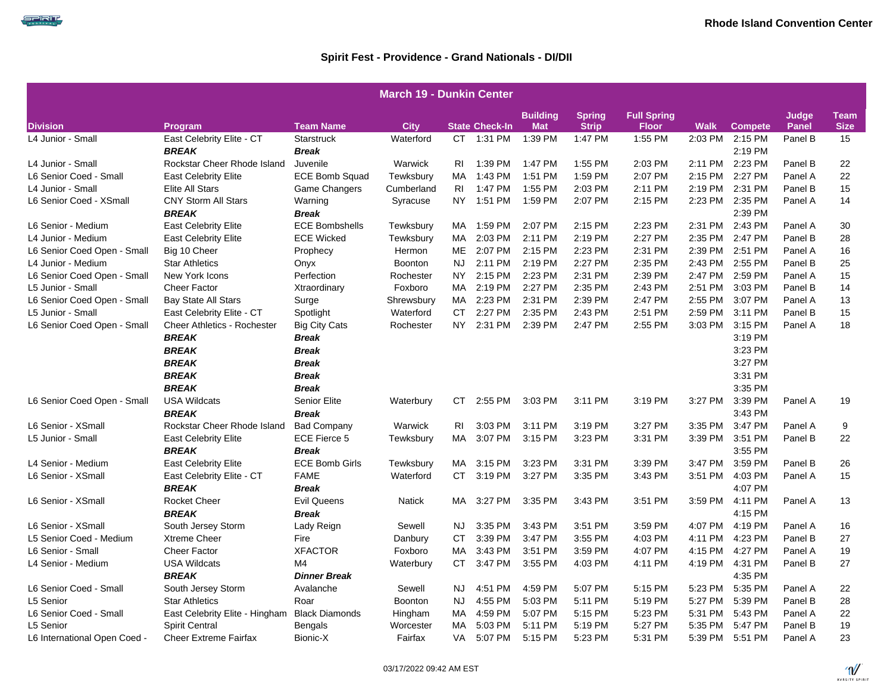SPIRIT

|                              | <b>March 19 - Dunkin Center</b>    |                       |                |      |                       |                               |                               |                                    |             |                 |                       |                            |  |  |
|------------------------------|------------------------------------|-----------------------|----------------|------|-----------------------|-------------------------------|-------------------------------|------------------------------------|-------------|-----------------|-----------------------|----------------------------|--|--|
| <b>Division</b>              | Program                            | <b>Team Name</b>      | <b>City</b>    |      | <b>State Check-In</b> | <b>Building</b><br><b>Mat</b> | <b>Spring</b><br><b>Strip</b> | <b>Full Spring</b><br><b>Floor</b> | <b>Walk</b> | <b>Compete</b>  | Judge<br><b>Panel</b> | <b>Team</b><br><b>Size</b> |  |  |
| L4 Junior - Small            | East Celebrity Elite - CT          | <b>Starstruck</b>     | Waterford      |      | CT 1:31 PM            | 1:39 PM                       | 1:47 PM                       | 1:55 PM                            |             | 2:03 PM 2:15 PM | Panel B               | 15                         |  |  |
|                              | <b>BREAK</b>                       | <b>Break</b>          |                |      |                       |                               |                               |                                    |             | 2:19 PM         |                       |                            |  |  |
| L4 Junior - Small            | Rockstar Cheer Rhode Island        | Juvenile              | Warwick        | RI   | 1:39 PM               | 1:47 PM                       | 1:55 PM                       | 2:03 PM                            |             | 2:11 PM 2:23 PM | Panel B               | 22                         |  |  |
| L6 Senior Coed - Small       | <b>East Celebrity Elite</b>        | <b>ECE Bomb Squad</b> | Tewksbury      | MA.  | 1:43 PM               | 1:51 PM                       | 1:59 PM                       | 2:07 PM                            | 2:15 PM     | 2:27 PM         | Panel A               | 22                         |  |  |
| L4 Junior - Small            | Elite All Stars                    | Game Changers         | Cumberland     | RI   | 1:47 PM               | 1:55 PM                       | 2:03 PM                       | 2:11 PM                            | 2:19 PM     | 2:31 PM         | Panel B               | 15                         |  |  |
| L6 Senior Coed - XSmall      | <b>CNY Storm All Stars</b>         | Warning               | Syracuse       | NY I | 1:51 PM               | 1:59 PM                       | 2:07 PM                       | 2:15 PM                            |             | 2:23 PM 2:35 PM | Panel A               | 14                         |  |  |
|                              | <b>BREAK</b>                       | <b>Break</b>          |                |      |                       |                               |                               |                                    |             | 2:39 PM         |                       |                            |  |  |
| L6 Senior - Medium           | <b>East Celebrity Elite</b>        | <b>ECE Bombshells</b> | Tewksbury      | MA.  | 1:59 PM               | 2:07 PM                       | 2:15 PM                       | 2:23 PM                            |             | 2:31 PM 2:43 PM | Panel A               | 30                         |  |  |
| L4 Junior - Medium           | <b>East Celebrity Elite</b>        | <b>ECE Wicked</b>     | Tewksbury      | MA   | 2:03 PM               | 2:11 PM                       | 2:19 PM                       | 2:27 PM                            | 2:35 PM     | 2:47 PM         | Panel B               | 28                         |  |  |
| L6 Senior Coed Open - Small  | Big 10 Cheer                       | Prophecy              | Hermon         | ME   | 2:07 PM               | 2:15 PM                       | 2:23 PM                       | 2:31 PM                            | 2:39 PM     | 2:51 PM         | Panel A               | 16                         |  |  |
| L4 Junior - Medium           | <b>Star Athletics</b>              | Onyx                  | <b>Boonton</b> | NJ.  | 2:11 PM               | 2:19 PM                       | 2:27 PM                       | 2:35 PM                            | 2:43 PM     | 2:55 PM         | Panel B               | 25                         |  |  |
| L6 Senior Coed Open - Small  | New York Icons                     | Perfection            | Rochester      | NY I | 2:15 PM               | 2:23 PM                       | 2:31 PM                       | 2:39 PM                            |             | 2:47 PM 2:59 PM | Panel A               | 15                         |  |  |
| L5 Junior - Small            | <b>Cheer Factor</b>                | Xtraordinary          | Foxboro        | MA   | 2:19 PM               | 2:27 PM                       | 2:35 PM                       | 2:43 PM                            | 2:51 PM     | 3:03 PM         | Panel B               | 14                         |  |  |
| L6 Senior Coed Open - Small  | <b>Bay State All Stars</b>         | Surge                 | Shrewsbury     | MA   | 2:23 PM               | 2:31 PM                       | 2:39 PM                       | 2:47 PM                            | 2:55 PM     | 3:07 PM         | Panel A               | 13                         |  |  |
| L5 Junior - Small            | East Celebrity Elite - CT          | Spotlight             | Waterford      | CT . | 2:27 PM               | 2:35 PM                       | 2:43 PM                       | 2:51 PM                            | 2:59 PM     | 3:11 PM         | Panel B               | 15                         |  |  |
| L6 Senior Coed Open - Small  | <b>Cheer Athletics - Rochester</b> | <b>Big City Cats</b>  | Rochester      | NY.  | 2:31 PM               | 2:39 PM                       | 2:47 PM                       | 2:55 PM                            | 3:03 PM     | 3:15 PM         | Panel A               | 18                         |  |  |
|                              | <b>BREAK</b>                       | <b>Break</b>          |                |      |                       |                               |                               |                                    |             | 3:19 PM         |                       |                            |  |  |
|                              | <b>BREAK</b>                       | <b>Break</b>          |                |      |                       |                               |                               |                                    |             | 3:23 PM         |                       |                            |  |  |
|                              | <b>BREAK</b>                       | <b>Break</b>          |                |      |                       |                               |                               |                                    |             | 3:27 PM         |                       |                            |  |  |
|                              | <b>BREAK</b>                       | <b>Break</b>          |                |      |                       |                               |                               |                                    |             | 3:31 PM         |                       |                            |  |  |
|                              | <b>BREAK</b>                       | <b>Break</b>          |                |      |                       |                               |                               |                                    |             | 3:35 PM         |                       |                            |  |  |
| L6 Senior Coed Open - Small  | <b>USA Wildcats</b>                | Senior Elite          | Waterbury      | CT.  | 2:55 PM               | 3:03 PM                       | 3:11 PM                       | 3:19 PM                            | 3:27 PM     | 3:39 PM         | Panel A               | 19                         |  |  |
|                              | <b>BREAK</b>                       | <b>Break</b>          |                |      |                       |                               |                               |                                    |             | 3:43 PM         |                       |                            |  |  |
| L6 Senior - XSmall           | Rockstar Cheer Rhode Island        | <b>Bad Company</b>    | Warwick        | RI.  | 3:03 PM               | 3:11 PM                       | 3:19 PM                       | 3:27 PM                            | 3:35 PM     | 3:47 PM         | Panel A               | 9                          |  |  |
| L5 Junior - Small            | <b>East Celebrity Elite</b>        | <b>ECE Fierce 5</b>   | Tewksbury      | МA   | 3:07 PM               | 3:15 PM                       | 3:23 PM                       | 3:31 PM                            | 3:39 PM     | 3:51 PM         | Panel B               | 22                         |  |  |
|                              | <b>BREAK</b>                       | <b>Break</b>          |                |      |                       |                               |                               |                                    |             | 3:55 PM         |                       |                            |  |  |
| L4 Senior - Medium           | <b>East Celebrity Elite</b>        | <b>ECE Bomb Girls</b> | Tewksbury      | MA.  | 3:15 PM               | 3:23 PM                       | 3:31 PM                       | 3:39 PM                            | 3:47 PM     | 3:59 PM         | Panel B               | 26                         |  |  |
| L6 Senior - XSmall           | East Celebrity Elite - CT          | <b>FAME</b>           | Waterford      | CT.  | 3:19 PM               | 3:27 PM                       | 3:35 PM                       | 3:43 PM                            | 3:51 PM     | 4:03 PM         | Panel A               | 15                         |  |  |
|                              | <b>BREAK</b>                       | <b>Break</b>          |                |      |                       |                               |                               |                                    |             | 4:07 PM         |                       |                            |  |  |
| L6 Senior - XSmall           | <b>Rocket Cheer</b>                | <b>Evil Queens</b>    | <b>Natick</b>  | MA.  | 3:27 PM               | 3:35 PM                       | 3:43 PM                       | 3:51 PM                            | 3:59 PM     | 4:11 PM         | Panel A               | 13                         |  |  |
|                              | <b>BREAK</b>                       | <b>Break</b>          |                |      |                       |                               |                               |                                    |             | 4:15 PM         |                       |                            |  |  |
| L6 Senior - XSmall           | South Jersey Storm                 | Lady Reign            | Sewell         | NJ.  | 3:35 PM               | 3:43 PM                       | 3:51 PM                       | 3:59 PM                            | 4:07 PM     | 4:19 PM         | Panel A               | 16                         |  |  |
| L5 Senior Coed - Medium      | <b>Xtreme Cheer</b>                | Fire                  | Danbury        | CT.  | 3:39 PM               | 3:47 PM                       | 3:55 PM                       | 4:03 PM                            | 4:11 PM     | 4:23 PM         | Panel B               | 27                         |  |  |
| L6 Senior - Small            | <b>Cheer Factor</b>                | <b>XFACTOR</b>        | Foxboro        | MA   | 3:43 PM               | 3:51 PM                       | 3:59 PM                       | 4:07 PM                            | 4:15 PM     | 4:27 PM         | Panel A               | 19                         |  |  |
| L4 Senior - Medium           | <b>USA Wildcats</b>                | M4                    | Waterbury      | CT.  | 3:47 PM               | 3:55 PM                       | 4:03 PM                       | 4:11 PM                            | 4:19 PM     | 4:31 PM         | Panel B               | 27                         |  |  |
|                              | <b>BREAK</b>                       | <b>Dinner Break</b>   |                |      |                       |                               |                               |                                    |             | 4:35 PM         |                       |                            |  |  |
| L6 Senior Coed - Small       | South Jersey Storm                 | Avalanche             | Sewell         | NJ.  | 4:51 PM               | 4:59 PM                       | 5:07 PM                       | 5:15 PM                            | 5:23 PM     | 5:35 PM         | Panel A               | 22                         |  |  |
| L5 Senior                    | <b>Star Athletics</b>              | Roar                  | <b>Boonton</b> | NJ.  | 4:55 PM               | 5:03 PM                       | 5:11 PM                       | 5:19 PM                            | 5:27 PM     | 5:39 PM         | Panel B               | 28                         |  |  |
| L6 Senior Coed - Small       | East Celebrity Elite - Hingham     | <b>Black Diamonds</b> | Hingham        | МA   | 4:59 PM               | 5:07 PM                       | 5:15 PM                       | 5:23 PM                            | 5:31 PM     | 5:43 PM         | Panel A               | 22                         |  |  |
| L5 Senior                    | <b>Spirit Central</b>              | Bengals               | Worcester      | МA   | 5:03 PM               | 5:11 PM                       | 5:19 PM                       | 5:27 PM                            | 5:35 PM     | 5:47 PM         | Panel B               | 19                         |  |  |
| L6 International Open Coed - | <b>Cheer Extreme Fairfax</b>       | Bionic-X              | Fairfax        | VA.  | 5:07 PM               | 5:15 PM                       | 5:23 PM                       | 5:31 PM                            | 5:39 PM     | 5:51 PM         | Panel A               | 23                         |  |  |

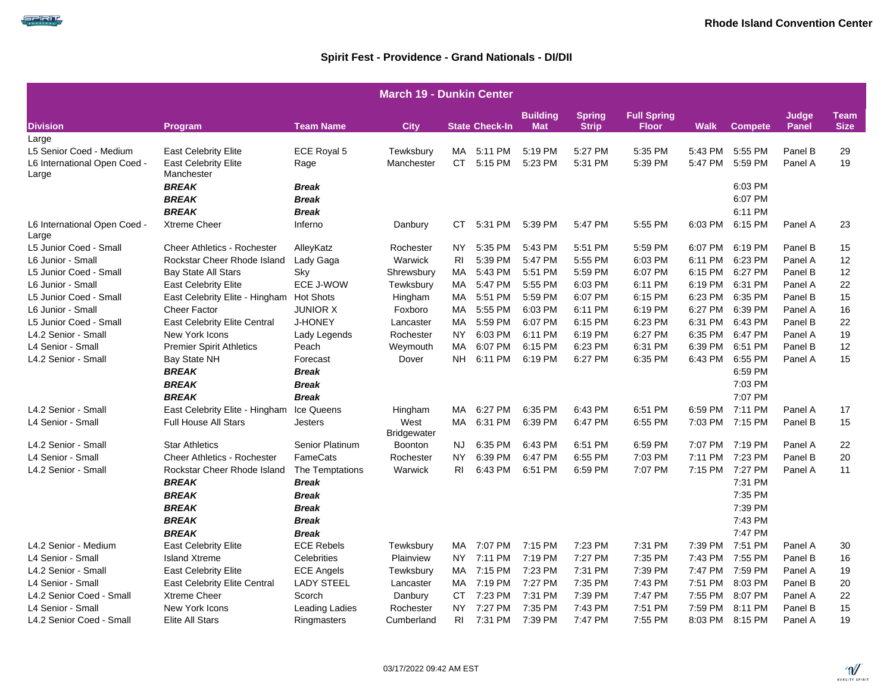|                                                                  | <b>March 19 - Dunkin Center</b>                                          |                                 |                            |                 |                       |                               |                               |                                    |                    |                            |                       |                            |  |  |
|------------------------------------------------------------------|--------------------------------------------------------------------------|---------------------------------|----------------------------|-----------------|-----------------------|-------------------------------|-------------------------------|------------------------------------|--------------------|----------------------------|-----------------------|----------------------------|--|--|
| <b>Division</b>                                                  | Program                                                                  | <b>Team Name</b>                | <b>City</b>                |                 | <b>State Check-In</b> | <b>Building</b><br><b>Mat</b> | <b>Spring</b><br><b>Strip</b> | <b>Full Spring</b><br><b>Floor</b> | <b>Walk</b>        | <b>Compete</b>             | Judge<br><b>Panel</b> | <b>Team</b><br><b>Size</b> |  |  |
| Large                                                            |                                                                          |                                 |                            |                 |                       |                               |                               |                                    |                    |                            |                       |                            |  |  |
| L5 Senior Coed - Medium<br>L6 International Open Coed -<br>Large | <b>East Celebrity Elite</b><br><b>East Celebrity Elite</b><br>Manchester | ECE Royal 5<br>Rage             | Tewksbury<br>Manchester    | MA<br>CT.       | 5:11 PM<br>5:15 PM    | 5:19 PM<br>5:23 PM            | 5:27 PM<br>5:31 PM            | 5:35 PM<br>5:39 PM                 | 5:43 PM<br>5:47 PM | 5:55 PM<br>5:59 PM         | Panel B<br>Panel A    | 29<br>19                   |  |  |
|                                                                  | <b>BREAK</b><br><b>BREAK</b>                                             | <b>Break</b><br><b>Break</b>    |                            |                 |                       |                               |                               |                                    |                    | 6:03 PM<br>6:07 PM         |                       |                            |  |  |
|                                                                  | <b>BREAK</b>                                                             | <b>Break</b>                    |                            |                 |                       |                               |                               |                                    |                    | 6:11 PM                    |                       |                            |  |  |
| L6 International Open Coed -<br>Large                            | <b>Xtreme Cheer</b>                                                      | Inferno                         | Danbury                    | CT.             | 5:31 PM               | 5:39 PM                       | 5:47 PM                       | 5:55 PM                            | 6:03 PM            | 6:15 PM                    | Panel A               | 23                         |  |  |
| L5 Junior Coed - Small                                           | <b>Cheer Athletics - Rochester</b>                                       | AlleyKatz                       | Rochester                  | NY.             | 5:35 PM               | 5:43 PM                       | 5:51 PM                       | 5:59 PM                            | 6:07 PM            | 6:19 PM                    | Panel B               | 15                         |  |  |
| L6 Junior - Small                                                | Rockstar Cheer Rhode Island                                              | Lady Gaga                       | Warwick                    | R <sub>1</sub>  | 5:39 PM               | 5:47 PM                       | 5:55 PM                       | 6:03 PM                            | 6:11 PM            | 6:23 PM                    | Panel A               | 12 <sup>2</sup>            |  |  |
| L5 Junior Coed - Small                                           | <b>Bay State All Stars</b>                                               | Sky                             | Shrewsbury                 | MA.             | 5:43 PM               | 5:51 PM                       | 5:59 PM                       | 6:07 PM                            | 6:15 PM            | 6:27 PM                    | Panel B               | 12                         |  |  |
| L6 Junior - Small                                                | <b>East Celebrity Elite</b>                                              | ECE J-WOW                       | Tewksbury                  | MA.             | 5:47 PM               | 5:55 PM                       | 6:03 PM                       | 6:11 PM                            | 6:19 PM            | 6:31 PM                    | Panel A               | 22                         |  |  |
| L5 Junior Coed - Small                                           | East Celebrity Elite - Hingham                                           | <b>Hot Shots</b>                | Hingham                    | MA              | 5:51 PM               | 5:59 PM                       | 6:07 PM                       | 6:15 PM                            | 6:23 PM            | 6:35 PM                    | Panel B               | 15                         |  |  |
| L6 Junior - Small                                                | <b>Cheer Factor</b>                                                      | <b>JUNIOR X</b>                 | Foxboro                    | МA              | 5:55 PM               | 6:03 PM                       | 6:11 PM                       | 6:19 PM                            | 6:27 PM            | 6:39 PM                    | Panel A               | 16                         |  |  |
| L5 Junior Coed - Small                                           | <b>East Celebrity Elite Central</b>                                      | <b>J-HONEY</b>                  | Lancaster                  | MA.             | 5:59 PM               | 6:07 PM                       | 6:15 PM                       | 6:23 PM                            | 6:31 PM            | 6:43 PM                    | Panel B               | 22                         |  |  |
| L4.2 Senior - Small                                              | New York Icons                                                           | Lady Legends                    | Rochester                  | NY.             | 6:03 PM               | 6:11 PM                       | 6:19 PM                       | 6:27 PM                            | 6:35 PM            | 6:47 PM                    | Panel A               | 19                         |  |  |
| L4 Senior - Small                                                | <b>Premier Spirit Athletics</b>                                          | Peach                           | Weymouth                   | МA              | 6:07 PM               | 6:15 PM                       | 6:23 PM                       | 6:31 PM                            | 6:39 PM            | 6:51 PM                    | Panel B               | 12                         |  |  |
| L4.2 Senior - Small                                              | Bay State NH<br><b>BREAK</b>                                             | Forecast<br><b>Break</b>        | Dover                      | NH              | 6:11 PM               | 6:19 PM                       | 6:27 PM                       | 6:35 PM                            | 6:43 PM            | 6:55 PM<br>6:59 PM         | Panel A               | 15                         |  |  |
|                                                                  | <b>BREAK</b><br><b>BREAK</b>                                             | <b>Break</b><br><b>Break</b>    |                            |                 |                       |                               |                               |                                    |                    | 7:03 PM<br>7:07 PM         |                       |                            |  |  |
| L4.2 Senior - Small                                              | East Celebrity Elite - Hingham                                           | Ice Queens                      | Hingham                    | МA              | 6:27 PM               | 6:35 PM                       | 6:43 PM                       | 6:51 PM                            | 6:59 PM            | 7:11 PM                    | Panel A               | 17                         |  |  |
| L4 Senior - Small                                                | <b>Full House All Stars</b>                                              | Jesters                         | West<br><b>Bridgewater</b> | MA              | 6:31 PM               | 6:39 PM                       | 6:47 PM                       | 6:55 PM                            |                    | 7:03 PM 7:15 PM            | Panel B               | 15                         |  |  |
| L4.2 Senior - Small                                              | <b>Star Athletics</b>                                                    | Senior Platinum                 | Boonton                    | NJ.             | 6:35 PM               | 6:43 PM                       | 6:51 PM                       | 6:59 PM                            | 7:07 PM            | 7:19 PM                    | Panel A               | 22                         |  |  |
| L4 Senior - Small                                                | <b>Cheer Athletics - Rochester</b>                                       | FameCats                        | Rochester                  | NY.             | 6:39 PM               | 6:47 PM                       | 6:55 PM                       | 7:03 PM                            |                    | 7:11 PM 7:23 PM            | Panel B               | 20                         |  |  |
| L4.2 Senior - Small                                              | Rockstar Cheer Rhode Island<br><b>BREAK</b>                              | The Temptations<br><b>Break</b> | Warwick                    | RI              | 6:43 PM               | 6:51 PM                       | 6:59 PM                       | 7:07 PM                            | 7:15 PM            | 7:27 PM<br>7:31 PM         | Panel A               | 11                         |  |  |
|                                                                  | <b>BREAK</b><br><b>BREAK</b>                                             | <b>Break</b><br><b>Break</b>    |                            |                 |                       |                               |                               |                                    |                    | 7:35 PM<br>7:39 PM         |                       |                            |  |  |
|                                                                  | <b>BREAK</b>                                                             | <b>Break</b>                    |                            |                 |                       |                               |                               |                                    |                    | 7:43 PM                    |                       |                            |  |  |
|                                                                  | <b>BREAK</b>                                                             | <b>Break</b>                    |                            |                 |                       |                               |                               |                                    |                    | 7:47 PM                    |                       |                            |  |  |
| L4.2 Senior - Medium                                             | <b>East Celebrity Elite</b>                                              | <b>ECE Rebels</b>               | Tewksbury                  | MA.             | 7:07 PM               | 7:15 PM                       | 7:23 PM                       | 7:31 PM                            | 7:39 PM            | 7:51 PM                    | Panel A               | 30                         |  |  |
| L4 Senior - Small                                                | <b>Island Xtreme</b>                                                     | Celebrities                     | Plainview                  | NY.             | 7:11 PM               | 7:19 PM                       | 7:27 PM                       | 7:35 PM                            | 7:43 PM            | 7:55 PM                    | Panel B               | 16                         |  |  |
| L4.2 Senior - Small                                              | <b>East Celebrity Elite</b>                                              | <b>ECE Angels</b>               | Tewksbury                  | MA.             | 7:15 PM               | 7:23 PM                       | 7:31 PM                       | 7:39 PM                            | 7:47 PM            | 7:59 PM                    | Panel A               | 19                         |  |  |
| L4 Senior - Small                                                | <b>East Celebrity Elite Central</b>                                      | <b>LADY STEEL</b>               | Lancaster                  | MA.             | 7:19 PM               | 7:27 PM                       | 7:35 PM                       | 7:43 PM                            | 7:51 PM            | 8:03 PM                    | Panel B               | 20                         |  |  |
| L4.2 Senior Coed - Small                                         | <b>Xtreme Cheer</b>                                                      | Scorch                          | Danbury                    | CT.             | 7:23 PM               | 7:31 PM                       | 7:39 PM                       | 7:47 PM                            | 7:55 PM            | 8:07 PM                    | Panel A               | 22                         |  |  |
| L4 Senior - Small<br>L4.2 Senior Coed - Small                    | New York Icons<br>Elite All Stars                                        | Leading Ladies<br>Ringmasters   | Rochester<br>Cumberland    | <b>NY</b><br>RI | 7:27 PM<br>7:31 PM    | 7:35 PM<br>7:39 PM            | 7:43 PM<br>7:47 PM            | 7:51 PM<br>7:55 PM                 | 7:59 PM            | 8:11 PM<br>8:03 PM 8:15 PM | Panel B<br>Panel A    | 15<br>19                   |  |  |

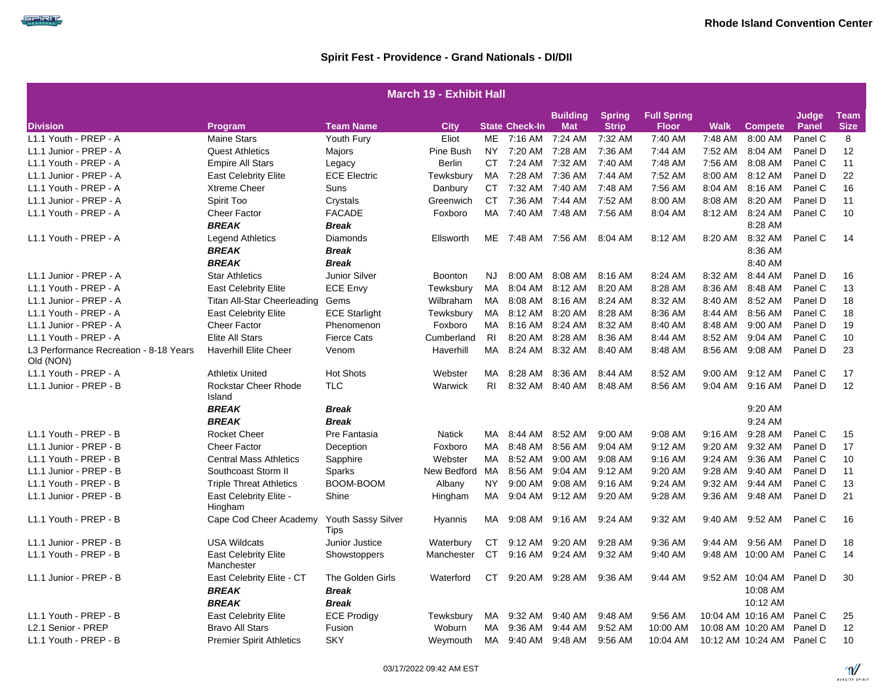|                                                     | <b>March 19 - Exhibit Hall</b>        |                            |                |                |                       |                 |               |                    |             |                   |         |             |  |  |
|-----------------------------------------------------|---------------------------------------|----------------------------|----------------|----------------|-----------------------|-----------------|---------------|--------------------|-------------|-------------------|---------|-------------|--|--|
|                                                     |                                       |                            |                |                |                       | <b>Building</b> | <b>Spring</b> | <b>Full Spring</b> |             |                   | Judge   | <b>Team</b> |  |  |
| <b>Division</b>                                     | <b>Program</b>                        | Team Name                  | City           |                | <b>State Check-In</b> | <b>Mat</b>      | <b>Strip</b>  | <b>Floor</b>       | <b>Walk</b> | <b>Compete</b>    | Panel   | <b>Size</b> |  |  |
| L1.1 Youth - PREP - A                               | <b>Maine Stars</b>                    | Youth Fury                 | Eliot          | ME             | 7:16 AM               | 7:24 AM         | 7:32 AM       | 7:40 AM            | 7:48 AM     | 8:00 AM           | Panel C | 8           |  |  |
| L1.1 Junior - PREP - A                              | <b>Quest Athletics</b>                | Majors                     | Pine Bush      | NY.            | 7:20 AM               | 7:28 AM         | 7:36 AM       | 7:44 AM            | 7:52 AM     | 8:04 AM           | Panel D | 12          |  |  |
| L1.1 Youth - PREP - A                               | <b>Empire All Stars</b>               | Legacy                     | <b>Berlin</b>  |                | CT 7:24 AM            | 7:32 AM         | 7:40 AM       | 7:48 AM            | 7:56 AM     | 8:08 AM           | Panel C | 11          |  |  |
| L1.1 Junior - PREP - A                              | <b>East Celebrity Elite</b>           | <b>ECE Electric</b>        | Tewksbury      | MA             | 7:28 AM               | 7:36 AM         | 7:44 AM       | 7:52 AM            | 8:00 AM     | 8:12 AM           | Panel D | 22          |  |  |
| L1.1 Youth - PREP - A                               | <b>Xtreme Cheer</b>                   | Suns                       | Danbury        | CT .           | 7:32 AM               | 7:40 AM         | 7:48 AM       | 7:56 AM            | 8:04 AM     | 8:16 AM           | Panel C | 16          |  |  |
| L1.1 Junior - PREP - A                              | Spirit Too                            | Crystals                   | Greenwich      | CT.            | 7:36 AM 7:44 AM       |                 | 7:52 AM       | 8:00 AM            | 8:08 AM     | 8:20 AM           | Panel D | 11          |  |  |
| L1.1 Youth - PREP - A                               | <b>Cheer Factor</b>                   | <b>FACADE</b>              | Foxboro        | MA             | 7:40 AM               | 7:48 AM         | 7:56 AM       | 8:04 AM            | 8:12 AM     | 8:24 AM           | Panel C | 10          |  |  |
|                                                     | <b>BREAK</b>                          | <b>Break</b>               |                |                |                       |                 |               |                    |             | 8:28 AM           |         |             |  |  |
| L1.1 Youth - PREP - A                               | <b>Legend Athletics</b>               | <b>Diamonds</b>            | Ellsworth      |                | ME 7:48 AM 7:56 AM    |                 | 8:04 AM       | 8:12 AM            | 8:20 AM     | 8:32 AM           | Panel C | 14          |  |  |
|                                                     | <b>BREAK</b>                          | <b>Break</b>               |                |                |                       |                 |               |                    |             | 8:36 AM           |         |             |  |  |
|                                                     | <b>BREAK</b>                          | <b>Break</b>               |                |                |                       |                 |               |                    |             | 8:40 AM           |         |             |  |  |
| L1.1 Junior - PREP - A                              | <b>Star Athletics</b>                 | <b>Junior Silver</b>       | <b>Boonton</b> | NJ             | 8:00 AM               | 8:08 AM         | 8:16 AM       | 8:24 AM            | 8:32 AM     | 8:44 AM           | Panel D | 16          |  |  |
| L1.1 Youth - PREP - A                               | <b>East Celebrity Elite</b>           | <b>ECE Envy</b>            | Tewksbury      | <b>MA</b>      | 8:04 AM               | 8:12 AM         | 8:20 AM       | 8:28 AM            | 8:36 AM     | 8:48 AM           | Panel C | 13          |  |  |
| L1.1 Junior - PREP - A                              | <b>Titan All-Star Cheerleading</b>    | Gems                       | Wilbraham      | MA             | 8:08 AM               | 8:16 AM         | 8:24 AM       | 8:32 AM            | 8:40 AM     | 8:52 AM           | Panel D | 18          |  |  |
| L1.1 Youth - PREP - A                               | <b>East Celebrity Elite</b>           | <b>ECE Starlight</b>       | Tewksbury      | MA             | 8:12 AM               | 8:20 AM         | 8:28 AM       | 8:36 AM            | 8:44 AM     | 8:56 AM           | Panel C | 18          |  |  |
| L1.1 Junior - PREP - A                              | Cheer Factor                          | Phenomenon                 | Foxboro        | MA             | 8:16 AM               | 8:24 AM         | 8:32 AM       | 8:40 AM            | 8:48 AM     | $9:00$ AM         | Panel D | 19          |  |  |
| L1.1 Youth - PREP - A                               | <b>Elite All Stars</b>                | <b>Fierce Cats</b>         | Cumberland     | R <sub>1</sub> | 8:20 AM               | 8:28 AM         | 8:36 AM       | 8:44 AM            | 8:52 AM     | 9:04 AM           | Panel C | 10          |  |  |
| L3 Performance Recreation - 8-18 Years<br>Old (NON) | <b>Haverhill Elite Cheer</b>          | Venom                      | Haverhill      | MA             | 8:24 AM               | 8:32 AM         | 8:40 AM       | 8:48 AM            | 8:56 AM     | 9:08 AM           | Panel D | 23          |  |  |
| L1.1 Youth - PREP - A                               | <b>Athletix United</b>                | <b>Hot Shots</b>           | Webster        | <b>MA</b>      | 8:28 AM               | 8:36 AM         | 8:44 AM       | 8:52 AM            | 9:00 AM     | 9:12 AM           | Panel C | 17          |  |  |
| L1.1 Junior - PREP - B                              | <b>Rockstar Cheer Rhode</b><br>Island | <b>TLC</b>                 | Warwick        | R <sub>1</sub> | 8:32 AM               | 8:40 AM         | 8:48 AM       | 8:56 AM            | 9:04 AM     | $9:16$ AM         | Panel D | 12          |  |  |
|                                                     | <b>BREAK</b>                          | <b>Break</b>               |                |                |                       |                 |               |                    |             | 9:20 AM           |         |             |  |  |
|                                                     | <b>BREAK</b>                          | <b>Break</b>               |                |                |                       |                 |               |                    |             | 9:24 AM           |         |             |  |  |
| L1.1 Youth - PREP - B                               | <b>Rocket Cheer</b>                   | Pre Fantasia               | Natick         | MA             | 8:44 AM               | 8:52 AM         | 9:00 AM       | 9:08 AM            | 9:16 AM     | 9:28 AM           | Panel C | 15          |  |  |
| L1.1 Junior - PREP - B                              | <b>Cheer Factor</b>                   | Deception                  | Foxboro        | MA             | 8:48 AM               | 8:56 AM         | $9:04$ AM     | $9:12$ AM          | 9:20 AM     | 9:32 AM           | Panel D | 17          |  |  |
| L1.1 Youth - PREP - B                               | <b>Central Mass Athletics</b>         | Sapphire                   | Webster        | MA             | 8:52 AM               | 9:00 AM         | 9:08 AM       | 9:16 AM            | $9:24$ AM   | 9:36 AM           | Panel C | 10          |  |  |
| L1.1 Junior - PREP - B                              | Southcoast Storm II                   | Sparks                     | New Bedford    | MA             | 8:56 AM               | 9:04 AM         | 9:12 AM       | 9:20 AM            | 9:28 AM     | 9:40 AM           | Panel D | 11          |  |  |
| L1.1 Youth - PREP - B                               | <b>Triple Threat Athletics</b>        | BOOM-BOOM                  | Albany         | NY.            | 9:00 AM               | 9:08 AM         | 9:16 AM       | 9:24 AM            | 9:32 AM     | $9:44$ AM         | Panel C | 13          |  |  |
| L1.1 Junior - PREP - B                              | East Celebrity Elite -<br>Hingham     | Shine                      | Hingham        | MA             | 9:04 AM               | 9:12 AM         | 9:20 AM       | 9:28 AM            | 9:36 AM     | 9:48 AM           | Panel D | 21          |  |  |
| L1.1 Youth - PREP - B                               | Cape Cod Cheer Academy                | Youth Sassy Silver<br>Tips | Hyannis        | MA             | $9:08$ AM             | 9:16 AM         | 9:24 AM       | 9:32 AM            | 9:40 AM     | 9:52 AM           | Panel C | 16          |  |  |
| L1.1 Junior - PREP - B                              | <b>USA Wildcats</b>                   | Junior Justice             | Waterbury      | СT             | 9:12 AM               | 9:20 AM         | 9:28 AM       | 9:36 AM            | 9:44 AM     | 9:56 AM           | Panel D | 18          |  |  |
| L1.1 Youth - PREP - B                               | <b>East Celebrity Elite</b>           | Showstoppers               | Manchester     | CT             | 9:16 AM               | 9:24 AM         | 9:32 AM       | 9:40 AM            | 9:48 AM     | 10:00 AM          | Panel C | 14          |  |  |
|                                                     | Manchester                            |                            |                |                |                       |                 |               |                    |             |                   |         |             |  |  |
| L1.1 Junior - PREP - B                              | East Celebrity Elite - CT             | The Golden Girls           | Waterford      | СT             | 9:20 AM               | 9:28 AM         | 9:36 AM       | 9:44 AM            | $9:52$ AM   | 10:04 AM          | Panel D | 30          |  |  |
|                                                     | <b>BREAK</b>                          | <b>Break</b>               |                |                |                       |                 |               |                    |             | 10:08 AM          |         |             |  |  |
|                                                     | <b>BREAK</b>                          | <b>Break</b>               |                |                |                       |                 |               |                    |             | 10:12 AM          |         |             |  |  |
| L1.1 Youth - PREP - B                               | <b>East Celebrity Elite</b>           | <b>ECE Prodigy</b>         | Tewksbury      | MA             | 9:32 AM               | 9:40 AM         | 9:48 AM       | 9:56 AM            |             | 10:04 AM 10:16 AM | Panel C | 25          |  |  |
| L2.1 Senior - PREP                                  | <b>Bravo All Stars</b>                | Fusion                     | Woburn         | MA             | 9:36 AM               | $9:44$ AM       | 9:52 AM       | 10:00 AM           |             | 10:08 AM 10:20 AM | Panel D | 12          |  |  |
| L1.1 Youth - PREP - B                               | <b>Premier Spirit Athletics</b>       | <b>SKY</b>                 | Wevmouth       | <b>MA</b>      | 9:40 AM               | 9:48 AM         | 9:56 AM       | 10:04 AM           |             | 10:12 AM 10:24 AM | Panel C | 10          |  |  |

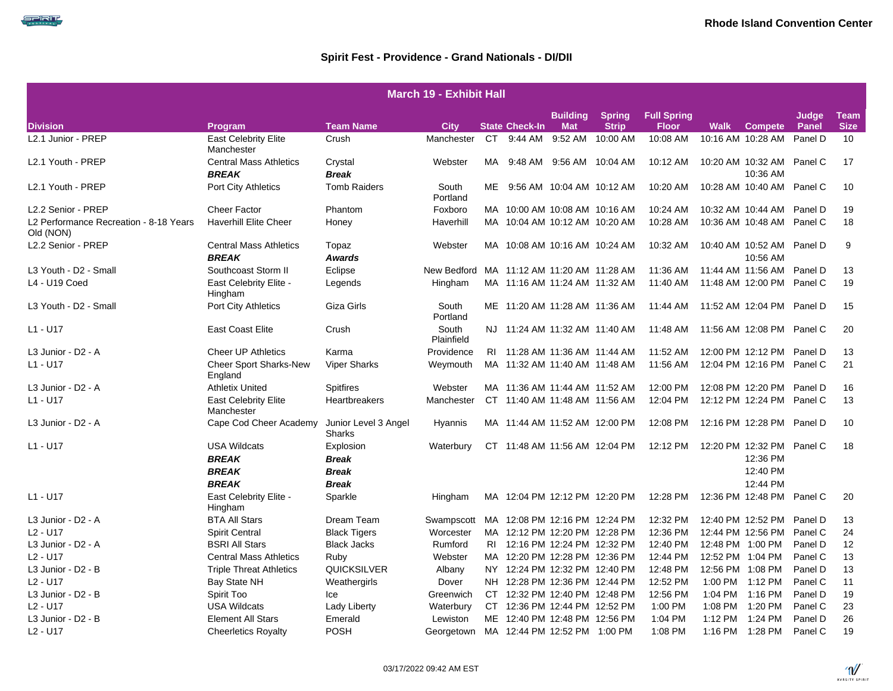SPRIT

|                                                                 | <b>March 19 - Exhibit Hall</b>                |                                |                     |           |                               |                            |              |              |             |                               |         |             |  |  |
|-----------------------------------------------------------------|-----------------------------------------------|--------------------------------|---------------------|-----------|-------------------------------|----------------------------|--------------|--------------|-------------|-------------------------------|---------|-------------|--|--|
| <b>Building</b><br><b>Spring</b><br><b>Full Spring</b><br>Judge |                                               |                                |                     |           |                               |                            |              |              |             |                               |         | <b>Team</b> |  |  |
| <b>Division</b>                                                 | Program                                       | <b>Team Name</b>               | <b>City</b>         |           | <b>State Check-In</b>         | <b>Mat</b>                 | <b>Strip</b> | <b>Floor</b> | <b>Walk</b> | <b>Compete</b>                | Panel   | <b>Size</b> |  |  |
| L2.1 Junior - PREP                                              | <b>East Celebrity Elite</b><br>Manchester     | Crush                          | Manchester          | CT.       |                               | 9:44 AM 9:52 AM            | 10:00 AM     | 10:08 AM     |             | 10:16 AM 10:28 AM             | Panel D | 10          |  |  |
| L2.1 Youth - PREP                                               | <b>Central Mass Athletics</b><br><b>BREAK</b> | Crystal<br><b>Break</b>        | Webster             | MA        |                               | 9:48 AM 9:56 AM 10:04 AM   |              | 10:12 AM     |             | 10:20 AM 10:32 AM<br>10:36 AM | Panel C | 17          |  |  |
| L <sub>2.1</sub> Youth - PREP                                   | <b>Port City Athletics</b>                    | <b>Tomb Raiders</b>            | South<br>Portland   | ME        |                               |                            |              | 10:20 AM     |             | 10:28 AM 10:40 AM             | Panel C | 10          |  |  |
| L2.2 Senior - PREP                                              | <b>Cheer Factor</b>                           | Phantom                        | Foxboro             |           | MA 10:00 AM 10:08 AM 10:16 AM |                            |              | 10:24 AM     |             | 10:32 AM 10:44 AM             | Panel D | 19          |  |  |
| L2 Performance Recreation - 8-18 Years<br>Old (NON)             | <b>Haverhill Elite Cheer</b>                  | Honey                          | Haverhill           |           | MA 10:04 AM 10:12 AM 10:20 AM |                            |              | 10:28 AM     |             | 10:36 AM 10:48 AM             | Panel C | 18          |  |  |
| L2.2 Senior - PREP                                              | <b>Central Mass Athletics</b>                 | Topaz                          | Webster             |           | MA 10:08 AM 10:16 AM 10:24 AM |                            |              | 10:32 AM     |             | 10:40 AM 10:52 AM             | Panel D | 9           |  |  |
|                                                                 | <b>BREAK</b>                                  | <b>Awards</b>                  |                     |           |                               |                            |              |              |             | 10:56 AM                      |         |             |  |  |
| L3 Youth - D2 - Small                                           | Southcoast Storm II                           | Eclipse                        | New Bedford         |           | MA 11:12 AM 11:20 AM 11:28 AM |                            |              | 11:36 AM     |             | 11:44 AM 11:56 AM             | Panel D | 13          |  |  |
| L4 - U19 Coed                                                   | East Celebrity Elite -<br>Hingham             | Legends                        | Hingham             |           | MA 11:16 AM 11:24 AM 11:32 AM |                            |              | 11:40 AM     |             | 11:48 AM 12:00 PM             | Panel C | 19          |  |  |
| L3 Youth - D2 - Small                                           | Port City Athletics                           | Giza Girls                     | South<br>Portland   |           | ME 11:20 AM 11:28 AM 11:36 AM |                            |              | 11:44 AM     |             | 11:52 AM 12:04 PM             | Panel D | 15          |  |  |
| $L1 - U17$                                                      | <b>East Coast Elite</b>                       | Crush                          | South<br>Plainfield | NJ.       | 11:24 AM 11:32 AM 11:40 AM    |                            |              | 11:48 AM     |             | 11:56 AM 12:08 PM Panel C     |         | 20          |  |  |
| L3 Junior - D2 - A                                              | <b>Cheer UP Athletics</b>                     | Karma                          | Providence          | RL        | 11:28 AM 11:36 AM 11:44 AM    |                            |              | 11:52 AM     |             | 12:00 PM 12:12 PM             | Panel D | 13          |  |  |
| $L1 - U17$                                                      | <b>Cheer Sport Sharks-New</b><br>England      | <b>Viper Sharks</b>            | Weymouth            |           | MA 11:32 AM 11:40 AM 11:48 AM |                            |              | 11:56 AM     |             | 12:04 PM 12:16 PM             | Panel C | 21          |  |  |
| L3 Junior - D2 - A                                              | <b>Athletix United</b>                        | <b>Spitfires</b>               | Webster             |           | MA 11:36 AM 11:44 AM 11:52 AM |                            |              | 12:00 PM     |             | 12:08 PM 12:20 PM             | Panel D | 16          |  |  |
| $L1 - U17$                                                      | <b>East Celebrity Elite</b><br>Manchester     | Heartbreakers                  | Manchester          |           | CT 11:40 AM 11:48 AM 11:56 AM |                            |              | 12:04 PM     |             | 12:12 PM 12:24 PM             | Panel C | 13          |  |  |
| L3 Junior - D2 - A                                              | Cape Cod Cheer Academy                        | Junior Level 3 Angel<br>Sharks | Hyannis             |           | MA 11:44 AM 11:52 AM 12:00 PM |                            |              | 12:08 PM     |             | 12:16 PM 12:28 PM             | Panel D | 10          |  |  |
| $L1 - U17$                                                      | <b>USA Wildcats</b><br><b>BREAK</b>           | Explosion<br><b>Break</b>      | Waterbury           |           | CT 11:48 AM 11:56 AM 12:04 PM |                            |              | 12:12 PM     |             | 12:20 PM 12:32 PM<br>12:36 PM | Panel C | 18          |  |  |
|                                                                 | <b>BREAK</b>                                  | <b>Break</b>                   |                     |           |                               |                            |              |              |             | 12:40 PM                      |         |             |  |  |
|                                                                 | <b>BREAK</b>                                  | <b>Break</b>                   |                     |           |                               |                            |              |              |             | 12:44 PM                      |         |             |  |  |
| $L1 - U17$                                                      | East Celebrity Elite -<br>Hingham             | Sparkle                        | Hingham             |           | MA 12:04 PM 12:12 PM 12:20 PM |                            |              | 12:28 PM     |             | 12:36 PM 12:48 PM             | Panel C | 20          |  |  |
| L3 Junior - D2 - A                                              | <b>BTA All Stars</b>                          | Dream Team                     | Swampscott          |           | MA 12:08 PM 12:16 PM 12:24 PM |                            |              | 12:32 PM     |             | 12:40 PM 12:52 PM             | Panel D | 13          |  |  |
| $L2 - U17$                                                      | <b>Spirit Central</b>                         | <b>Black Tigers</b>            | Worcester           |           | MA 12:12 PM 12:20 PM 12:28 PM |                            |              | 12:36 PM     |             | 12:44 PM 12:56 PM             | Panel C | 24          |  |  |
| L3 Junior - D2 - A                                              | <b>BSRI All Stars</b>                         | <b>Black Jacks</b>             | Rumford             | RI        | 12:16 PM 12:24 PM 12:32 PM    |                            |              | 12:40 PM     |             | 12:48 PM 1:00 PM              | Panel D | 12          |  |  |
| $L2 - U17$                                                      | <b>Central Mass Athletics</b>                 | Ruby                           | Webster             |           | MA 12:20 PM 12:28 PM 12:36 PM |                            |              | 12:44 PM     |             | 12:52 PM 1:04 PM              | Panel C | 13          |  |  |
| L3 Junior - D2 - B                                              | <b>Triple Threat Athletics</b>                | <b>QUICKSILVER</b>             | Albany              |           | NY 12:24 PM 12:32 PM 12:40 PM |                            |              | 12:48 PM     |             | 12:56 PM 1:08 PM              | Panel D | 13          |  |  |
| $L2 - U17$                                                      | Bay State NH                                  | Weathergirls                   | Dover               |           | NH 12:28 PM 12:36 PM 12:44 PM |                            |              | 12:52 PM     |             | 1:00 PM 1:12 PM               | Panel C | 11          |  |  |
| L3 Junior - D2 - B                                              | Spirit Too                                    | Ice                            | Greenwich           | <b>CT</b> |                               | 12:32 PM 12:40 PM 12:48 PM |              | 12:56 PM     | 1:04 PM     | 1:16 PM                       | Panel D | 19          |  |  |
| $L2 - U17$                                                      | <b>USA Wildcats</b>                           | Lady Liberty                   | Waterbury           | CT.       | 12:36 PM 12:44 PM 12:52 PM    |                            |              | 1:00 PM      | 1:08 PM     | 1:20 PM                       | Panel C | 23          |  |  |
| L3 Junior - D2 - B                                              | <b>Element All Stars</b>                      | Emerald                        | Lewiston            |           | ME 12:40 PM 12:48 PM 12:56 PM |                            |              | 1:04 PM      |             | 1:12 PM 1:24 PM               | Panel D | 26          |  |  |
| $L2 - U17$                                                      | <b>Cheerletics Royalty</b>                    | <b>POSH</b>                    | Georgetown          |           | MA 12:44 PM 12:52 PM 1:00 PM  |                            |              | 1:08 PM      |             | 1:16 PM 1:28 PM               | Panel C | 19          |  |  |

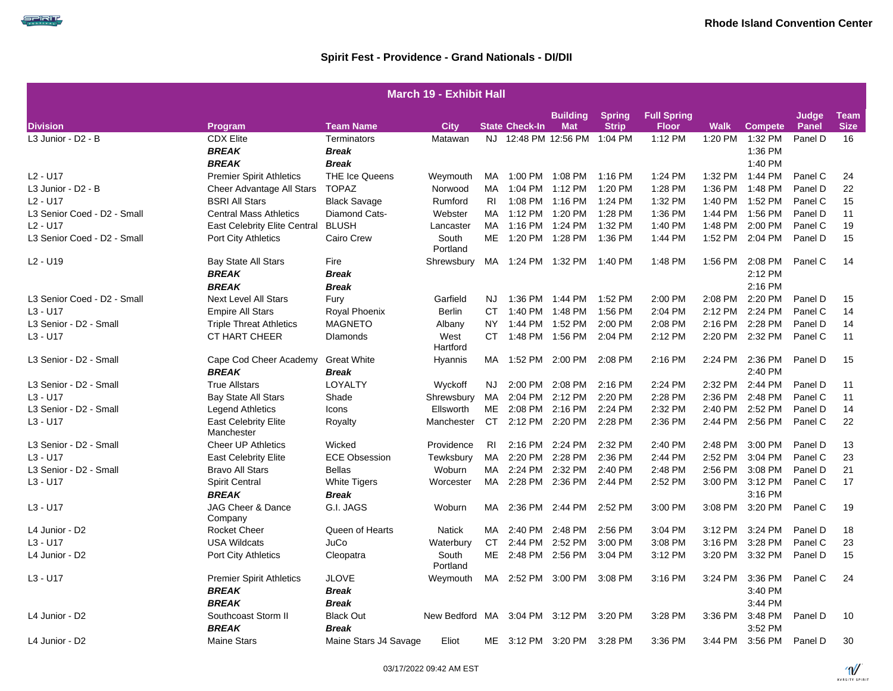| <b>March 19 - Exhibit Hall</b> |                                           |                                    |                                |                |                       |                               |                               |                                    |             |                    |                |                            |  |
|--------------------------------|-------------------------------------------|------------------------------------|--------------------------------|----------------|-----------------------|-------------------------------|-------------------------------|------------------------------------|-------------|--------------------|----------------|----------------------------|--|
| <b>Division</b>                | Program                                   | <b>Team Name</b>                   | <b>City</b>                    |                | <b>State Check-In</b> | <b>Building</b><br><b>Mat</b> | <b>Spring</b><br><b>Strip</b> | <b>Full Spring</b><br><b>Floor</b> | <b>Walk</b> | <b>Compete</b>     | Judge<br>Panel | <b>Team</b><br><b>Size</b> |  |
| L3 Junior - D2 - B             | <b>CDX Elite</b>                          | Terminators                        | Matawan                        |                |                       | NJ 12:48 PM 12:56 PM 1:04 PM  |                               | 1:12 PM                            | 1:20 PM     | 1:32 PM            | Panel D        | 16                         |  |
|                                | <b>BREAK</b>                              | <b>Break</b>                       |                                |                |                       |                               |                               |                                    |             | 1:36 PM            |                |                            |  |
|                                | <b>BREAK</b>                              | <b>Break</b>                       |                                |                |                       |                               |                               |                                    |             | 1:40 PM            |                |                            |  |
| $L2 - U17$                     | <b>Premier Spirit Athletics</b>           | <b>THE Ice Queens</b>              | Weymouth                       | MA             |                       | 1:00 PM 1:08 PM               | 1:16 PM                       | 1:24 PM                            | 1:32 PM     | 1:44 PM            | Panel C        | 24                         |  |
| L3 Junior - D2 - B             | Cheer Advantage All Stars                 | <b>TOPAZ</b>                       | Norwood                        | MA             |                       | 1:04 PM 1:12 PM               | 1:20 PM                       | 1:28 PM                            | 1:36 PM     | 1:48 PM            | Panel D        | 22                         |  |
| $L2 - U17$                     | <b>BSRI All Stars</b>                     | <b>Black Savage</b>                | Rumford                        | <b>RI</b>      |                       | 1:08 PM 1:16 PM               | 1:24 PM                       | 1:32 PM                            | 1:40 PM     | 1:52 PM            | Panel C        | 15                         |  |
| L3 Senior Coed - D2 - Small    | <b>Central Mass Athletics</b>             | Diamond Cats-                      | Webster                        | MA             |                       | 1:12 PM 1:20 PM               | 1:28 PM                       | 1:36 PM                            | 1:44 PM     | 1:56 PM            | Panel D        | 11                         |  |
| $L2 - U17$                     | <b>East Celebrity Elite Central</b>       | <b>BLUSH</b>                       | Lancaster                      | MA.            |                       | 1:16 PM 1:24 PM               | 1:32 PM                       | 1:40 PM                            | 1:48 PM     | 2:00 PM            | Panel C        | 19                         |  |
| L3 Senior Coed - D2 - Small    | <b>Port City Athletics</b>                | Cairo Crew                         | South<br>Portland              | ME             |                       |                               | 1:36 PM                       | 1:44 PM                            | 1:52 PM     | 2:04 PM            | Panel D        | 15                         |  |
| $L2 - U19$                     | <b>Bay State All Stars</b>                | Fire                               | Shrewsbury                     |                |                       | MA 1:24 PM 1:32 PM 1:40 PM    |                               | 1:48 PM                            | 1:56 PM     | 2:08 PM            | Panel C        | 14                         |  |
|                                | <b>BREAK</b>                              | <b>Break</b>                       |                                |                |                       |                               |                               |                                    |             | 2:12 PM            |                |                            |  |
|                                | <b>BREAK</b>                              | <b>Break</b>                       |                                |                |                       |                               |                               |                                    |             | 2:16 PM            |                |                            |  |
| L3 Senior Coed - D2 - Small    | <b>Next Level All Stars</b>               | Fury                               | Garfield                       | NJ.            |                       | 1:36 PM 1:44 PM               | 1:52 PM                       | 2:00 PM                            | 2:08 PM     | 2:20 PM            | Panel D        | 15                         |  |
| $L3 - U17$                     | <b>Empire All Stars</b>                   | Royal Phoenix                      | <b>Berlin</b>                  | СT             |                       | 1:40 PM 1:48 PM               | 1:56 PM                       | 2:04 PM                            | 2:12 PM     | 2:24 PM            | Panel C        | 14                         |  |
| L3 Senior - D2 - Small         | <b>Triple Threat Athletics</b>            | <b>MAGNETO</b>                     | Albany                         | <b>NY</b>      |                       | 1:44 PM 1:52 PM               | 2:00 PM                       | 2:08 PM                            | 2:16 PM     | 2:28 PM            | Panel D        | 14                         |  |
| $L3 - U17$                     | <b>CT HART CHEER</b>                      | <b>Dlamonds</b>                    | West<br>Hartford               |                | CT 1:48 PM 1:56 PM    |                               | 2:04 PM                       | 2:12 PM                            | 2:20 PM     | 2:32 PM            | Panel C        | 11                         |  |
| L3 Senior - D2 - Small         | Cape Cod Cheer Academy<br><b>BREAK</b>    | <b>Great White</b><br><b>Break</b> | Hyannis                        |                | MA 1:52 PM 2:00 PM    |                               | 2:08 PM                       | 2:16 PM                            | 2:24 PM     | 2:36 PM<br>2:40 PM | Panel D        | 15                         |  |
| L3 Senior - D2 - Small         | <b>True Allstars</b>                      | LOYALTY                            | Wyckoff                        | <b>NJ</b>      |                       | 2:00 PM 2:08 PM               | 2:16 PM                       | 2:24 PM                            | 2:32 PM     | 2:44 PM            | Panel D        | 11                         |  |
| $L3 - U17$                     | <b>Bay State All Stars</b>                | Shade                              | Shrewsbury                     | MA             |                       | 2:04 PM 2:12 PM               | 2:20 PM                       | 2:28 PM                            | 2:36 PM     | 2:48 PM            | Panel C        | 11                         |  |
| L3 Senior - D2 - Small         | Legend Athletics                          | Icons                              | Ellsworth                      | ME             |                       | 2:08 PM 2:16 PM               | 2:24 PM                       | 2:32 PM                            | 2:40 PM     | 2:52 PM            | Panel D        | 14                         |  |
| $L3 - U17$                     | <b>East Celebrity Elite</b><br>Manchester | Royalty                            | Manchester                     | CT             |                       | 2:12 PM 2:20 PM               | 2:28 PM                       | 2:36 PM                            | 2:44 PM     | 2:56 PM            | Panel C        | 22                         |  |
| L3 Senior - D2 - Small         | <b>Cheer UP Athletics</b>                 | Wicked                             | Providence                     | R <sub>1</sub> |                       | 2:16 PM 2:24 PM               | 2:32 PM                       | 2:40 PM                            | 2:48 PM     | 3:00 PM            | Panel D        | 13                         |  |
| $L3 - U17$                     | <b>East Celebrity Elite</b>               | <b>ECE Obsession</b>               | Tewksbury                      | MA             |                       | 2:20 PM 2:28 PM               | 2:36 PM                       | 2:44 PM                            | 2:52 PM     | 3:04 PM            | Panel C        | 23                         |  |
| L3 Senior - D2 - Small         | <b>Bravo All Stars</b>                    | <b>Bellas</b>                      | Woburn                         | MA             | 2:24 PM               | 2:32 PM                       | 2:40 PM                       | 2:48 PM                            | 2:56 PM     | 3:08 PM            | Panel D        | 21                         |  |
| $L3 - U17$                     | <b>Spirit Central</b>                     | <b>White Tigers</b>                | Worcester                      | MA             |                       | 2:28 PM 2:36 PM               | 2:44 PM                       | 2:52 PM                            | 3:00 PM     | 3:12 PM            | Panel C        | 17                         |  |
|                                | <b>BREAK</b>                              | <b>Break</b>                       |                                |                |                       |                               |                               |                                    |             | 3:16 PM            |                |                            |  |
| $L3 - U17$                     | JAG Cheer & Dance<br>Company              | G.I. JAGS                          | Woburn                         | MA             | 2:36 PM               | 2:44 PM                       | 2:52 PM                       | 3:00 PM                            | 3:08 PM     | 3:20 PM            | Panel C        | 19                         |  |
| L4 Junior - D2                 | <b>Rocket Cheer</b>                       | Queen of Hearts                    | <b>Natick</b>                  | МA             |                       | 2:40 PM 2:48 PM               | 2:56 PM                       | 3:04 PM                            | 3:12 PM     | 3:24 PM            | Panel D        | 18                         |  |
| $L3 - U17$                     | <b>USA Wildcats</b>                       | JuCo                               | Waterbury                      | CT             |                       | 2:44 PM 2:52 PM               | 3:00 PM                       | 3:08 PM                            | 3:16 PM     | 3:28 PM            | Panel C        | 23                         |  |
| L4 Junior - D2                 | <b>Port City Athletics</b>                | Cleopatra                          | South<br>Portland              |                | ME 2:48 PM 2:56 PM    |                               | 3:04 PM                       | 3:12 PM                            | 3:20 PM     | 3:32 PM            | Panel D        | 15                         |  |
| $L3 - U17$                     | <b>Premier Spirit Athletics</b>           | <b>JLOVE</b>                       | Weymouth                       |                |                       | MA 2:52 PM 3:00 PM            | 3:08 PM                       | 3:16 PM                            | 3:24 PM     | 3:36 PM            | Panel C        | 24                         |  |
|                                | <b>BREAK</b>                              | <b>Break</b>                       |                                |                |                       |                               |                               |                                    |             | 3:40 PM            |                |                            |  |
|                                | <b>BREAK</b>                              | <b>Break</b>                       |                                |                |                       |                               |                               |                                    |             | 3:44 PM            |                |                            |  |
| L4 Junior - D2                 | Southcoast Storm II                       | <b>Black Out</b>                   | New Bedford MA 3:04 PM 3:12 PM |                |                       |                               | 3:20 PM                       | 3:28 PM                            | 3:36 PM     | 3:48 PM            | Panel D        | 10                         |  |
|                                | <b>BREAK</b>                              | <b>Break</b>                       |                                |                |                       |                               |                               |                                    |             | 3:52 PM            |                |                            |  |
| L4 Junior - D2                 | <b>Maine Stars</b>                        | Maine Stars J4 Savage              | Eliot                          |                |                       | ME 3:12 PM 3:20 PM            | 3:28 PM                       | 3:36 PM                            | 3:44 PM     | 3:56 PM            | Panel D        | 30                         |  |

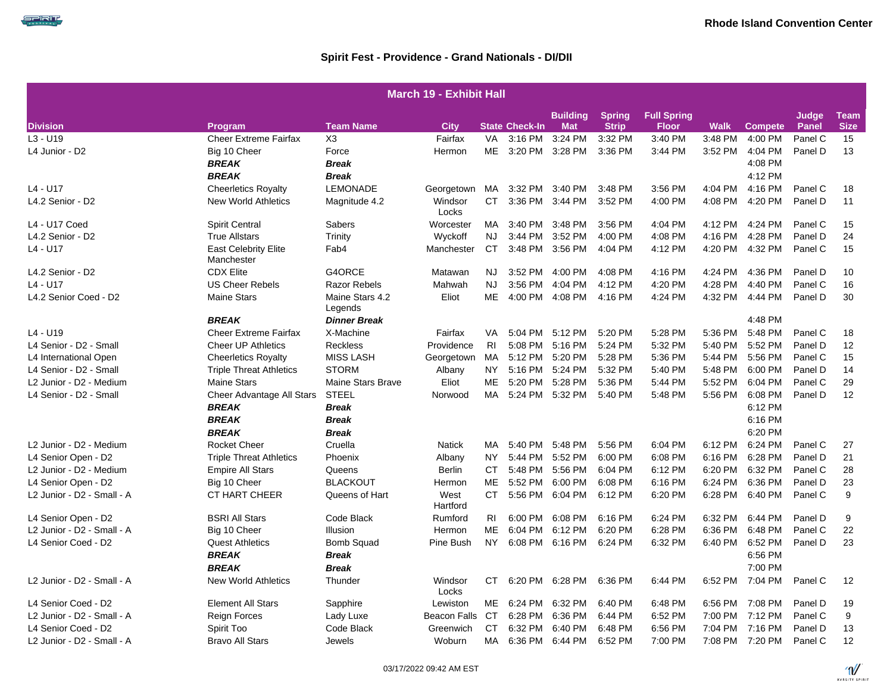SPIRIT

|                            | <b>March 19 - Exhibit Hall</b>            |                            |                     |                |                       |                               |                               |                                    |         |                |                |                            |  |  |
|----------------------------|-------------------------------------------|----------------------------|---------------------|----------------|-----------------------|-------------------------------|-------------------------------|------------------------------------|---------|----------------|----------------|----------------------------|--|--|
| <b>Division</b>            | <b>Program</b>                            | <b>Team Name</b>           | <b>City</b>         |                | <b>State Check-In</b> | <b>Building</b><br><b>Mat</b> | <b>Spring</b><br><b>Strip</b> | <b>Full Spring</b><br><b>Floor</b> | Walk    | <b>Compete</b> | Judge<br>Panel | <b>Team</b><br><b>Size</b> |  |  |
| $L3 - U19$                 | <b>Cheer Extreme Fairfax</b>              | X <sub>3</sub>             | Fairfax             | VA.            | 3:16 PM               | 3:24 PM                       | 3:32 PM                       | 3:40 PM                            | 3:48 PM | 4:00 PM        | Panel C        | 15                         |  |  |
| L4 Junior - D2             | Big 10 Cheer                              | Force                      | Hermon              | <b>ME</b>      | 3:20 PM               | 3:28 PM                       | 3:36 PM                       | 3:44 PM                            | 3:52 PM | 4:04 PM        | Panel D        | 13                         |  |  |
|                            | <b>BREAK</b>                              | <b>Break</b>               |                     |                |                       |                               |                               |                                    |         | 4:08 PM        |                |                            |  |  |
|                            | <b>BREAK</b>                              | <b>Break</b>               |                     |                |                       |                               |                               |                                    |         | 4:12 PM        |                |                            |  |  |
| L4 - U17                   | <b>Cheerletics Royalty</b>                | <b>LEMONADE</b>            | Georgetown          | MA             | 3:32 PM               | 3:40 PM                       | 3:48 PM                       | 3:56 PM                            | 4:04 PM | 4:16 PM        | Panel C        | 18                         |  |  |
| L4.2 Senior - D2           | <b>New World Athletics</b>                | Magnitude 4.2              | Windsor<br>Locks    | <b>CT</b>      | 3:36 PM               | 3:44 PM                       | 3:52 PM                       | 4:00 PM                            | 4:08 PM | 4:20 PM        | Panel D        | 11                         |  |  |
| L4 - U17 Coed              | <b>Spirit Central</b>                     | Sabers                     | Worcester           | MA             | 3:40 PM               | 3:48 PM                       | 3:56 PM                       | 4:04 PM                            | 4:12 PM | 4:24 PM        | Panel C        | 15                         |  |  |
| L4.2 Senior - D2           | <b>True Allstars</b>                      | Trinity                    | Wyckoff             | <b>NJ</b>      | 3:44 PM               | 3:52 PM                       | 4:00 PM                       | 4:08 PM                            | 4:16 PM | 4:28 PM        | Panel D        | 24                         |  |  |
| L4 - U17                   | <b>East Celebrity Elite</b><br>Manchester | Fab4                       | Manchester          | <b>CT</b>      | 3:48 PM               | 3:56 PM                       | 4:04 PM                       | 4:12 PM                            | 4:20 PM | 4:32 PM        | Panel C        | 15                         |  |  |
| L4.2 Senior - D2           | <b>CDX Elite</b>                          | G4ORCE                     | Matawan             | NJ.            | 3:52 PM               | 4:00 PM                       | 4:08 PM                       | 4:16 PM                            | 4:24 PM | 4:36 PM        | Panel D        | 10                         |  |  |
| L4 - U17                   | <b>US Cheer Rebels</b>                    | <b>Razor Rebels</b>        | Mahwah              | <b>NJ</b>      | 3:56 PM               | 4:04 PM                       | 4:12 PM                       | 4:20 PM                            | 4:28 PM | 4:40 PM        | Panel C        | 16                         |  |  |
| L4.2 Senior Coed - D2      | <b>Maine Stars</b>                        | Maine Stars 4.2<br>Legends | Eliot               | ME             | 4:00 PM               | 4:08 PM                       | 4:16 PM                       | 4:24 PM                            | 4:32 PM | 4:44 PM        | Panel D        | 30                         |  |  |
|                            | <b>BREAK</b>                              | <b>Dinner Break</b>        |                     |                |                       |                               |                               |                                    |         | 4:48 PM        |                |                            |  |  |
| L4 - U19                   | <b>Cheer Extreme Fairfax</b>              | X-Machine                  | Fairfax             | VA.            | $5:04$ PM             | 5:12 PM                       | 5:20 PM                       | 5:28 PM                            | 5:36 PM | 5:48 PM        | Panel C        | 18                         |  |  |
| L4 Senior - D2 - Small     | <b>Cheer UP Athletics</b>                 | Reckless                   | Providence          | R <sub>1</sub> | 5:08 PM               | 5:16 PM                       | 5:24 PM                       | 5:32 PM                            | 5:40 PM | 5:52 PM        | Panel D        | 12                         |  |  |
| L4 International Open      | <b>Cheerletics Royalty</b>                | <b>MISS LASH</b>           | Georgetown          | MA             | 5:12 PM               | 5:20 PM                       | 5:28 PM                       | 5:36 PM                            | 5:44 PM | 5:56 PM        | Panel C        | 15                         |  |  |
| L4 Senior - D2 - Small     | <b>Triple Threat Athletics</b>            | <b>STORM</b>               | Albany              | <b>NY</b>      | 5:16 PM               | 5:24 PM                       | 5:32 PM                       | 5:40 PM                            | 5:48 PM | 6:00 PM        | Panel D        | 14                         |  |  |
| L2 Junior - D2 - Medium    | <b>Maine Stars</b>                        | Maine Stars Brave          | Eliot               | <b>ME</b>      | 5:20 PM               | 5:28 PM                       | 5:36 PM                       | 5:44 PM                            | 5:52 PM | 6:04 PM        | Panel C        | 29                         |  |  |
| L4 Senior - D2 - Small     | Cheer Advantage All Stars                 | <b>STEEL</b>               | Norwood             | MA.            | 5:24 PM               | 5:32 PM                       | 5:40 PM                       | 5:48 PM                            | 5:56 PM | 6:08 PM        | Panel D        | 12                         |  |  |
|                            | <b>BREAK</b>                              | <b>Break</b>               |                     |                |                       |                               |                               |                                    |         | 6:12 PM        |                |                            |  |  |
|                            | <b>BREAK</b>                              | <b>Break</b>               |                     |                |                       |                               |                               |                                    |         | 6:16 PM        |                |                            |  |  |
|                            | <b>BREAK</b>                              | <b>Break</b>               |                     |                |                       |                               |                               |                                    |         | 6:20 PM        |                |                            |  |  |
| L2 Junior - D2 - Medium    | <b>Rocket Cheer</b>                       | Cruella                    | <b>Natick</b>       | MA             | 5:40 PM               | 5:48 PM                       | 5:56 PM                       | 6:04 PM                            | 6:12 PM | 6:24 PM        | Panel C        | 27                         |  |  |
| L4 Senior Open - D2        | <b>Triple Threat Athletics</b>            | Phoenix                    | Albany              | <b>NY</b>      | 5:44 PM               | 5:52 PM                       | 6:00 PM                       | 6:08 PM                            | 6:16 PM | 6:28 PM        | Panel D        | 21                         |  |  |
| L2 Junior - D2 - Medium    | <b>Empire All Stars</b>                   | Queens                     | <b>Berlin</b>       | СT             | 5:48 PM               | 5:56 PM                       | 6:04 PM                       | 6:12 PM                            | 6:20 PM | 6:32 PM        | Panel C        | 28                         |  |  |
| L4 Senior Open - D2        | Big 10 Cheer                              | <b>BLACKOUT</b>            | Hermon              | ME             | 5:52 PM               | 6:00 PM                       | 6:08 PM                       | 6:16 PM                            | 6:24 PM | 6:36 PM        | Panel D        | 23                         |  |  |
| L2 Junior - D2 - Small - A | CT HART CHEER                             | Queens of Hart             | West<br>Hartford    | CT.            | 5:56 PM               | 6:04 PM                       | 6:12 PM                       | 6:20 PM                            | 6:28 PM | 6:40 PM        | Panel C        | 9                          |  |  |
| L4 Senior Open - D2        | <b>BSRI All Stars</b>                     | Code Black                 | Rumford             | RI             | 6:00 PM               | 6:08 PM                       | 6:16 PM                       | 6:24 PM                            | 6:32 PM | 6:44 PM        | Panel D        | 9                          |  |  |
| L2 Junior - D2 - Small - A | Big 10 Cheer                              | Illusion                   | Hermon              | МE             | 6:04 PM               | 6:12 PM                       | 6:20 PM                       | 6:28 PM                            | 6:36 PM | 6:48 PM        | Panel C        | 22                         |  |  |
| L4 Senior Coed - D2        | <b>Quest Athletics</b>                    | <b>Bomb Squad</b>          | Pine Bush           | <b>NY</b>      |                       | 6:08 PM 6:16 PM               | 6:24 PM                       | 6:32 PM                            | 6:40 PM | 6:52 PM        | Panel D        | 23                         |  |  |
|                            | <b>BREAK</b>                              | <b>Break</b>               |                     |                |                       |                               |                               |                                    |         | 6:56 PM        |                |                            |  |  |
|                            | <b>BREAK</b>                              | <b>Break</b>               |                     |                |                       |                               |                               |                                    |         | 7:00 PM        |                |                            |  |  |
| L2 Junior - D2 - Small - A | <b>New World Athletics</b>                | Thunder                    | Windsor<br>Locks    | СT             | 6:20 PM               | 6:28 PM                       | 6:36 PM                       | 6:44 PM                            | 6:52 PM | 7:04 PM        | Panel C        | 12                         |  |  |
| L4 Senior Coed - D2        | <b>Element All Stars</b>                  | Sapphire                   | Lewiston            | ME             | 6:24 PM               | 6:32 PM                       | 6:40 PM                       | 6:48 PM                            | 6:56 PM | 7:08 PM        | Panel D        | 19                         |  |  |
| L2 Junior - D2 - Small - A | Reign Forces                              | Lady Luxe                  | <b>Beacon Falls</b> | <b>CT</b>      | 6:28 PM               | 6:36 PM                       | 6:44 PM                       | 6:52 PM                            | 7:00 PM | 7:12 PM        | Panel C        | 9                          |  |  |
| L4 Senior Coed - D2        | Spirit Too                                | Code Black                 | Greenwich           | CT.            | 6:32 PM               | 6:40 PM                       | 6:48 PM                       | 6:56 PM                            | 7:04 PM | 7:16 PM        | Panel D        | 13                         |  |  |
| L2 Junior - D2 - Small - A | <b>Bravo All Stars</b>                    | Jewels                     | Woburn              | MA             | 6:36 PM               | 6:44 PM                       | 6:52 PM                       | 7:00 PM                            | 7:08 PM | 7:20 PM        | Panel C        | 12                         |  |  |

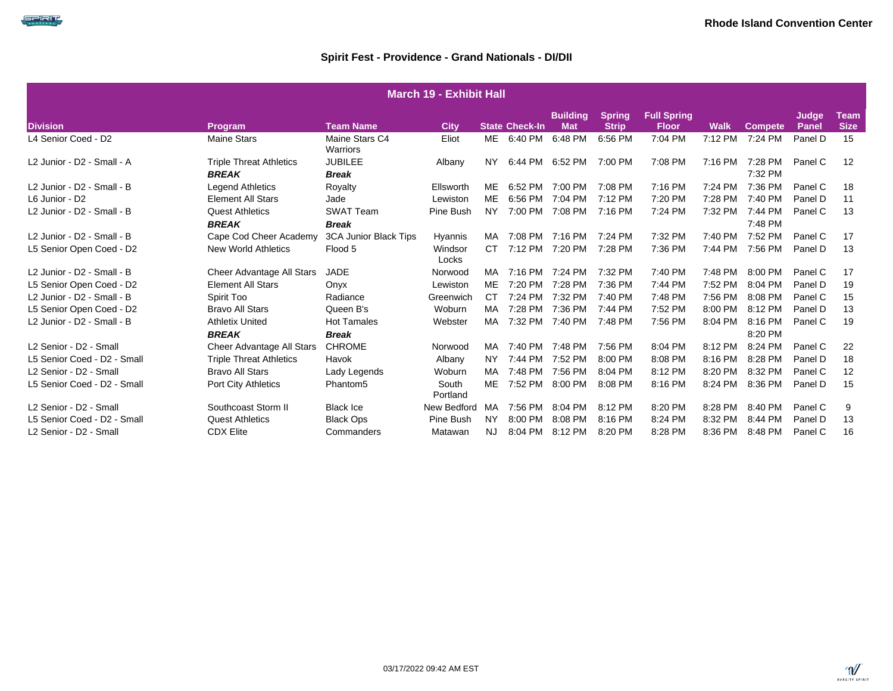SPIRIT

| <b>March 19 - Exhibit Hall</b> |                                                |                                    |                   |           |                       |                               |                               |                                    |             |                    |                       |                            |  |
|--------------------------------|------------------------------------------------|------------------------------------|-------------------|-----------|-----------------------|-------------------------------|-------------------------------|------------------------------------|-------------|--------------------|-----------------------|----------------------------|--|
| <b>Division</b>                | Program                                        | <b>Team Name</b>                   | <b>City</b>       |           | <b>State Check-In</b> | <b>Building</b><br><b>Mat</b> | <b>Spring</b><br><b>Strip</b> | <b>Full Spring</b><br><b>Floor</b> | <b>Walk</b> | <b>Compete</b>     | Judge<br><b>Panel</b> | <b>Team</b><br><b>Size</b> |  |
| L4 Senior Coed - D2            | <b>Maine Stars</b>                             | Maine Stars C4<br>Warriors         | Eliot             | ME        | 6:40 PM               | 6:48 PM                       | 6:56 PM                       | 7:04 PM                            | 7:12 PM     | 7:24 PM            | Panel D               | 15                         |  |
| L2 Junior - D2 - Small - A     | <b>Triple Threat Athletics</b><br><b>BREAK</b> | <b>JUBILEE</b><br><b>Break</b>     | Albany            | NY.       | 6:44 PM 6:52 PM       |                               | 7:00 PM                       | 7:08 PM                            | 7:16 PM     | 7:28 PM<br>7:32 PM | Panel C               | 12                         |  |
| L2 Junior - D2 - Small - B     | <b>Legend Athletics</b>                        | Royalty                            | Ellsworth         | ME        | 6:52 PM               | 7:00 PM                       | 7:08 PM                       | 7:16 PM                            | 7:24 PM     | 7:36 PM            | Panel C               | 18                         |  |
| L6 Junior - D2                 | <b>Element All Stars</b>                       | Jade                               | Lewiston          | <b>ME</b> | 6:56 PM               | 7:04 PM                       | 7:12 PM                       | 7:20 PM                            | 7:28 PM     | 7:40 PM            | Panel D               | 11                         |  |
| L2 Junior - D2 - Small - B     | <b>Quest Athletics</b><br><b>BREAK</b>         | <b>SWAT Team</b><br><b>Break</b>   | Pine Bush         | <b>NY</b> | 7:00 PM               | 7:08 PM                       | 7:16 PM                       | 7:24 PM                            | 7:32 PM     | 7:44 PM<br>7:48 PM | Panel C               | 13                         |  |
| L2 Junior - D2 - Small - B     | Cape Cod Cheer Academy                         | 3CA Junior Black Tips              | Hyannis           | MA        | 7:08 PM               | 7:16 PM                       | 7:24 PM                       | 7:32 PM                            | 7:40 PM     | 7:52 PM            | Panel C               | 17                         |  |
| L5 Senior Open Coed - D2       | <b>New World Athletics</b>                     | Flood 5                            | Windsor<br>Locks  | CT.       | 7:12 PM 7:20 PM       |                               | 7:28 PM                       | 7:36 PM                            | 7:44 PM     | 7:56 PM            | Panel D               | 13                         |  |
| L2 Junior - D2 - Small - B     | Cheer Advantage All Stars                      | <b>JADE</b>                        | Norwood           | MA        | 7:16 PM 7:24 PM       |                               | 7:32 PM                       | 7:40 PM                            | 7:48 PM     | 8:00 PM            | Panel C               | 17                         |  |
| L5 Senior Open Coed - D2       | <b>Element All Stars</b>                       | Onyx                               | Lewiston          | ME        | 7:20 PM               | 7:28 PM                       | 7:36 PM                       | 7:44 PM                            | 7:52 PM     | 8:04 PM            | Panel D               | 19                         |  |
| L2 Junior - D2 - Small - B     | Spirit Too                                     | Radiance                           | Greenwich         | <b>CT</b> | 7:24 PM               | 7:32 PM                       | 7:40 PM                       | 7:48 PM                            | 7:56 PM     | 8:08 PM            | Panel C               | 15                         |  |
| L5 Senior Open Coed - D2       | <b>Bravo All Stars</b>                         | Queen B's                          | Woburn            | MA        | 7:28 PM               | 7:36 PM                       | 7:44 PM                       | 7:52 PM                            | 8:00 PM     | 8:12 PM            | Panel D               | 13                         |  |
| L2 Junior - D2 - Small - B     | <b>Athletix United</b><br><b>BREAK</b>         | <b>Hot Tamales</b><br><b>Break</b> | Webster           | <b>MA</b> | 7:32 PM               | 7:40 PM                       | 7:48 PM                       | 7:56 PM                            | 8:04 PM     | 8:16 PM<br>8:20 PM | Panel C               | 19                         |  |
| L2 Senior - D2 - Small         | Cheer Advantage All Stars                      | <b>CHROME</b>                      | Norwood           | MA        | 7:40 PM               | 7:48 PM                       | 7:56 PM                       | 8:04 PM                            | 8:12 PM     | 8:24 PM            | Panel C               | 22                         |  |
| L5 Senior Coed - D2 - Small    | <b>Triple Threat Athletics</b>                 | Havok                              | Albany            | <b>NY</b> | 7:44 PM               | 7:52 PM                       | 8:00 PM                       | 8:08 PM                            | 8:16 PM     | 8:28 PM            | Panel D               | 18                         |  |
| L2 Senior - D2 - Small         | <b>Bravo All Stars</b>                         | Lady Legends                       | Woburn            | MA        | 7:48 PM               | 7:56 PM                       | 8:04 PM                       | 8:12 PM                            | 8:20 PM     | 8:32 PM            | Panel C               | 12                         |  |
| L5 Senior Coed - D2 - Small    | <b>Port City Athletics</b>                     | Phantom <sub>5</sub>               | South<br>Portland | ME        | 7:52 PM 8:00 PM       |                               | 8:08 PM                       | 8:16 PM                            | 8:24 PM     | 8:36 PM            | Panel D               | 15                         |  |
| L2 Senior - D2 - Small         | Southcoast Storm II                            | <b>Black Ice</b>                   | New Bedford       | MA        | 7:56 PM               | 8:04 PM                       | 8:12 PM                       | 8:20 PM                            | 8:28 PM     | 8:40 PM            | Panel C               | 9                          |  |
| L5 Senior Coed - D2 - Small    | <b>Quest Athletics</b>                         | <b>Black Ops</b>                   | Pine Bush         | <b>NY</b> | 8:00 PM               | 8:08 PM                       | 8:16 PM                       | 8:24 PM                            | 8:32 PM     | 8:44 PM            | Panel D               | 13                         |  |
| L2 Senior - D2 - Small         | <b>CDX Elite</b>                               | Commanders                         | Matawan           | NJ.       | 8:04 PM               | 8:12 PM                       | 8:20 PM                       | 8:28 PM                            | 8:36 PM     | 8:48 PM            | Panel C               | 16                         |  |

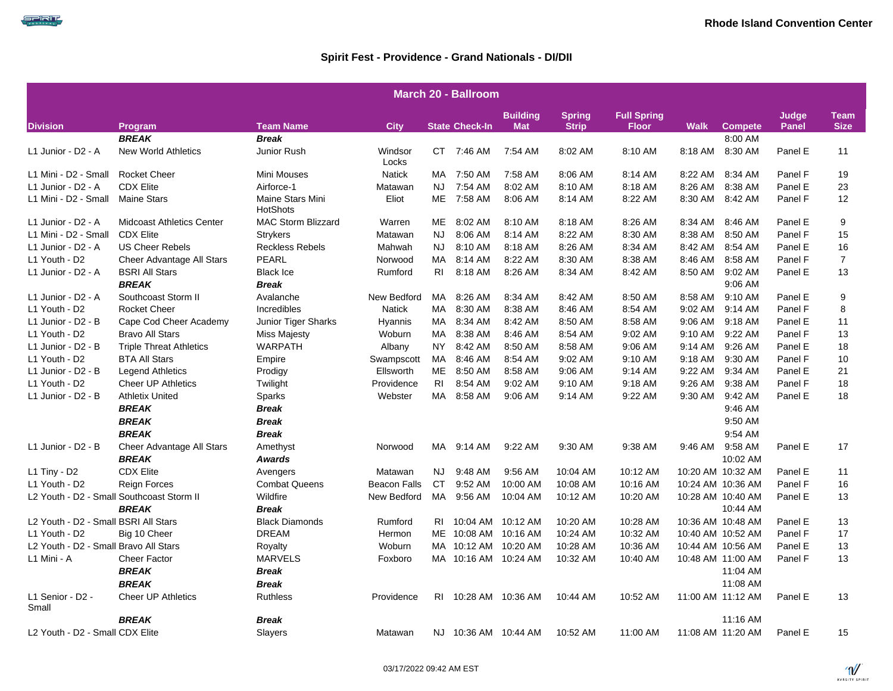

|                                       | <b>March 20 - Ballroom</b>                |                                     |                     |                |                       |                               |                               |                                    |             |                   |                |                            |  |  |
|---------------------------------------|-------------------------------------------|-------------------------------------|---------------------|----------------|-----------------------|-------------------------------|-------------------------------|------------------------------------|-------------|-------------------|----------------|----------------------------|--|--|
| <b>Division</b>                       | Program                                   | <b>Team Name</b>                    | <b>City</b>         |                | <b>State Check-In</b> | <b>Building</b><br><b>Mat</b> | <b>Spring</b><br><b>Strip</b> | <b>Full Spring</b><br><b>Floor</b> | <b>Walk</b> | <b>Compete</b>    | Judge<br>Panel | <b>Team</b><br><b>Size</b> |  |  |
|                                       | <b>BREAK</b>                              | <b>Break</b>                        |                     |                |                       |                               |                               |                                    |             | 8:00 AM           |                |                            |  |  |
| L1 Junior - D2 - A                    | <b>New World Athletics</b>                | Junior Rush                         | Windsor<br>Locks    |                | CT 7:46 AM            | 7:54 AM                       | 8:02 AM                       | 8:10 AM                            | 8:18 AM     | 8:30 AM           | Panel E        | 11                         |  |  |
| L1 Mini - D2 - Small                  | <b>Rocket Cheer</b>                       | Mini Mouses                         | <b>Natick</b>       | MA             | 7:50 AM               | 7:58 AM                       | 8:06 AM                       | 8:14 AM                            | 8:22 AM     | 8:34 AM           | Panel F        | 19                         |  |  |
| L1 Junior - D2 - A                    | <b>CDX Elite</b>                          | Airforce-1                          | Matawan             | NJ.            | 7:54 AM               | 8:02 AM                       | 8:10 AM                       | 8:18 AM                            | 8:26 AM     | 8:38 AM           | Panel E        | 23                         |  |  |
| L1 Mini - D2 - Small                  | <b>Maine Stars</b>                        | Maine Stars Mini<br><b>HotShots</b> | Eliot               | <b>ME</b>      | 7:58 AM               | 8:06 AM                       | 8:14 AM                       | 8:22 AM                            | 8:30 AM     | 8:42 AM           | Panel F        | 12                         |  |  |
| L1 Junior - D2 - A                    | <b>Midcoast Athletics Center</b>          | <b>MAC Storm Blizzard</b>           | Warren              | ME             | 8:02 AM               | 8:10 AM                       | 8:18 AM                       | 8:26 AM                            | 8:34 AM     | 8:46 AM           | Panel E        | 9                          |  |  |
| L1 Mini - D2 - Small                  | <b>CDX Elite</b>                          | <b>Strykers</b>                     | Matawan             | NJ.            | 8:06 AM               | 8:14 AM                       | 8:22 AM                       | 8:30 AM                            | 8:38 AM     | 8:50 AM           | Panel F        | 15                         |  |  |
| L1 Junior - D2 - A                    | <b>US Cheer Rebels</b>                    | <b>Reckless Rebels</b>              | Mahwah              | NJ             | 8:10 AM               | 8:18 AM                       | 8:26 AM                       | 8:34 AM                            | 8:42 AM     | 8:54 AM           | Panel E        | 16                         |  |  |
| L1 Youth - D2                         | Cheer Advantage All Stars                 | <b>PEARL</b>                        | Norwood             | MA             | 8:14 AM               | 8:22 AM                       | 8:30 AM                       | 8:38 AM                            | 8:46 AM     | 8:58 AM           | Panel F        | $\overline{7}$             |  |  |
| L1 Junior - D2 - A                    | <b>BSRI All Stars</b>                     | <b>Black Ice</b>                    | Rumford             | RI.            | 8:18 AM               | 8:26 AM                       | 8:34 AM                       | 8:42 AM                            | 8:50 AM     | 9:02 AM           | Panel E        | 13                         |  |  |
|                                       | <b>BREAK</b>                              | <b>Break</b>                        |                     |                |                       |                               |                               |                                    |             | 9:06 AM           |                |                            |  |  |
| L1 Junior - D2 - A                    | Southcoast Storm II                       | Avalanche                           | New Bedford         | MA             | 8:26 AM               | 8:34 AM                       | 8:42 AM                       | 8:50 AM                            | 8:58 AM     | 9:10 AM           | Panel E        | 9                          |  |  |
| L1 Youth - D2                         | <b>Rocket Cheer</b>                       | Incredibles                         | <b>Natick</b>       | MA.            | 8:30 AM               | 8:38 AM                       | 8:46 AM                       | 8:54 AM                            | 9:02 AM     | 9:14 AM           | Panel F        | 8                          |  |  |
| L1 Junior - D2 - B                    | Cape Cod Cheer Academy                    | Junior Tiger Sharks                 | Hyannis             | МA             | 8:34 AM               | 8:42 AM                       | 8:50 AM                       | 8:58 AM                            | 9:06 AM     | 9:18 AM           | Panel E        | 11                         |  |  |
| L1 Youth - D2                         | <b>Bravo All Stars</b>                    | <b>Miss Majesty</b>                 | Woburn              | MA             | 8:38 AM               | 8:46 AM                       | 8:54 AM                       | 9:02 AM                            | 9:10 AM     | 9:22 AM           | Panel F        | 13                         |  |  |
| L1 Junior - D2 - B                    | <b>Triple Threat Athletics</b>            | <b>WARPATH</b>                      | Albany              | NY.            | 8:42 AM               | 8:50 AM                       | 8:58 AM                       | 9:06 AM                            | 9:14 AM     | 9:26 AM           | Panel E        | 18                         |  |  |
| L1 Youth - D2                         | <b>BTA All Stars</b>                      | Empire                              | Swampscott          | MA             | 8:46 AM               | 8:54 AM                       | 9:02 AM                       | 9:10 AM                            | 9:18 AM     | 9:30 AM           | Panel F        | 10                         |  |  |
| L1 Junior - D2 - B                    | <b>Legend Athletics</b>                   | Prodigy                             | Ellsworth           | ME             | 8:50 AM               | 8:58 AM                       | 9:06 AM                       | 9:14 AM                            | 9:22 AM     | 9:34 AM           | Panel E        | 21                         |  |  |
| L1 Youth - D2                         | <b>Cheer UP Athletics</b>                 | Twilight                            | Providence          | R <sub>1</sub> | 8:54 AM               | 9:02 AM                       | 9:10 AM                       | 9:18 AM                            | 9:26 AM     | 9:38 AM           | Panel F        | 18                         |  |  |
| L1 Junior - D2 - B                    | <b>Athletix United</b>                    | Sparks                              | Webster             | MA.            | 8:58 AM               | 9:06 AM                       | 9:14 AM                       | 9:22 AM                            | 9:30 AM     | 9:42 AM           | Panel E        | 18                         |  |  |
|                                       | <b>BREAK</b>                              | <b>Break</b>                        |                     |                |                       |                               |                               |                                    |             | 9:46 AM           |                |                            |  |  |
|                                       | <b>BREAK</b>                              | <b>Break</b>                        |                     |                |                       |                               |                               |                                    |             | 9:50 AM           |                |                            |  |  |
|                                       | <b>BREAK</b>                              | <b>Break</b>                        |                     |                |                       |                               |                               |                                    |             | 9:54 AM           |                |                            |  |  |
| L1 Junior - D2 - B                    | Cheer Advantage All Stars                 | Amethyst                            | Norwood             | MA             | 9:14 AM               | 9:22 AM                       | 9:30 AM                       | 9:38 AM                            | 9:46 AM     | 9:58 AM           | Panel E        | 17                         |  |  |
|                                       | <b>BREAK</b>                              | <b>Awards</b>                       |                     |                |                       |                               |                               |                                    |             | 10:02 AM          |                |                            |  |  |
| $L1$ Tiny - D2                        | <b>CDX Elite</b>                          | Avengers                            | Matawan             | NJ             | 9:48 AM               | 9:56 AM                       | 10:04 AM                      | 10:12 AM                           |             | 10:20 AM 10:32 AM | Panel E        | 11                         |  |  |
| L1 Youth - D2                         | <b>Reign Forces</b>                       | <b>Combat Queens</b>                | <b>Beacon Falls</b> | CT             | 9:52 AM               | 10:00 AM                      | 10:08 AM                      | 10:16 AM                           |             | 10:24 AM 10:36 AM | Panel F        | 16                         |  |  |
|                                       | L2 Youth - D2 - Small Southcoast Storm II | Wildfire                            | New Bedford         | MA             | 9:56 AM               | 10:04 AM                      | 10:12 AM                      | 10:20 AM                           |             | 10:28 AM 10:40 AM | Panel E        | 13                         |  |  |
|                                       | <b>BREAK</b>                              | <b>Break</b>                        |                     |                |                       |                               |                               |                                    |             | 10:44 AM          |                |                            |  |  |
| L2 Youth - D2 - Small BSRI All Stars  |                                           | <b>Black Diamonds</b>               | Rumford             | RI             | 10:04 AM              | 10:12 AM                      | 10:20 AM                      | 10:28 AM                           |             | 10:36 AM 10:48 AM | Panel E        | 13                         |  |  |
| L1 Youth - D2                         | Big 10 Cheer                              | <b>DREAM</b>                        | Hermon              | ME             | 10:08 AM              | 10:16 AM                      | 10:24 AM                      | 10:32 AM                           |             | 10:40 AM 10:52 AM | Panel F        | 17                         |  |  |
| L2 Youth - D2 - Small Bravo All Stars |                                           | Royalty                             | Woburn              |                | MA 10:12 AM           | 10:20 AM                      | 10:28 AM                      | 10:36 AM                           |             | 10:44 AM 10:56 AM | Panel E        | 13                         |  |  |
| L1 Mini - A                           | <b>Cheer Factor</b>                       | <b>MARVELS</b>                      | Foxboro             |                | MA 10:16 AM           | 10:24 AM                      | 10:32 AM                      | 10:40 AM                           |             | 10:48 AM 11:00 AM | Panel F        | 13                         |  |  |
|                                       | <b>BREAK</b>                              | <b>Break</b>                        |                     |                |                       |                               |                               |                                    |             | 11:04 AM          |                |                            |  |  |
|                                       | <b>BREAK</b>                              | <b>Break</b>                        |                     |                |                       |                               |                               |                                    |             | 11:08 AM          |                |                            |  |  |
| L1 Senior - D2 -<br>Small             | Cheer UP Athletics                        | <b>Ruthless</b>                     | Providence          |                | RI 10:28 AM 10:36 AM  |                               | 10:44 AM                      | 10:52 AM                           |             | 11:00 AM 11:12 AM | Panel E        | 13                         |  |  |
|                                       | <b>BREAK</b>                              | <b>Break</b>                        |                     |                |                       |                               |                               |                                    |             | 11:16 AM          |                |                            |  |  |
| L2 Youth - D2 - Small CDX Elite       |                                           | Slayers                             | Matawan             |                | NJ 10:36 AM 10:44 AM  |                               | 10:52 AM                      | 11:00 AM                           |             | 11:08 AM 11:20 AM | Panel E        | 15                         |  |  |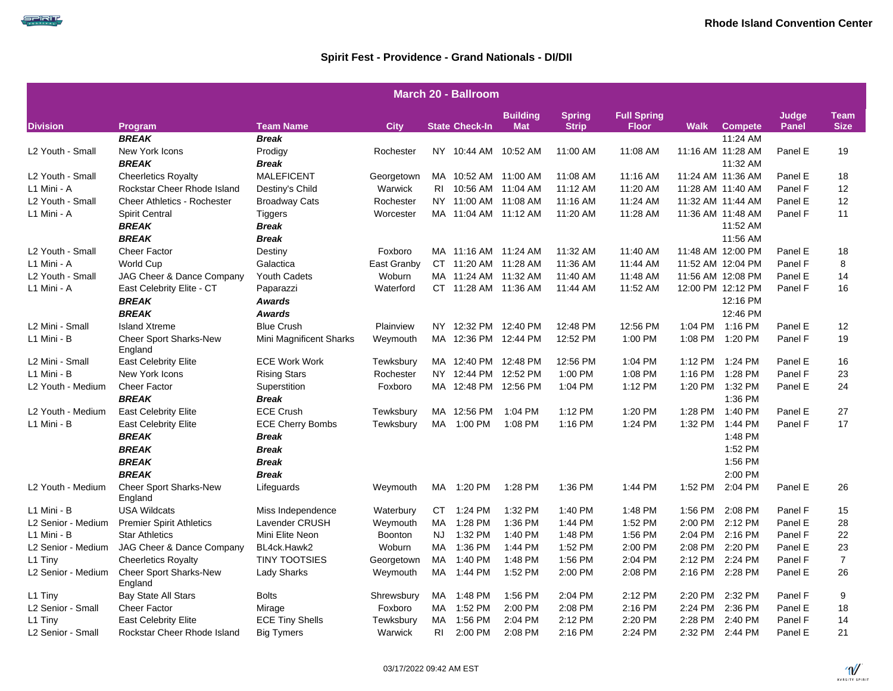SPRIT

|                              | <b>March 20 - Ballroom</b>               |                         |                |                       |                               |                               |                                    |             |                   |                |                     |  |  |  |
|------------------------------|------------------------------------------|-------------------------|----------------|-----------------------|-------------------------------|-------------------------------|------------------------------------|-------------|-------------------|----------------|---------------------|--|--|--|
| <b>Division</b>              |                                          | <b>Team Name</b>        | <b>City</b>    | <b>State Check-In</b> | <b>Building</b><br><b>Mat</b> | <b>Spring</b><br><b>Strip</b> | <b>Full Spring</b><br><b>Floor</b> | <b>Walk</b> | <b>Compete</b>    | Judge<br>Panel | Team<br><b>Size</b> |  |  |  |
|                              | Program<br><b>BREAK</b>                  | <b>Break</b>            |                |                       |                               |                               |                                    |             | 11:24 AM          |                |                     |  |  |  |
| L2 Youth - Small             | New York Icons                           | Prodigy                 | Rochester      | NY 10:44 AM           | 10:52 AM                      | 11:00 AM                      | 11:08 AM                           |             | 11:16 AM 11:28 AM | Panel E        | 19                  |  |  |  |
|                              | <b>BREAK</b>                             | Break                   |                |                       |                               |                               |                                    |             | 11:32 AM          |                |                     |  |  |  |
| L2 Youth - Small             | <b>Cheerletics Royalty</b>               | <b>MALEFICENT</b>       | Georgetown     | MA 10:52 AM 11:00 AM  |                               | 11:08 AM                      | 11:16 AM                           |             | 11:24 AM 11:36 AM | Panel E        | 18                  |  |  |  |
| L1 Mini - A                  | Rockstar Cheer Rhode Island              | Destiny's Child         | Warwick        | RI 10:56 AM 11:04 AM  |                               | 11:12 AM                      | 11:20 AM                           |             | 11:28 AM 11:40 AM | Panel F        | 12                  |  |  |  |
| L2 Youth - Small             | <b>Cheer Athletics - Rochester</b>       | <b>Broadway Cats</b>    | Rochester      | NY 11:00 AM 11:08 AM  |                               | 11:16 AM                      | 11:24 AM                           |             | 11:32 AM 11:44 AM | Panel E        | 12                  |  |  |  |
| L1 Mini - A                  | Spirit Central                           | Tiggers                 | Worcester      | MA 11:04 AM 11:12 AM  |                               | 11:20 AM                      | 11:28 AM                           |             | 11:36 AM 11:48 AM | Panel F        | 11                  |  |  |  |
|                              | <b>BREAK</b>                             | <b>Break</b>            |                |                       |                               |                               |                                    |             | 11:52 AM          |                |                     |  |  |  |
|                              | <b>BREAK</b>                             | <b>Break</b>            |                |                       |                               |                               |                                    |             | 11:56 AM          |                |                     |  |  |  |
| L <sub>2</sub> Youth - Small | <b>Cheer Factor</b>                      | Destiny                 | Foxboro        | MA 11:16 AM 11:24 AM  |                               | 11:32 AM                      | 11:40 AM                           |             | 11:48 AM 12:00 PM | Panel E        | 18                  |  |  |  |
| L1 Mini - A                  | <b>World Cup</b>                         | Galactica               | East Granby    | CT 11:20 AM 11:28 AM  |                               | 11:36 AM                      | 11:44 AM                           |             | 11:52 AM 12:04 PM | Panel F        | 8                   |  |  |  |
| L2 Youth - Small             | JAG Cheer & Dance Company                | <b>Youth Cadets</b>     | Woburn         | MA 11:24 AM 11:32 AM  |                               | 11:40 AM                      | 11:48 AM                           |             | 11:56 AM 12:08 PM | Panel E        | 14                  |  |  |  |
| L1 Mini - A                  | East Celebrity Elite - CT                | Paparazzi               | Waterford      | CT 11:28 AM 11:36 AM  |                               | 11:44 AM                      | 11:52 AM                           |             | 12:00 PM 12:12 PM | Panel F        | 16                  |  |  |  |
|                              | <b>BREAK</b>                             | Awards                  |                |                       |                               |                               |                                    |             | 12:16 PM          |                |                     |  |  |  |
|                              | <b>BREAK</b>                             | <b>Awards</b>           |                |                       |                               |                               |                                    |             | 12:46 PM          |                |                     |  |  |  |
| L2 Mini - Small              | <b>Island Xtreme</b>                     | <b>Blue Crush</b>       | Plainview      | NY 12:32 PM 12:40 PM  |                               | 12:48 PM                      | 12:56 PM                           |             | 1:04 PM 1:16 PM   | Panel E        | 12                  |  |  |  |
| L1 Mini - B                  | <b>Cheer Sport Sharks-New</b>            | Mini Magnificent Sharks | Weymouth       | MA 12:36 PM 12:44 PM  |                               | 12:52 PM                      | 1:00 PM                            | 1:08 PM     | 1:20 PM           | Panel F        | 19                  |  |  |  |
|                              | England                                  |                         |                |                       |                               |                               |                                    |             |                   |                |                     |  |  |  |
| L2 Mini - Small              | East Celebrity Elite                     | <b>ECE Work Work</b>    | Tewksbury      | MA 12:40 PM 12:48 PM  |                               | 12:56 PM                      | 1:04 PM                            |             | 1:12 PM 1:24 PM   | Panel E        | 16                  |  |  |  |
| L1 Mini - B                  | New York Icons                           | <b>Rising Stars</b>     | Rochester      | NY 12:44 PM 12:52 PM  |                               | 1:00 PM                       | 1:08 PM                            | 1:16 PM     | 1:28 PM           | Panel F        | 23                  |  |  |  |
| L2 Youth - Medium            | <b>Cheer Factor</b>                      | Superstition            | Foxboro        | MA 12:48 PM 12:56 PM  |                               | 1:04 PM                       | 1:12 PM                            | 1:20 PM     | 1:32 PM           | Panel E        | 24                  |  |  |  |
|                              | <b>BREAK</b>                             | <b>Break</b>            |                |                       |                               |                               |                                    |             | 1:36 PM           |                |                     |  |  |  |
| L2 Youth - Medium            | <b>East Celebrity Elite</b>              | <b>ECE Crush</b>        | Tewksbury      | MA 12:56 PM           | 1:04 PM                       | 1:12 PM                       | 1:20 PM                            | 1:28 PM     | 1:40 PM           | Panel E        | 27                  |  |  |  |
| L1 Mini - B                  | <b>East Celebrity Elite</b>              | <b>ECE Cherry Bombs</b> | Tewksbury      | MA<br>1:00 PM         | 1:08 PM                       | 1:16 PM                       | 1:24 PM                            | 1:32 PM     | 1:44 PM           | Panel F        | 17                  |  |  |  |
|                              | <b>BREAK</b>                             | <b>Break</b>            |                |                       |                               |                               |                                    |             | 1:48 PM           |                |                     |  |  |  |
|                              | <b>BREAK</b>                             | <b>Break</b>            |                |                       |                               |                               |                                    |             | 1:52 PM           |                |                     |  |  |  |
|                              | <b>BREAK</b>                             | <b>Break</b>            |                |                       |                               |                               |                                    |             | 1:56 PM           |                |                     |  |  |  |
|                              | <b>BREAK</b>                             | <b>Break</b>            |                |                       |                               |                               |                                    |             | 2:00 PM           |                |                     |  |  |  |
| L2 Youth - Medium            | <b>Cheer Sport Sharks-New</b><br>England | Lifeguards              | Weymouth       | MA 1:20 PM            | 1:28 PM                       | 1:36 PM                       | 1:44 PM                            | 1:52 PM     | 2:04 PM           | Panel E        | 26                  |  |  |  |
| L1 Mini - B                  | <b>USA Wildcats</b>                      | Miss Independence       | Waterbury      | 1:24 PM<br>CT.        | 1:32 PM                       | 1:40 PM                       | 1:48 PM                            | 1:56 PM     | 2:08 PM           | Panel F        | 15                  |  |  |  |
| L2 Senior - Medium           | <b>Premier Spirit Athletics</b>          | Lavender CRUSH          | Weymouth       | MA<br>1:28 PM         | 1:36 PM                       | 1:44 PM                       | 1:52 PM                            | 2:00 PM     | 2:12 PM           | Panel E        | 28                  |  |  |  |
| L1 Mini - B                  | <b>Star Athletics</b>                    | Mini Elite Neon         | <b>Boonton</b> | 1:32 PM<br>NJ.        | 1:40 PM                       | 1:48 PM                       | 1:56 PM                            | 2:04 PM     | 2:16 PM           | Panel F        | 22                  |  |  |  |
| L2 Senior - Medium           | JAG Cheer & Dance Company                | BL4ck.Hawk2             | Woburn         | 1:36 PM<br>MA.        | 1:44 PM                       | 1:52 PM                       | 2:00 PM                            | 2:08 PM     | 2:20 PM           | Panel E        | 23                  |  |  |  |
| L1 Tiny                      | <b>Cheerletics Royalty</b>               | <b>TINY TOOTSIES</b>    | Georgetown     | 1:40 PM<br>MA         | 1:48 PM                       | 1:56 PM                       | 2:04 PM                            | 2:12 PM     | 2:24 PM           | Panel F        | $\overline{7}$      |  |  |  |
| L2 Senior - Medium           | <b>Cheer Sport Sharks-New</b><br>England | <b>Lady Sharks</b>      | Weymouth       | MA<br>1:44 PM         | 1:52 PM                       | 2:00 PM                       | 2:08 PM                            | 2:16 PM     | 2:28 PM           | Panel E        | 26                  |  |  |  |
| L1 Tiny                      | <b>Bay State All Stars</b>               | <b>Bolts</b>            | Shrewsbury     | 1:48 PM<br>MA         | 1:56 PM                       | 2:04 PM                       | 2:12 PM                            | 2:20 PM     | 2:32 PM           | Panel F        | 9                   |  |  |  |
| L2 Senior - Small            | <b>Cheer Factor</b>                      | Mirage                  | Foxboro        | 1:52 PM<br>MA         | 2:00 PM                       | 2:08 PM                       | 2:16 PM                            | 2:24 PM     | 2:36 PM           | Panel E        | 18                  |  |  |  |
| L1 Tiny                      | <b>East Celebrity Elite</b>              | <b>ECE Tiny Shells</b>  | Tewksbury      | 1:56 PM<br>MA         | 2:04 PM                       | 2:12 PM                       | 2:20 PM                            | 2:28 PM     | 2:40 PM           | Panel F        | 14                  |  |  |  |
| L2 Senior - Small            | Rockstar Cheer Rhode Island              | <b>Big Tymers</b>       | Warwick        | RI.<br>2:00 PM        | 2:08 PM                       | 2:16 PM                       | 2:24 PM                            | 2:32 PM     | 2:44 PM           | Panel E        | 21                  |  |  |  |

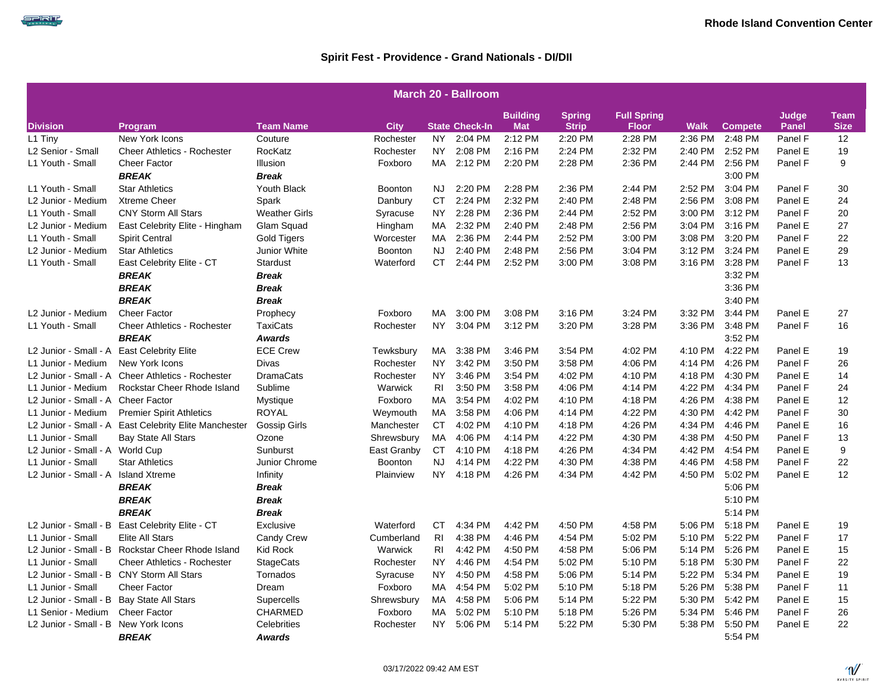|                                            | <b>March 20 - Ballroom</b>                            |                      |                |                |                       |                               |                               |                                    |             |                |                       |                            |  |  |
|--------------------------------------------|-------------------------------------------------------|----------------------|----------------|----------------|-----------------------|-------------------------------|-------------------------------|------------------------------------|-------------|----------------|-----------------------|----------------------------|--|--|
| <b>Division</b>                            | Program                                               | <b>Team Name</b>     | <b>City</b>    |                | <b>State Check-In</b> | <b>Building</b><br><b>Mat</b> | <b>Spring</b><br><b>Strip</b> | <b>Full Spring</b><br><b>Floor</b> | <b>Walk</b> | <b>Compete</b> | Judge<br><b>Panel</b> | <b>Team</b><br><b>Size</b> |  |  |
| L1 Tiny                                    | New York Icons                                        | Couture              | Rochester      | NY.            | 2:04 PM               | 2:12 PM                       | 2:20 PM                       | 2:28 PM                            | 2:36 PM     | 2:48 PM        | Panel F               | 12                         |  |  |
| L2 Senior - Small                          | <b>Cheer Athletics - Rochester</b>                    | RocKatz              | Rochester      | NY             | 2:08 PM               | 2:16 PM                       | 2:24 PM                       | 2:32 PM                            | 2:40 PM     | 2:52 PM        | Panel E               | 19                         |  |  |
| L1 Youth - Small                           | <b>Cheer Factor</b>                                   | Illusion             | Foxboro        | MA             | 2:12 PM               | 2:20 PM                       | 2:28 PM                       | 2:36 PM                            | 2:44 PM     | 2:56 PM        | Panel F               | 9                          |  |  |
|                                            | <b>BREAK</b>                                          | <b>Break</b>         |                |                |                       |                               |                               |                                    |             | 3:00 PM        |                       |                            |  |  |
| L1 Youth - Small                           | <b>Star Athletics</b>                                 | Youth Black          | <b>Boonton</b> | NJ.            | 2:20 PM               | 2:28 PM                       | 2:36 PM                       | 2:44 PM                            | 2:52 PM     | 3:04 PM        | Panel F               | 30                         |  |  |
| L2 Junior - Medium                         | <b>Xtreme Cheer</b>                                   | Spark                | Danbury        | <b>CT</b>      | 2:24 PM               | 2:32 PM                       | 2:40 PM                       | 2:48 PM                            | 2:56 PM     | 3:08 PM        | Panel E               | 24                         |  |  |
| L1 Youth - Small                           | <b>CNY Storm All Stars</b>                            | <b>Weather Girls</b> | Syracuse       | NY.            | 2:28 PM               | 2:36 PM                       | 2:44 PM                       | 2:52 PM                            | 3:00 PM     | 3:12 PM        | Panel F               | 20                         |  |  |
| L2 Junior - Medium                         | East Celebrity Elite - Hingham                        | Glam Squad           | Hingham        | MA             | 2:32 PM               | 2:40 PM                       | 2:48 PM                       | 2:56 PM                            | 3:04 PM     | 3:16 PM        | Panel E               | 27                         |  |  |
| L1 Youth - Small                           | <b>Spirit Central</b>                                 | <b>Gold Tigers</b>   | Worcester      | MA             | 2:36 PM               | 2:44 PM                       | 2:52 PM                       | 3:00 PM                            | 3:08 PM     | 3:20 PM        | Panel F               | 22                         |  |  |
| L2 Junior - Medium                         | <b>Star Athletics</b>                                 | Junior White         | <b>Boonton</b> | NJ.            | 2:40 PM               | 2:48 PM                       | 2:56 PM                       | 3:04 PM                            | 3:12 PM     | 3:24 PM        | Panel E               | 29                         |  |  |
| L1 Youth - Small                           | East Celebrity Elite - CT                             | Stardust             | Waterford      | CT.            | 2:44 PM               | 2:52 PM                       | 3:00 PM                       | 3:08 PM                            | 3:16 PM     | 3:28 PM        | Panel F               | 13                         |  |  |
|                                            | <b>BREAK</b>                                          | <b>Break</b>         |                |                |                       |                               |                               |                                    |             | 3:32 PM        |                       |                            |  |  |
|                                            | <b>BREAK</b>                                          | <b>Break</b>         |                |                |                       |                               |                               |                                    |             | 3:36 PM        |                       |                            |  |  |
|                                            | <b>BREAK</b>                                          | <b>Break</b>         |                |                |                       |                               |                               |                                    |             | 3:40 PM        |                       |                            |  |  |
| L2 Junior - Medium                         | <b>Cheer Factor</b>                                   | Prophecy             | Foxboro        | MA.            | 3:00 PM               | 3:08 PM                       | 3:16 PM                       | 3:24 PM                            | 3:32 PM     | 3:44 PM        | Panel E               | 27                         |  |  |
| L1 Youth - Small                           | <b>Cheer Athletics - Rochester</b>                    | <b>TaxiCats</b>      | Rochester      | NY.            | 3:04 PM               | 3:12 PM                       | 3:20 PM                       | 3:28 PM                            | 3:36 PM     | 3:48 PM        | Panel F               | 16                         |  |  |
|                                            | <b>BREAK</b>                                          | <b>Awards</b>        |                |                |                       |                               |                               |                                    |             | 3:52 PM        |                       |                            |  |  |
| L2 Junior - Small - A East Celebrity Elite |                                                       | <b>ECE Crew</b>      | Tewksbury      | MA             | 3:38 PM               | 3:46 PM                       | 3:54 PM                       | 4:02 PM                            | 4:10 PM     | 4:22 PM        | Panel E               | 19                         |  |  |
| L1 Junior - Medium                         | New York Icons                                        | Divas                | Rochester      | NY             | 3:42 PM               | 3:50 PM                       | 3:58 PM                       | 4:06 PM                            | 4:14 PM     | 4:26 PM        | Panel F               | 26                         |  |  |
|                                            | L2 Junior - Small - A Cheer Athletics - Rochester     | <b>DramaCats</b>     | Rochester      | NY.            | 3:46 PM               | 3:54 PM                       | 4:02 PM                       | 4:10 PM                            | 4:18 PM     | 4:30 PM        | Panel E               | 14                         |  |  |
| L1 Junior - Medium                         | Rockstar Cheer Rhode Island                           | Sublime              | Warwick        | R <sub>l</sub> | 3:50 PM               | 3:58 PM                       | 4:06 PM                       | 4:14 PM                            | 4:22 PM     | 4:34 PM        | Panel F               | 24                         |  |  |
| L2 Junior - Small - A Cheer Factor         |                                                       | <b>Mystique</b>      | Foxboro        | MA             | 3:54 PM               | 4:02 PM                       | 4:10 PM                       | 4:18 PM                            | 4:26 PM     | 4:38 PM        | Panel E               | 12                         |  |  |
| L1 Junior - Medium                         | <b>Premier Spirit Athletics</b>                       | <b>ROYAL</b>         | Weymouth       | MA             | 3:58 PM               | 4:06 PM                       | 4:14 PM                       | 4:22 PM                            | 4:30 PM     | 4:42 PM        | Panel F               | 30                         |  |  |
|                                            | L2 Junior - Small - A East Celebrity Elite Manchester | Gossip Girls         | Manchester     | CT             | 4:02 PM               | 4:10 PM                       | 4:18 PM                       | 4:26 PM                            | 4:34 PM     | 4:46 PM        | Panel E               | 16                         |  |  |
| L1 Junior - Small                          | <b>Bay State All Stars</b>                            | Ozone                | Shrewsbury     | MA             | 4:06 PM               | 4:14 PM                       | 4:22 PM                       | 4:30 PM                            | 4:38 PM     | 4:50 PM        | Panel F               | 13                         |  |  |
| L2 Junior - Small - A World Cup            |                                                       | Sunburst             | East Granby    | CT             | 4:10 PM               | 4:18 PM                       | 4:26 PM                       | 4:34 PM                            | 4:42 PM     | 4:54 PM        | Panel E               | 9                          |  |  |
| L1 Junior - Small                          | <b>Star Athletics</b>                                 | Junior Chrome        | <b>Boonton</b> | NJ.            | 4:14 PM               | 4:22 PM                       | 4:30 PM                       | 4:38 PM                            | 4:46 PM     | 4:58 PM        | Panel F               | 22                         |  |  |
| L2 Junior - Small - A Island Xtreme        |                                                       | Infinity             | Plainview      | NY I           | 4:18 PM               | 4:26 PM                       | 4:34 PM                       | 4:42 PM                            | 4:50 PM     | 5:02 PM        | Panel E               | 12                         |  |  |
|                                            | <b>BREAK</b>                                          | <b>Break</b>         |                |                |                       |                               |                               |                                    |             | 5:06 PM        |                       |                            |  |  |
|                                            | <b>BREAK</b>                                          | <b>Break</b>         |                |                |                       |                               |                               |                                    |             | 5:10 PM        |                       |                            |  |  |
|                                            | <b>BREAK</b>                                          | <b>Break</b>         |                |                |                       |                               |                               |                                    |             | 5:14 PM        |                       |                            |  |  |
| L2 Junior - Small - B                      | East Celebrity Elite - CT                             | Exclusive            | Waterford      | CT             | 4:34 PM               | 4:42 PM                       | 4:50 PM                       | 4:58 PM                            | 5:06 PM     | 5:18 PM        | Panel E               | 19                         |  |  |
| L1 Junior - Small                          | <b>Elite All Stars</b>                                | Candy Crew           | Cumberland     | R <sub>1</sub> | 4:38 PM               | 4:46 PM                       | 4:54 PM                       | 5:02 PM                            | 5:10 PM     | 5:22 PM        | Panel F               | 17                         |  |  |
|                                            | L2 Junior - Small - B Rockstar Cheer Rhode Island     | <b>Kid Rock</b>      | Warwick        | <b>RI</b>      | 4:42 PM               | 4:50 PM                       | 4:58 PM                       | 5:06 PM                            | 5:14 PM     | 5:26 PM        | Panel E               | 15                         |  |  |
| L1 Junior - Small                          | <b>Cheer Athletics - Rochester</b>                    | <b>StageCats</b>     | Rochester      | NY.            | 4:46 PM               | 4:54 PM                       | 5:02 PM                       | 5:10 PM                            | 5:18 PM     | 5:30 PM        | Panel F               | 22                         |  |  |
|                                            | L2 Junior - Small - B CNY Storm All Stars             | Tornados             | Syracuse       | NY.            | 4:50 PM               | 4:58 PM                       | 5:06 PM                       | 5:14 PM                            | 5:22 PM     | 5:34 PM        | Panel E               | 19                         |  |  |
| L1 Junior - Small                          | <b>Cheer Factor</b>                                   | Dream                | Foxboro        | MA             | 4:54 PM               | 5:02 PM                       | 5:10 PM                       | 5:18 PM                            | 5:26 PM     | 5:38 PM        | Panel F               | 11                         |  |  |
| L2 Junior - Small - B Bay State All Stars  |                                                       | Supercells           | Shrewsbury     | MA             | 4:58 PM               | 5:06 PM                       | 5:14 PM                       | 5:22 PM                            | 5:30 PM     | 5:42 PM        | Panel E               | 15                         |  |  |
| L1 Senior - Medium                         | <b>Cheer Factor</b>                                   | <b>CHARMED</b>       | Foxboro        | МA             | 5:02 PM               | 5:10 PM                       | 5:18 PM                       | 5:26 PM                            | 5:34 PM     | 5:46 PM        | Panel F               | 26                         |  |  |
| L2 Junior - Small - B New York Icons       |                                                       | Celebrities          | Rochester      | NY.            | 5:06 PM               | 5:14 PM                       | 5:22 PM                       | 5:30 PM                            | 5:38 PM     | 5:50 PM        | Panel E               | 22                         |  |  |
|                                            | BREAK                                                 | Awards               |                |                |                       |                               |                               |                                    |             | 5:54 PM        |                       |                            |  |  |

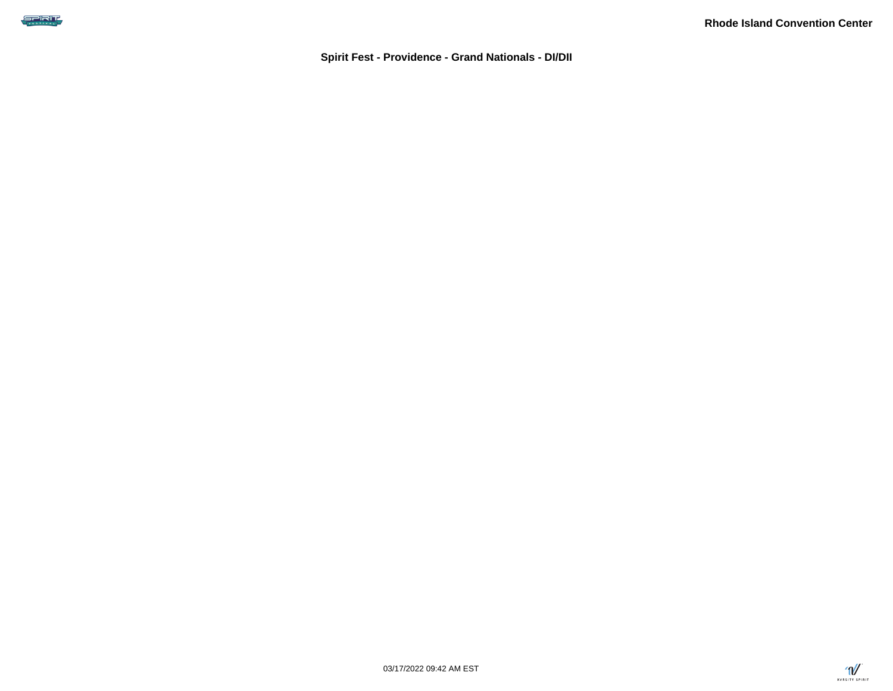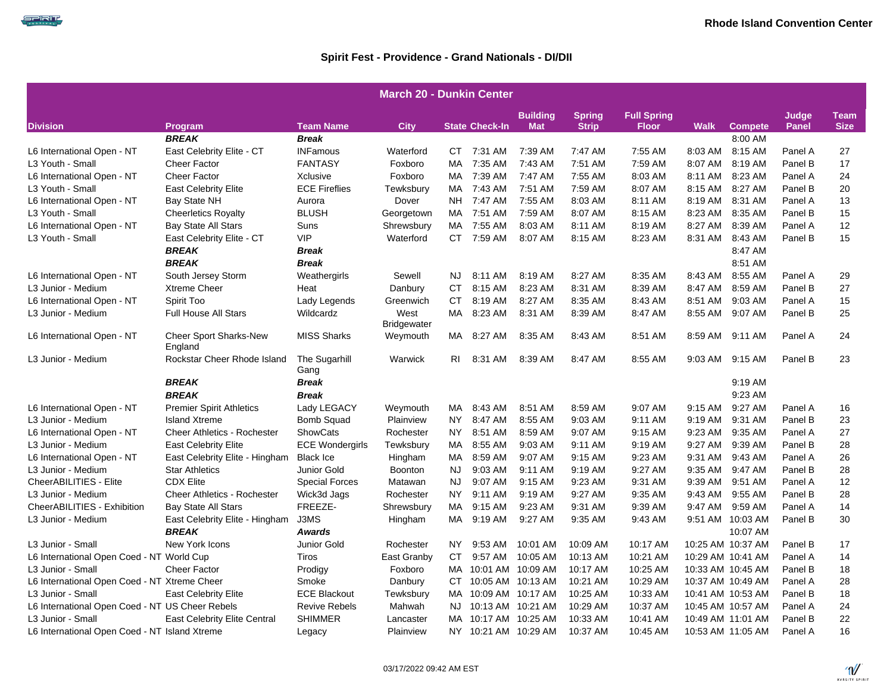SPRIT

|                                                 | <b>March 20 - Dunkin Center</b>          |                        |                            |           |                       |                               |                               |                                    |           |                   |                       |                            |  |
|-------------------------------------------------|------------------------------------------|------------------------|----------------------------|-----------|-----------------------|-------------------------------|-------------------------------|------------------------------------|-----------|-------------------|-----------------------|----------------------------|--|
| <b>Division</b>                                 | <b>Program</b>                           | <b>Team Name</b>       | <b>City</b>                |           | <b>State Check-In</b> | <b>Building</b><br><b>Mat</b> | <b>Spring</b><br><b>Strip</b> | <b>Full Spring</b><br><b>Floor</b> | Walk      | <b>Compete</b>    | Judge<br><b>Panel</b> | <b>Team</b><br><b>Size</b> |  |
|                                                 | <b>BREAK</b>                             | <b>Break</b>           |                            |           |                       |                               |                               |                                    |           | 8:00 AM           |                       |                            |  |
| L6 International Open - NT                      | East Celebrity Elite - CT                | <b>INFamous</b>        | Waterford                  | CT        | 7:31 AM               | 7:39 AM                       | 7:47 AM                       | 7:55 AM                            | 8:03 AM   | 8:15 AM           | Panel A               | 27                         |  |
| L3 Youth - Small                                | <b>Cheer Factor</b>                      | <b>FANTASY</b>         | Foxboro                    | MA.       | 7:35 AM               | 7:43 AM                       | 7:51 AM                       | 7:59 AM                            | 8:07 AM   | 8:19 AM           | Panel B               | 17                         |  |
| L6 International Open - NT                      | <b>Cheer Factor</b>                      | Xclusive               | Foxboro                    | MA.       | 7:39 AM               | 7:47 AM                       | 7:55 AM                       | 8:03 AM                            | 8:11 AM   | 8:23 AM           | Panel A               | 24                         |  |
| L3 Youth - Small                                | <b>East Celebrity Elite</b>              | <b>ECE Fireflies</b>   | Tewksbury                  | МA        | 7:43 AM               | 7:51 AM                       | 7:59 AM                       | 8:07 AM                            | 8:15 AM   | 8:27 AM           | Panel B               | 20                         |  |
| L6 International Open - NT                      | Bay State NH                             | Aurora                 | Dover                      | <b>NH</b> | 7:47 AM               | 7:55 AM                       | 8:03 AM                       | 8:11 AM                            | 8:19 AM   | 8:31 AM           | Panel A               | 13                         |  |
| L3 Youth - Small                                | <b>Cheerletics Royalty</b>               | <b>BLUSH</b>           | Georgetown                 | MA.       | 7:51 AM               | 7:59 AM                       | 8:07 AM                       | 8:15 AM                            | 8:23 AM   | 8:35 AM           | Panel B               | 15                         |  |
| L6 International Open - NT                      | <b>Bay State All Stars</b>               | Suns                   | Shrewsbury                 | MA        | 7:55 AM               | 8:03 AM                       | 8:11 AM                       | 8:19 AM                            | 8:27 AM   | 8:39 AM           | Panel A               | 12                         |  |
| L3 Youth - Small                                | East Celebrity Elite - CT                | VIP                    | Waterford                  |           | CT 7:59 AM            | 8:07 AM                       | 8:15 AM                       | 8:23 AM                            | 8:31 AM   | 8:43 AM           | Panel B               | 15                         |  |
|                                                 | <b>BREAK</b>                             | <b>Break</b>           |                            |           |                       |                               |                               |                                    |           | 8:47 AM           |                       |                            |  |
|                                                 | <b>BREAK</b>                             | <b>Break</b>           |                            |           |                       |                               |                               |                                    |           | 8:51 AM           |                       |                            |  |
| L6 International Open - NT                      | South Jersey Storm                       | Weathergirls           | Sewell                     | NJ.       | 8:11 AM               | 8:19 AM                       | 8:27 AM                       | 8:35 AM                            | 8:43 AM   | 8:55 AM           | Panel A               | 29                         |  |
| L3 Junior - Medium                              | Xtreme Cheer                             | Heat                   | Danbury                    | <b>CT</b> | 8:15 AM               | 8:23 AM                       | 8:31 AM                       | 8:39 AM                            | 8:47 AM   | 8:59 AM           | Panel B               | 27                         |  |
| L6 International Open - NT                      | Spirit Too                               | Lady Legends           | Greenwich                  | <b>CT</b> | 8:19 AM               | 8:27 AM                       | 8:35 AM                       | 8:43 AM                            | 8:51 AM   | 9:03 AM           | Panel A               | 15                         |  |
| L3 Junior - Medium                              | <b>Full House All Stars</b>              | Wildcardz              | West<br><b>Bridgewater</b> | МA        | 8:23 AM               | 8:31 AM                       | 8:39 AM                       | 8:47 AM                            | 8:55 AM   | 9:07 AM           | Panel B               | 25                         |  |
| L6 International Open - NT                      | <b>Cheer Sport Sharks-New</b><br>England | <b>MISS Sharks</b>     | Weymouth                   | MA.       | 8:27 AM               | 8:35 AM                       | 8:43 AM                       | 8:51 AM                            | 8:59 AM   | 9:11 AM           | Panel A               | 24                         |  |
| L3 Junior - Medium                              | Rockstar Cheer Rhode Island              | The Sugarhill<br>Gang  | Warwick                    | RI        | 8:31 AM               | 8:39 AM                       | 8:47 AM                       | 8:55 AM                            | 9:03 AM   | 9:15 AM           | Panel B               | 23                         |  |
|                                                 | <b>BREAK</b>                             | <b>Break</b>           |                            |           |                       |                               |                               |                                    |           | 9:19 AM           |                       |                            |  |
|                                                 | <b>BREAK</b>                             | <b>Break</b>           |                            |           |                       |                               |                               |                                    |           | 9:23 AM           |                       |                            |  |
| L6 International Open - NT                      | <b>Premier Spirit Athletics</b>          | Lady LEGACY            | Weymouth                   | МA        | 8:43 AM               | 8:51 AM                       | 8:59 AM                       | 9:07 AM                            | $9:15$ AM | 9:27 AM           | Panel A               | 16                         |  |
| L3 Junior - Medium                              | <b>Island Xtreme</b>                     | Bomb Squad             | Plainview                  | NY.       | 8:47 AM               | 8:55 AM                       | 9:03 AM                       | 9:11 AM                            | $9:19$ AM | 9:31 AM           | Panel B               | 23                         |  |
| L6 International Open - NT                      | Cheer Athletics - Rochester              | ShowCats               | Rochester                  | NY        | 8:51 AM               | 8:59 AM                       | 9:07 AM                       | 9:15 AM                            | 9:23 AM   | 9:35 AM           | Panel A               | 27                         |  |
| L3 Junior - Medium                              | <b>East Celebrity Elite</b>              | <b>ECE Wondergirls</b> | Tewksbury                  | МA        | 8:55 AM               | 9:03 AM                       | 9:11 AM                       | 9:19 AM                            | 9:27 AM   | 9:39 AM           | Panel B               | 28                         |  |
| L6 International Open - NT                      | East Celebrity Elite - Hingham           | <b>Black Ice</b>       | Hingham                    | МA        | 8:59 AM               | 9:07 AM                       | $9:15$ AM                     | 9:23 AM                            | 9:31 AM   | 9:43 AM           | Panel A               | 26                         |  |
| L3 Junior - Medium                              | <b>Star Athletics</b>                    | Junior Gold            | Boonton                    | <b>NJ</b> | 9:03 AM               | 9:11 AM                       | 9:19 AM                       | 9:27 AM                            | 9:35 AM   | 9:47 AM           | Panel B               | 28                         |  |
| CheerABILITIES - Elite                          | <b>CDX Elite</b>                         | <b>Special Forces</b>  | Matawan                    | <b>NJ</b> | 9:07 AM               | 9:15 AM                       | 9:23 AM                       | 9:31 AM                            | 9:39 AM   | 9:51 AM           | Panel A               | 12                         |  |
| L3 Junior - Medium                              | <b>Cheer Athletics - Rochester</b>       | Wick3d Jags            | Rochester                  | <b>NY</b> | 9:11 AM               | 9:19 AM                       | 9:27 AM                       | 9:35 AM                            | 9:43 AM   | 9:55 AM           | Panel B               | 28                         |  |
| CheerABILITIES - Exhibition                     | <b>Bay State All Stars</b>               | FREEZE-                | Shrewsbury                 | МA        | 9:15 AM               | 9:23 AM                       | 9:31 AM                       | 9:39 AM                            | 9:47 AM   | 9:59 AM           | Panel A               | 14                         |  |
| L3 Junior - Medium                              | East Celebrity Elite - Hingham           | J3MS                   | Hingham                    | MA.       | 9:19 AM               | 9:27 AM                       | 9:35 AM                       | 9:43 AM                            |           | 9:51 AM 10:03 AM  | Panel B               | 30                         |  |
|                                                 | <b>BREAK</b>                             | <b>Awards</b>          |                            |           |                       |                               |                               |                                    |           | 10:07 AM          |                       |                            |  |
| L3 Junior - Small                               | New York Icons                           | Junior Gold            | Rochester                  | NY.       | 9:53 AM               | 10:01 AM                      | 10:09 AM                      | 10:17 AM                           |           | 10:25 AM 10:37 AM | Panel B               | 17                         |  |
| L6 International Open Coed - NT World Cup       |                                          | Tiros                  | East Granby                | CT        | 9:57 AM               | 10:05 AM                      | 10:13 AM                      | 10:21 AM                           |           | 10:29 AM 10:41 AM | Panel A               | 14                         |  |
| L3 Junior - Small                               | <b>Cheer Factor</b>                      | Prodigy                | Foxboro                    | MA.       |                       | 10:01 AM 10:09 AM             | 10:17 AM                      | 10:25 AM                           |           | 10:33 AM 10:45 AM | Panel B               | 18                         |  |
| L6 International Open Coed - NT Xtreme Cheer    |                                          | Smoke                  | Danbury                    | CT        |                       | 10:05 AM 10:13 AM             | 10:21 AM                      | 10:29 AM                           |           | 10:37 AM 10:49 AM | Panel A               | 28                         |  |
| L3 Junior - Small                               | <b>East Celebrity Elite</b>              | <b>ECE Blackout</b>    | Tewksbury                  | MA.       |                       | 10:09 AM 10:17 AM             | 10:25 AM                      | 10:33 AM                           |           | 10:41 AM 10:53 AM | Panel B               | 18                         |  |
| L6 International Open Coed - NT US Cheer Rebels |                                          | Revive Rebels          | Mahwah                     | NJ.       |                       | 10:13 AM 10:21 AM             | 10:29 AM                      | 10:37 AM                           |           | 10:45 AM 10:57 AM | Panel A               | 24                         |  |
| L3 Junior - Small                               | <b>East Celebrity Elite Central</b>      | <b>SHIMMER</b>         | Lancaster                  | MA.       | 10:17 AM 10:25 AM     |                               | 10:33 AM                      | 10:41 AM                           |           | 10:49 AM 11:01 AM | Panel B               | 22                         |  |
| L6 International Open Coed - NT Island Xtreme   |                                          | Legacy                 | Plainview                  |           | NY 10:21 AM 10:29 AM  |                               | 10:37 AM                      | 10:45 AM                           |           | 10:53 AM 11:05 AM | Panel A               | 16                         |  |

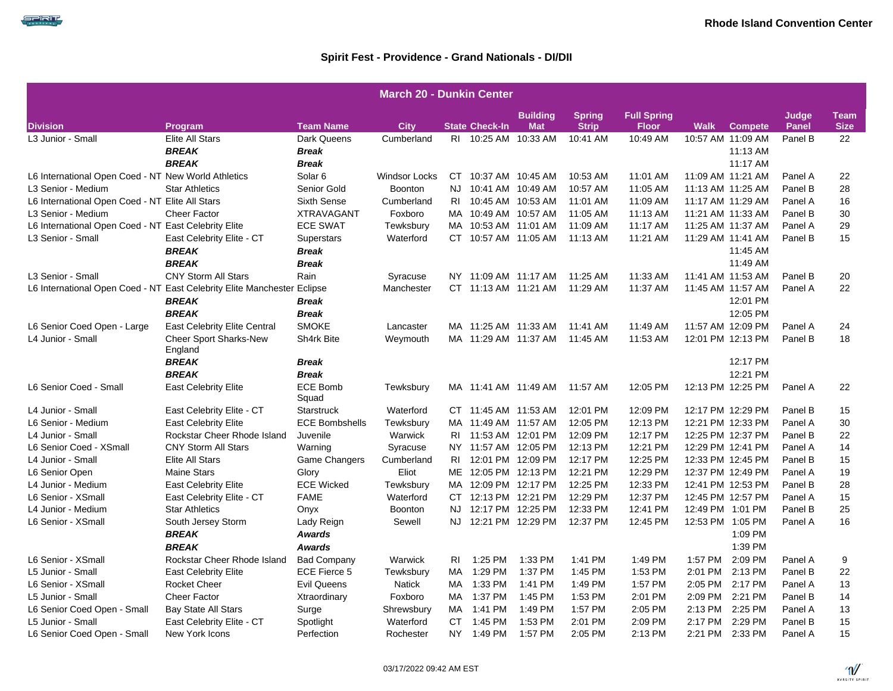|                                                                         |                                          |                          | <b>March 20 - Dunkin Center</b> |      |                       |                               |                               |                                    |         |                   |                |                     |
|-------------------------------------------------------------------------|------------------------------------------|--------------------------|---------------------------------|------|-----------------------|-------------------------------|-------------------------------|------------------------------------|---------|-------------------|----------------|---------------------|
| <b>Division</b>                                                         | Program                                  | <b>Team Name</b>         | <b>City</b>                     |      | <b>State Check-In</b> | <b>Building</b><br><b>Mat</b> | <b>Spring</b><br><b>Strip</b> | <b>Full Spring</b><br><b>Floor</b> | Walk    | <b>Compete</b>    | Judge<br>Panel | Team<br><b>Size</b> |
| L3 Junior - Small                                                       | <b>Elite All Stars</b>                   | Dark Queens              | Cumberland                      | RI   | 10:25 AM  10:33 AM    |                               | 10:41 AM                      | 10:49 AM                           |         | 10:57 AM 11:09 AM | Panel B        | 22                  |
|                                                                         | <b>BREAK</b>                             | Break                    |                                 |      |                       |                               |                               |                                    |         | 11:13 AM          |                |                     |
|                                                                         | <b>BREAK</b>                             | Break                    |                                 |      |                       |                               |                               |                                    |         | 11:17 AM          |                |                     |
| L6 International Open Coed - NT New World Athletics                     |                                          | Solar <sub>6</sub>       | <b>Windsor Locks</b>            |      | CT 10:37 AM 10:45 AM  |                               | 10:53 AM                      | 11:01 AM                           |         | 11:09 AM 11:21 AM | Panel A        | 22                  |
| L3 Senior - Medium                                                      | <b>Star Athletics</b>                    | Senior Gold              | <b>Boonton</b>                  | NJ   | 10:41 AM  10:49 AM    |                               | 10:57 AM                      | 11:05 AM                           |         | 11:13 AM 11:25 AM | Panel B        | 28                  |
| L6 International Open Coed - NT Elite All Stars                         |                                          | <b>Sixth Sense</b>       | Cumberland                      | RI   | 10:45 AM  10:53 AM    |                               | 11:01 AM                      | 11:09 AM                           |         | 11:17 AM 11:29 AM | Panel A        | 16                  |
| L3 Senior - Medium                                                      | <b>Cheer Factor</b>                      | <b>XTRAVAGANT</b>        | Foxboro                         |      | MA 10:49 AM 10:57 AM  |                               | 11:05 AM                      | 11:13 AM                           |         | 11:21 AM 11:33 AM | Panel B        | 30                  |
| L6 International Open Coed - NT East Celebrity Elite                    |                                          | <b>ECE SWAT</b>          | Tewksbury                       | MA   |                       | 10:53 AM 11:01 AM             | 11:09 AM                      | 11:17 AM                           |         | 11:25 AM 11:37 AM | Panel A        | 29                  |
| L3 Senior - Small                                                       | East Celebrity Elite - CT                | <b>Superstars</b>        | Waterford                       |      | CT 10:57 AM 11:05 AM  |                               | 11:13 AM                      | 11:21 AM                           |         | 11:29 AM 11:41 AM | Panel B        | 15                  |
|                                                                         | <b>BREAK</b>                             | Break                    |                                 |      |                       |                               |                               |                                    |         | 11:45 AM          |                |                     |
|                                                                         | <b>BREAK</b>                             | Break                    |                                 |      |                       |                               |                               |                                    |         | 11:49 AM          |                |                     |
| L3 Senior - Small                                                       | <b>CNY Storm All Stars</b>               | Rain                     | Syracuse                        |      | NY 11:09 AM 11:17 AM  |                               | 11:25 AM                      | 11:33 AM                           |         | 11:41 AM 11:53 AM | Panel B        | 20                  |
| L6 International Open Coed - NT East Celebrity Elite Manchester Eclipse |                                          |                          | Manchester                      |      | CT 11:13 AM 11:21 AM  |                               | 11:29 AM                      | 11:37 AM                           |         | 11:45 AM 11:57 AM | Panel A        | 22                  |
|                                                                         | <b>BREAK</b>                             | Break                    |                                 |      |                       |                               |                               |                                    |         | 12:01 PM          |                |                     |
|                                                                         | <b>BREAK</b>                             | <b>Break</b>             |                                 |      |                       |                               |                               |                                    |         | 12:05 PM          |                |                     |
| L6 Senior Coed Open - Large                                             | <b>East Celebrity Elite Central</b>      | <b>SMOKE</b>             | Lancaster                       |      | MA 11:25 AM 11:33 AM  |                               | 11:41 AM                      | 11:49 AM                           |         | 11:57 AM 12:09 PM | Panel A        | 24                  |
| L4 Junior - Small                                                       | <b>Cheer Sport Sharks-New</b><br>England | Sh4rk Bite               | Weymouth                        |      |                       | MA 11:29 AM 11:37 AM          | 11:45 AM                      | 11:53 AM                           |         | 12:01 PM 12:13 PM | Panel B        | 18                  |
|                                                                         | <b>BREAK</b>                             | Break                    |                                 |      |                       |                               |                               |                                    |         | 12:17 PM          |                |                     |
|                                                                         | <b>BREAK</b>                             | Break                    |                                 |      |                       |                               |                               |                                    |         | 12:21 PM          |                |                     |
| L6 Senior Coed - Small                                                  | <b>East Celebrity Elite</b>              | <b>ECE Bomb</b><br>Squad | Tewksbury                       |      | MA 11:41 AM 11:49 AM  |                               | 11:57 AM                      | 12:05 PM                           |         | 12:13 PM 12:25 PM | Panel A        | 22                  |
| L4 Junior - Small                                                       | East Celebrity Elite - CT                | Starstruck               | Waterford                       |      | CT 11:45 AM 11:53 AM  |                               | 12:01 PM                      | 12:09 PM                           |         | 12:17 PM 12:29 PM | Panel B        | 15                  |
| L6 Senior - Medium                                                      | <b>East Celebrity Elite</b>              | <b>ECE Bombshells</b>    | Tewksbury                       |      | MA 11:49 AM 11:57 AM  |                               | 12:05 PM                      | 12:13 PM                           |         | 12:21 PM 12:33 PM | Panel A        | 30                  |
| L4 Junior - Small                                                       | Rockstar Cheer Rhode Island              | Juvenile                 | Warwick                         |      | RI 11:53 AM 12:01 PM  |                               | 12:09 PM                      | 12:17 PM                           |         | 12:25 PM 12:37 PM | Panel B        | 22                  |
| L6 Senior Coed - XSmall                                                 | <b>CNY Storm All Stars</b>               | Warning                  | Syracuse                        |      | NY 11:57 AM 12:05 PM  |                               | 12:13 PM                      | 12:21 PM                           |         | 12:29 PM 12:41 PM | Panel A        | 14                  |
| L4 Junior - Small                                                       | <b>Elite All Stars</b>                   | <b>Game Changers</b>     | Cumberland                      | RI   |                       | 12:01 PM 12:09 PM             | 12:17 PM                      | 12:25 PM                           |         | 12:33 PM 12:45 PM | Panel B        | 15                  |
| L6 Senior Open                                                          | <b>Maine Stars</b>                       | Glory                    | Eliot                           | ME   | 12:05 PM 12:13 PM     |                               | 12:21 PM                      | 12:29 PM                           |         | 12:37 PM 12:49 PM | Panel A        | 19                  |
| L4 Junior - Medium                                                      | <b>East Celebrity Elite</b>              | <b>ECE Wicked</b>        | Tewksbury                       | MA   | 12:09 PM 12:17 PM     |                               | 12:25 PM                      | 12:33 PM                           |         | 12:41 PM 12:53 PM | Panel B        | 28                  |
| L6 Senior - XSmall                                                      | East Celebrity Elite - CT                | <b>FAME</b>              | Waterford                       |      | CT 12:13 PM 12:21 PM  |                               | 12:29 PM                      | 12:37 PM                           |         | 12:45 PM 12:57 PM | Panel A        | 15                  |
| L4 Junior - Medium                                                      | <b>Star Athletics</b>                    | Onyx                     | <b>Boonton</b>                  | NJ   |                       | 12:17 PM 12:25 PM             | 12:33 PM                      | 12:41 PM                           |         | 12:49 PM 1:01 PM  | Panel B        | 25                  |
| L6 Senior - XSmall                                                      | South Jersey Storm                       | Lady Reign               | Sewell                          | NJ - | 12:21 PM 12:29 PM     |                               | 12:37 PM                      | 12:45 PM                           |         | 12:53 PM 1:05 PM  | Panel A        | 16                  |
|                                                                         | <b>BREAK</b>                             | <b>Awards</b>            |                                 |      |                       |                               |                               |                                    |         | 1:09 PM           |                |                     |
|                                                                         | <b>BREAK</b>                             | <b>Awards</b>            |                                 |      |                       |                               |                               |                                    |         | 1:39 PM           |                |                     |
| L6 Senior - XSmall                                                      | Rockstar Cheer Rhode Island              | <b>Bad Company</b>       | Warwick                         | RI.  | 1:25 PM               | 1:33 PM                       | 1:41 PM                       | 1:49 PM                            | 1:57 PM | 2:09 PM           | Panel A        | 9                   |
| L5 Junior - Small                                                       | <b>East Celebrity Elite</b>              | <b>ECE Fierce 5</b>      | Tewksbury                       | МA   | 1:29 PM               | 1:37 PM                       | 1:45 PM                       | 1:53 PM                            | 2:01 PM | 2:13 PM           | Panel B        | 22                  |
| L6 Senior - XSmall                                                      | <b>Rocket Cheer</b>                      | <b>Evil Queens</b>       | Natick                          | MA.  | 1:33 PM               | 1:41 PM                       | 1:49 PM                       | 1:57 PM                            |         | 2:05 PM 2:17 PM   | Panel A        | 13                  |
| L5 Junior - Small                                                       | <b>Cheer Factor</b>                      | Xtraordinary             | Foxboro                         | MA   | 1:37 PM               | 1:45 PM                       | 1:53 PM                       | 2:01 PM                            | 2:09 PM | 2:21 PM           | Panel B        | 14                  |
| L6 Senior Coed Open - Small                                             | <b>Bay State All Stars</b>               | Surge                    | Shrewsbury                      | MA   | 1:41 PM               | 1:49 PM                       | 1:57 PM                       | 2:05 PM                            | 2:13 PM | 2:25 PM           | Panel A        | 13                  |
| L5 Junior - Small                                                       | East Celebrity Elite - CT                | Spotlight                | Waterford                       | CT   | 1:45 PM               | 1:53 PM                       | 2:01 PM                       | 2:09 PM                            | 2:17 PM | 2:29 PM           | Panel B        | 15                  |
| L6 Senior Coed Open - Small                                             | New York Icons                           | Perfection               | Rochester                       |      | NY 1:49 PM            | 1:57 PM                       | 2:05 PM                       | 2:13 PM                            |         | 2:21 PM 2:33 PM   | Panel A        | 15                  |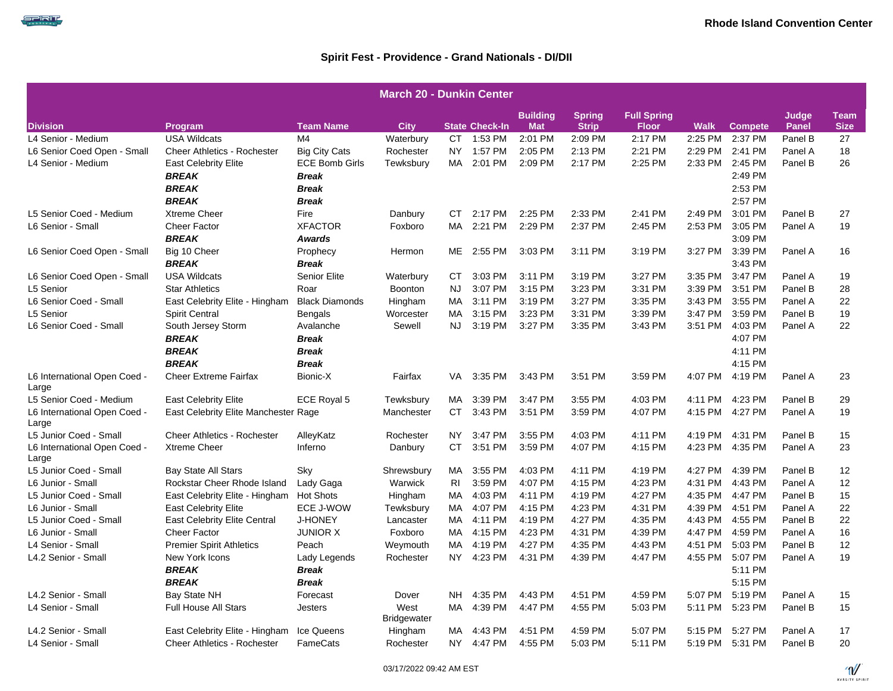| <b>March 20 - Dunkin Center</b>       |                                      |                       |                            |                |                       |                               |                               |                                    |             |                 |                       |                            |  |
|---------------------------------------|--------------------------------------|-----------------------|----------------------------|----------------|-----------------------|-------------------------------|-------------------------------|------------------------------------|-------------|-----------------|-----------------------|----------------------------|--|
| <b>Division</b>                       | Program                              | <b>Team Name</b>      | <b>City</b>                |                | <b>State Check-In</b> | <b>Building</b><br><b>Mat</b> | <b>Spring</b><br><b>Strip</b> | <b>Full Spring</b><br><b>Floor</b> | <b>Walk</b> | <b>Compete</b>  | Judge<br><b>Panel</b> | <b>Team</b><br><b>Size</b> |  |
| L4 Senior - Medium                    | <b>USA Wildcats</b>                  | M4                    | Waterbury                  | CT.            | 1:53 PM               | 2:01 PM                       | 2:09 PM                       | 2:17 PM                            | 2:25 PM     | 2:37 PM         | Panel B               | 27                         |  |
| L6 Senior Coed Open - Small           | <b>Cheer Athletics - Rochester</b>   | <b>Big City Cats</b>  | Rochester                  | NY.            | 1:57 PM               | 2:05 PM                       | 2:13 PM                       | 2:21 PM                            | 2:29 PM     | 2:41 PM         | Panel A               | 18                         |  |
| L4 Senior - Medium                    | <b>East Celebrity Elite</b>          | <b>ECE Bomb Girls</b> | Tewksbury                  | MA             | 2:01 PM               | 2:09 PM                       | 2:17 PM                       | 2:25 PM                            | 2:33 PM     | 2:45 PM         | Panel B               | 26                         |  |
|                                       | <b>BREAK</b>                         | <b>Break</b>          |                            |                |                       |                               |                               |                                    |             | 2:49 PM         |                       |                            |  |
|                                       | <b>BREAK</b>                         | <b>Break</b>          |                            |                |                       |                               |                               |                                    |             | 2:53 PM         |                       |                            |  |
|                                       | <b>BREAK</b>                         | <b>Break</b>          |                            |                |                       |                               |                               |                                    |             | 2:57 PM         |                       |                            |  |
| L5 Senior Coed - Medium               | <b>Xtreme Cheer</b>                  | Fire                  | Danbury                    | СT             | 2:17 PM               | 2:25 PM                       | 2:33 PM                       | 2:41 PM                            | 2:49 PM     | 3:01 PM         | Panel B               | 27                         |  |
| L6 Senior - Small                     | <b>Cheer Factor</b>                  | <b>XFACTOR</b>        | Foxboro                    | MA.            | 2:21 PM               | 2:29 PM                       | 2:37 PM                       | 2:45 PM                            | 2:53 PM     | 3:05 PM         | Panel A               | 19                         |  |
|                                       | <b>BREAK</b>                         | <b>Awards</b>         |                            |                |                       |                               |                               |                                    |             | 3:09 PM         |                       |                            |  |
| L6 Senior Coed Open - Small           | Big 10 Cheer                         | Prophecy              | Hermon                     | ME             | 2:55 PM               | 3:03 PM                       | 3:11 PM                       | 3:19 PM                            | 3:27 PM     | 3:39 PM         | Panel A               | 16                         |  |
|                                       | <b>BREAK</b>                         | <b>Break</b>          |                            |                |                       |                               |                               |                                    |             | 3:43 PM         |                       |                            |  |
| L6 Senior Coed Open - Small           | <b>USA Wildcats</b>                  | Senior Elite          | Waterbury                  | CT             | 3:03 PM               | 3:11 PM                       | 3:19 PM                       | 3:27 PM                            | 3:35 PM     | 3:47 PM         | Panel A               | 19                         |  |
| L5 Senior                             | <b>Star Athletics</b>                | Roar                  | Boonton                    | <b>NJ</b>      | 3:07 PM               | 3:15 PM                       | 3:23 PM                       | 3:31 PM                            | 3:39 PM     | 3:51 PM         | Panel B               | 28                         |  |
| L6 Senior Coed - Small                | East Celebrity Elite - Hingham       | <b>Black Diamonds</b> | Hingham                    | MA             | 3:11 PM               | 3:19 PM                       | 3:27 PM                       | 3:35 PM                            | 3:43 PM     | 3:55 PM         | Panel A               | 22                         |  |
| L5 Senior                             | <b>Spirit Central</b>                | <b>Bengals</b>        | Worcester                  | MA             | 3:15 PM               | 3:23 PM                       | 3:31 PM                       | 3:39 PM                            | 3:47 PM     | 3:59 PM         | Panel B               | 19                         |  |
| L6 Senior Coed - Small                | South Jersey Storm                   | Avalanche             | Sewell                     | <b>NJ</b>      | 3:19 PM               | 3:27 PM                       | 3:35 PM                       | 3:43 PM                            | 3:51 PM     | 4:03 PM         | Panel A               | 22                         |  |
|                                       | <b>BREAK</b>                         | <b>Break</b>          |                            |                |                       |                               |                               |                                    |             | 4:07 PM         |                       |                            |  |
|                                       | <b>BREAK</b>                         | <b>Break</b>          |                            |                |                       |                               |                               |                                    |             | 4:11 PM         |                       |                            |  |
|                                       | <b>BREAK</b>                         | <b>Break</b>          |                            |                |                       |                               |                               |                                    |             | 4:15 PM         |                       |                            |  |
| L6 International Open Coed -<br>Large | <b>Cheer Extreme Fairfax</b>         | Bionic-X              | Fairfax                    | VA             | 3:35 PM               | 3:43 PM                       | 3:51 PM                       | 3:59 PM                            | 4:07 PM     | 4:19 PM         | Panel A               | 23                         |  |
| L5 Senior Coed - Medium               | <b>East Celebrity Elite</b>          | ECE Royal 5           | Tewksbury                  | МA             | 3:39 PM               | 3:47 PM                       | 3:55 PM                       | 4:03 PM                            | 4:11 PM     | 4:23 PM         | Panel B               | 29                         |  |
| L6 International Open Coed -<br>Large | East Celebrity Elite Manchester Rage |                       | Manchester                 | CT.            | 3:43 PM               | 3:51 PM                       | 3:59 PM                       | 4:07 PM                            | 4:15 PM     | 4:27 PM         | Panel A               | 19                         |  |
| L5 Junior Coed - Small                | <b>Cheer Athletics - Rochester</b>   | AlleyKatz             | Rochester                  | NY.            | 3:47 PM               | 3:55 PM                       | 4:03 PM                       | 4:11 PM                            | 4:19 PM     | 4:31 PM         | Panel B               | 15                         |  |
| L6 International Open Coed -<br>Large | <b>Xtreme Cheer</b>                  | Inferno               | Danbury                    | CT             | 3:51 PM               | 3:59 PM                       | 4:07 PM                       | 4:15 PM                            | 4:23 PM     | 4:35 PM         | Panel A               | 23                         |  |
| L5 Junior Coed - Small                | <b>Bay State All Stars</b>           | Sky                   | Shrewsbury                 | MA             | 3:55 PM               | 4:03 PM                       | 4:11 PM                       | 4:19 PM                            | 4:27 PM     | 4:39 PM         | Panel B               | 12                         |  |
| L6 Junior - Small                     | Rockstar Cheer Rhode Island          | Lady Gaga             | Warwick                    | R <sub>1</sub> | 3:59 PM               | 4:07 PM                       | 4:15 PM                       | 4:23 PM                            | 4:31 PM     | 4:43 PM         | Panel A               | 12                         |  |
| L5 Junior Coed - Small                | East Celebrity Elite - Hingham       | <b>Hot Shots</b>      | Hingham                    | MA             | 4:03 PM               | 4:11 PM                       | 4:19 PM                       | 4:27 PM                            | 4:35 PM     | 4:47 PM         | Panel B               | 15                         |  |
| L6 Junior - Small                     | <b>East Celebrity Elite</b>          | ECE J-WOW             | Tewksbury                  | MA             | 4:07 PM               | 4:15 PM                       | 4:23 PM                       | 4:31 PM                            | 4:39 PM     | 4:51 PM         | Panel A               | 22                         |  |
| L5 Junior Coed - Small                | <b>East Celebrity Elite Central</b>  | <b>J-HONEY</b>        | Lancaster                  | MA             | 4:11 PM               | 4:19 PM                       | 4:27 PM                       | 4:35 PM                            | 4:43 PM     | 4:55 PM         | Panel B               | 22                         |  |
| L6 Junior - Small                     | <b>Cheer Factor</b>                  | <b>JUNIOR X</b>       | Foxboro                    | MA             | 4:15 PM               | 4:23 PM                       | 4:31 PM                       | 4:39 PM                            | 4:47 PM     | 4:59 PM         | Panel A               | 16                         |  |
| L4 Senior - Small                     | <b>Premier Spirit Athletics</b>      | Peach                 | Weymouth                   | MA             | 4:19 PM               | 4:27 PM                       | 4:35 PM                       | 4:43 PM                            | 4:51 PM     | 5:03 PM         | Panel B               | 12                         |  |
| L4.2 Senior - Small                   | New York Icons                       | Lady Legends          | Rochester                  | NY I           | 4:23 PM               | 4:31 PM                       | 4:39 PM                       | 4:47 PM                            | 4:55 PM     | 5:07 PM         | Panel A               | 19                         |  |
|                                       | <b>BREAK</b>                         | <b>Break</b>          |                            |                |                       |                               |                               |                                    |             | 5:11 PM         |                       |                            |  |
|                                       | <b>BREAK</b>                         | <b>Break</b>          |                            |                |                       |                               |                               |                                    |             | 5:15 PM         |                       |                            |  |
| L4.2 Senior - Small                   | Bay State NH                         | Forecast              | Dover                      | NH.            | 4:35 PM               | 4:43 PM                       | 4:51 PM                       | 4:59 PM                            | 5:07 PM     | 5:19 PM         | Panel A               | 15                         |  |
| L4 Senior - Small                     | <b>Full House All Stars</b>          | <b>Jesters</b>        | West<br><b>Bridgewater</b> | <b>MA</b>      | 4:39 PM               | 4:47 PM                       | 4:55 PM                       | 5:03 PM                            | 5:11 PM     | 5:23 PM         | Panel B               | 15                         |  |
| L4.2 Senior - Small                   | East Celebrity Elite - Hingham       | Ice Queens            | Hingham                    | МA             | 4:43 PM               | 4:51 PM                       | 4:59 PM                       | 5:07 PM                            | 5:15 PM     | 5:27 PM         | Panel A               | 17                         |  |
| L4 Senior - Small                     | <b>Cheer Athletics - Rochester</b>   | <b>FameCats</b>       | Rochester                  | NY .           | 4:47 PM               | 4:55 PM                       | 5:03 PM                       | 5:11 PM                            |             | 5:19 PM 5:31 PM | Panel B               | 20                         |  |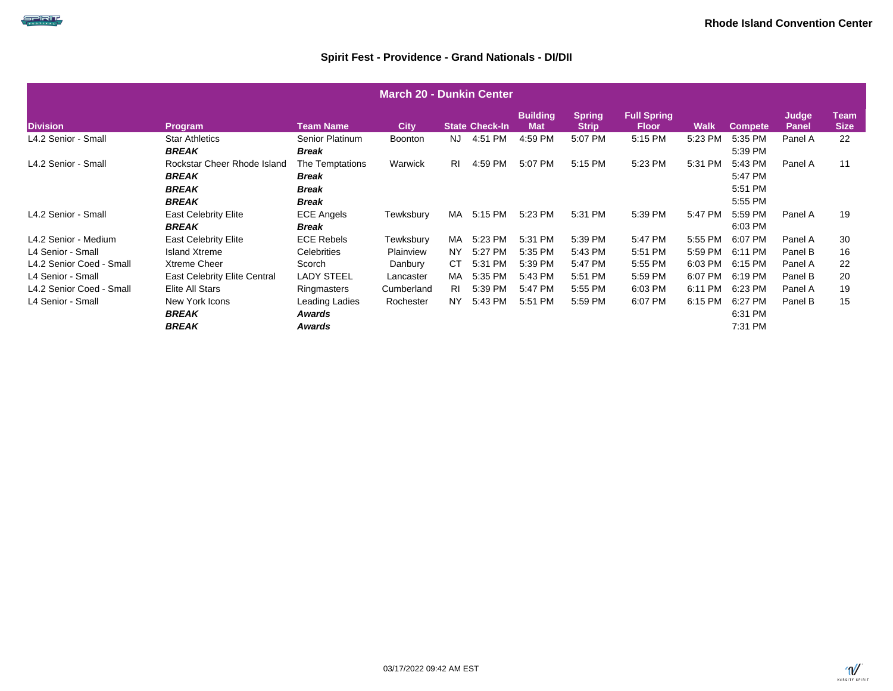| <b>March 20 - Dunkin Center</b> |                                                             |                                                   |                |           |                       |                               |                               |                                    |             |                               |                       |                            |  |
|---------------------------------|-------------------------------------------------------------|---------------------------------------------------|----------------|-----------|-----------------------|-------------------------------|-------------------------------|------------------------------------|-------------|-------------------------------|-----------------------|----------------------------|--|
| <b>Division</b>                 | Program                                                     | <b>Team Name</b>                                  | <b>City</b>    |           | <b>State Check-In</b> | <b>Building</b><br><b>Mat</b> | <b>Spring</b><br><b>Strip</b> | <b>Full Spring</b><br><b>Floor</b> | <b>Walk</b> | <b>Compete</b>                | Judge<br><b>Panel</b> | <b>Team</b><br><b>Size</b> |  |
| L4.2 Senior - Small             | <b>Star Athletics</b><br><b>BREAK</b>                       | Senior Platinum<br><b>Break</b>                   | <b>Boonton</b> | NJ        | 4:51 PM               | 4:59 PM                       | 5:07 PM                       | 5:15 PM                            | 5:23 PM     | 5:35 PM<br>5:39 PM            | Panel A               | 22                         |  |
| L4.2 Senior - Small             | Rockstar Cheer Rhode Island<br><b>BREAK</b><br><b>BREAK</b> | The Temptations<br>Break<br>Break                 | Warwick        | <b>RI</b> | 4:59 PM               | 5:07 PM                       | 5:15 PM                       | 5:23 PM                            | 5:31 PM     | 5:43 PM<br>5:47 PM<br>5:51 PM | Panel A               | 11                         |  |
| L4.2 Senior - Small             | <b>BREAK</b><br><b>East Celebrity Elite</b><br><b>BREAK</b> | <b>Break</b><br><b>ECE Angels</b><br><b>Break</b> | Tewksbury      | MA        | 5:15 PM               | 5:23 PM                       | 5:31 PM                       | 5:39 PM                            | 5:47 PM     | 5:55 PM<br>5:59 PM<br>6:03 PM | Panel A               | 19                         |  |
| L4.2 Senior - Medium            | <b>East Celebrity Elite</b>                                 | <b>ECE Rebels</b>                                 | Tewksbury      | MA        | 5:23 PM               | 5:31 PM                       | 5:39 PM                       | 5:47 PM                            | 5:55 PM     | 6:07 PM                       | Panel A               | 30                         |  |
| L4 Senior - Small               | Island Xtreme                                               | Celebrities                                       | Plainview      | NY        | 5:27 PM               | 5:35 PM                       | 5:43 PM                       | 5:51 PM                            | 5:59 PM     | 6:11 PM                       | Panel B               | 16                         |  |
| L4.2 Senior Coed - Small        | <b>Xtreme Cheer</b>                                         | Scorch                                            | Danbury        | СT        | 5:31 PM               | 5:39 PM                       | 5:47 PM                       | 5:55 PM                            | 6:03 PM     | 6:15 PM                       | Panel A               | 22                         |  |
| L4 Senior - Small               | East Celebrity Elite Central                                | <b>LADY STEEL</b>                                 | Lancaster      | MA        | 5:35 PM               | 5:43 PM                       | 5:51 PM                       | 5:59 PM                            | 6:07 PM     | 6:19 PM                       | Panel B               | 20                         |  |
| L4.2 Senior Coed - Small        | Elite All Stars                                             | Ringmasters                                       | Cumberland     | RI        | 5:39 PM               | 5:47 PM                       | 5:55 PM                       | 6:03 PM                            | 6:11 PM     | 6:23 PM                       | Panel A               | 19                         |  |
| L4 Senior - Small               | New York Icons<br><b>BREAK</b><br><b>BREAK</b>              | Leading Ladies<br>Awards<br>Awards                | Rochester      | NY.       | 5:43 PM               | 5:51 PM                       | 5:59 PM                       | 6:07 PM                            | 6:15 PM     | 6:27 PM<br>6:31 PM<br>7:31 PM | Panel B               | 15                         |  |

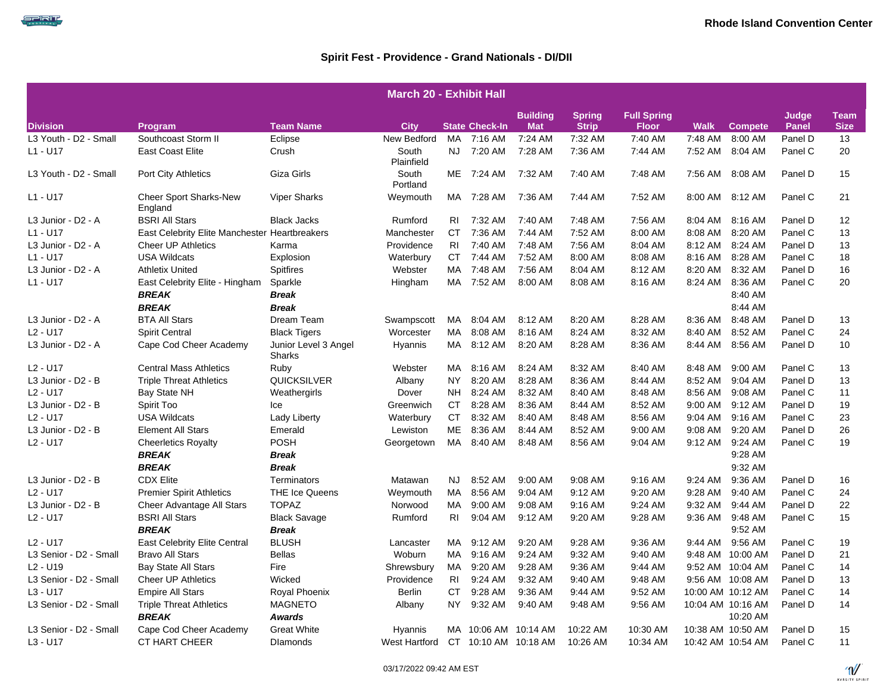|                                  |                                               |                                | <b>March 20 - Exhibit Hall</b> |           |                       |                               |                               |                                    |             |                   |                       |                            |
|----------------------------------|-----------------------------------------------|--------------------------------|--------------------------------|-----------|-----------------------|-------------------------------|-------------------------------|------------------------------------|-------------|-------------------|-----------------------|----------------------------|
| <b>Division</b>                  | Program                                       | <b>Team Name</b>               | <b>City</b>                    |           | <b>State Check-In</b> | <b>Building</b><br><b>Mat</b> | <b>Spring</b><br><b>Strip</b> | <b>Full Spring</b><br><b>Floor</b> | <b>Walk</b> | <b>Compete</b>    | Judge<br><b>Panel</b> | <b>Team</b><br><b>Size</b> |
| L3 Youth - D2 - Small            | Southcoast Storm II                           | Eclipse                        | New Bedford                    | MA        | 7:16 AM               | 7:24 AM                       | 7:32 AM                       | 7:40 AM                            | 7:48 AM     | 8:00 AM           | Panel D               | 13                         |
| L1 - U17                         | <b>East Coast Elite</b>                       | Crush                          | South<br>Plainfield            | <b>NJ</b> | 7:20 AM               | 7:28 AM                       | 7:36 AM                       | 7:44 AM                            | 7:52 AM     | 8:04 AM           | Panel C               | 20                         |
| L3 Youth - D2 - Small            | Port City Athletics                           | Giza Girls                     | South<br>Portland              | ME        | 7:24 AM               | 7:32 AM                       | 7:40 AM                       | 7:48 AM                            | 7:56 AM     | 8:08 AM           | Panel D               | 15                         |
| L1 - U17                         | <b>Cheer Sport Sharks-New</b><br>England      | <b>Viper Sharks</b>            | Weymouth                       |           | MA 7:28 AM            | 7:36 AM                       | 7:44 AM                       | 7:52 AM                            |             | 8:00 AM 8:12 AM   | Panel C               | 21                         |
| L3 Junior - D2 - A               | <b>BSRI All Stars</b>                         | <b>Black Jacks</b>             | Rumford                        | RI        | 7:32 AM               | 7:40 AM                       | 7:48 AM                       | 7:56 AM                            | 8:04 AM     | 8:16 AM           | Panel D               | 12                         |
| L1 - U17                         | East Celebrity Elite Manchester Heartbreakers |                                | Manchester                     | <b>CT</b> | 7:36 AM               | 7:44 AM                       | 7:52 AM                       | 8:00 AM                            | 8:08 AM     | 8:20 AM           | Panel C               | 13                         |
| L3 Junior - D2 - A               | <b>Cheer UP Athletics</b>                     | Karma                          | Providence                     | RI        | 7:40 AM               | 7:48 AM                       | 7:56 AM                       | 8:04 AM                            | 8:12 AM     | 8:24 AM           | Panel D               | 13                         |
| L1 - U17                         | <b>USA Wildcats</b>                           | Explosion                      | Waterbury                      | <b>CT</b> | 7:44 AM               | 7:52 AM                       | 8:00 AM                       | 8:08 AM                            | 8:16 AM     | 8:28 AM           | Panel C               | 18                         |
| L3 Junior - D2 - A               | <b>Athletix United</b>                        | Spitfires                      | Webster                        | MA        | 7:48 AM               | 7:56 AM                       | 8:04 AM                       | 8:12 AM                            | 8:20 AM     | 8:32 AM           | Panel D               | 16                         |
| L1 - U17                         | East Celebrity Elite - Hingham                | Sparkle                        | Hingham                        | MA        | 7:52 AM               | 8:00 AM                       | 8:08 AM                       | 8:16 AM                            | 8:24 AM     | 8:36 AM           | Panel C               | 20                         |
|                                  | <b>BREAK</b>                                  | <b>Break</b>                   |                                |           |                       |                               |                               |                                    |             | 8:40 AM           |                       |                            |
|                                  | <b>BREAK</b>                                  | Break                          |                                |           |                       |                               |                               |                                    |             | 8:44 AM           |                       |                            |
| L3 Junior - D2 - A               | <b>BTA All Stars</b>                          | Dream Team                     | Swampscott                     | MA        | 8:04 AM               | 8:12 AM                       | 8:20 AM                       | 8:28 AM                            | 8:36 AM     | 8:48 AM           | Panel D               | 13                         |
| L <sub>2</sub> - U <sub>17</sub> | <b>Spirit Central</b>                         | <b>Black Tigers</b>            | Worcester                      | <b>MA</b> | 8:08 AM               | 8:16 AM                       | 8:24 AM                       | 8:32 AM                            | 8:40 AM     | 8:52 AM           | Panel C               | 24                         |
| L3 Junior - D2 - A               | Cape Cod Cheer Academy                        | Junior Level 3 Angel<br>Sharks | Hyannis                        | MA        | 8:12 AM               | 8:20 AM                       | 8:28 AM                       | 8:36 AM                            | 8:44 AM     | 8:56 AM           | Panel D               | 10                         |
| L <sub>2</sub> - U <sub>17</sub> | <b>Central Mass Athletics</b>                 | Ruby                           | Webster                        | MA.       | 8:16 AM               | 8:24 AM                       | 8:32 AM                       | 8:40 AM                            | 8:48 AM     | 9:00 AM           | Panel C               | 13                         |
| L3 Junior - D2 - B               | <b>Triple Threat Athletics</b>                | <b>QUICKSILVER</b>             | Albany                         | NY.       | 8:20 AM               | 8:28 AM                       | 8:36 AM                       | 8:44 AM                            | 8:52 AM     | 9:04 AM           | Panel D               | 13                         |
| L <sub>2</sub> - U <sub>17</sub> | Bay State NH                                  | Weathergirls                   | Dover                          | NH.       | 8:24 AM               | 8:32 AM                       | 8:40 AM                       | 8:48 AM                            | 8:56 AM     | 9:08 AM           | Panel C               | 11                         |
| L3 Junior - D2 - B               | Spirit Too                                    | Ice                            | Greenwich                      | CT        | 8:28 AM               | 8:36 AM                       | 8:44 AM                       | 8:52 AM                            | 9:00 AM     | 9:12 AM           | Panel D               | 19                         |
| L <sub>2</sub> - U <sub>17</sub> | <b>USA Wildcats</b>                           | Lady Liberty                   | Waterbury                      | <b>CT</b> | 8:32 AM               | 8:40 AM                       | 8:48 AM                       | 8:56 AM                            | 9:04 AM     | 9:16 AM           | Panel C               | 23                         |
| L3 Junior - D2 - B               | <b>Element All Stars</b>                      | Emerald                        | Lewiston                       | МE        | 8:36 AM               | 8:44 AM                       | 8:52 AM                       | 9:00 AM                            | 9:08 AM     | 9:20 AM           | Panel D               | 26                         |
| L2 - U17                         | <b>Cheerletics Royalty</b>                    | POSH                           | Georgetown                     | MA        | 8:40 AM               | 8:48 AM                       | 8:56 AM                       | 9:04 AM                            | 9:12 AM     | 9:24 AM           | Panel C               | 19                         |
|                                  | <b>BREAK</b>                                  | Break                          |                                |           |                       |                               |                               |                                    |             | 9:28 AM           |                       |                            |
|                                  | <b>BREAK</b>                                  | <b>Break</b>                   |                                |           |                       |                               |                               |                                    |             | 9:32 AM           |                       |                            |
| L3 Junior - D2 - B               | <b>CDX Elite</b>                              | Terminators                    | Matawan                        | NJ        | 8:52 AM               | 9:00 AM                       | 9:08 AM                       | 9:16 AM                            | 9:24 AM     | 9:36 AM           | Panel D               | 16                         |
| L <sub>2</sub> - U <sub>17</sub> | <b>Premier Spirit Athletics</b>               | <b>THE Ice Queens</b>          | Weymouth                       | МA        | 8:56 AM               | 9:04 AM                       | 9:12 AM                       | 9:20 AM                            | 9:28 AM     | 9:40 AM           | Panel C               | 24                         |
| L3 Junior - D2 - B               | Cheer Advantage All Stars                     | <b>TOPAZ</b>                   | Norwood                        | МA        | 9:00 AM               | 9:08 AM                       | 9:16 AM                       | 9:24 AM                            | 9:32 AM     | 9:44 AM           | Panel D               | 22                         |
| L2 - U17                         | <b>BSRI All Stars</b>                         | <b>Black Savage</b>            | Rumford                        | RI        | 9:04 AM               | 9:12 AM                       | 9:20 AM                       | 9:28 AM                            | 9:36 AM     | 9:48 AM           | Panel C               | 15                         |
|                                  | <b>BREAK</b>                                  | <b>Break</b>                   |                                |           |                       |                               |                               |                                    |             | 9:52 AM           |                       |                            |
| L <sub>2</sub> - U <sub>17</sub> | <b>East Celebrity Elite Central</b>           | <b>BLUSH</b>                   | Lancaster                      | MA        | 9:12 AM               | 9:20 AM                       | 9:28 AM                       | 9:36 AM                            | 9:44 AM     | 9:56 AM           | Panel C               | 19                         |
| L3 Senior - D2 - Small           | <b>Bravo All Stars</b>                        | <b>Bellas</b>                  | Woburn                         | MA        | 9:16 AM               | 9:24 AM                       | 9:32 AM                       | 9:40 AM                            |             | 9:48 AM 10:00 AM  | Panel D               | 21                         |
| L <sub>2</sub> - U <sub>19</sub> | <b>Bay State All Stars</b>                    | Fire                           | Shrewsbury                     | MA        | 9:20 AM               | 9:28 AM                       | 9:36 AM                       | 9:44 AM                            |             | 9:52 AM 10:04 AM  | Panel C               | 14                         |
| L3 Senior - D2 - Small           | <b>Cheer UP Athletics</b>                     | Wicked                         | Providence                     | RI        | 9:24 AM               | 9:32 AM                       | 9:40 AM                       | 9:48 AM                            |             | 9:56 AM 10:08 AM  | Panel D               | 13                         |
| L3 - U17                         | <b>Empire All Stars</b>                       | Royal Phoenix                  | Berlin                         | CT        | 9:28 AM               | 9:36 AM                       | 9:44 AM                       | 9:52 AM                            |             | 10:00 AM 10:12 AM | Panel C               | 14                         |
| L3 Senior - D2 - Small           | <b>Triple Threat Athletics</b>                | <b>MAGNETO</b>                 | Albany                         | NY.       | 9:32 AM               | 9:40 AM                       | 9:48 AM                       | 9:56 AM                            |             | 10:04 AM 10:16 AM | Panel D               | 14                         |
|                                  | <b>BREAK</b>                                  | <b>Awards</b>                  |                                |           |                       |                               |                               |                                    |             | 10:20 AM          |                       |                            |
| L3 Senior - D2 - Small           | Cape Cod Cheer Academy                        | <b>Great White</b>             | Hyannis                        |           | MA 10:06 AM 10:14 AM  |                               | 10:22 AM                      | 10:30 AM                           |             | 10:38 AM 10:50 AM | Panel D               | 15                         |
| L3 - U17                         | CT HART CHEER                                 | <b>Dlamonds</b>                | West Hartford                  |           | CT 10:10 AM 10:18 AM  |                               | 10:26 AM                      | 10:34 AM                           |             | 10:42 AM 10:54 AM | Panel C               | 11                         |



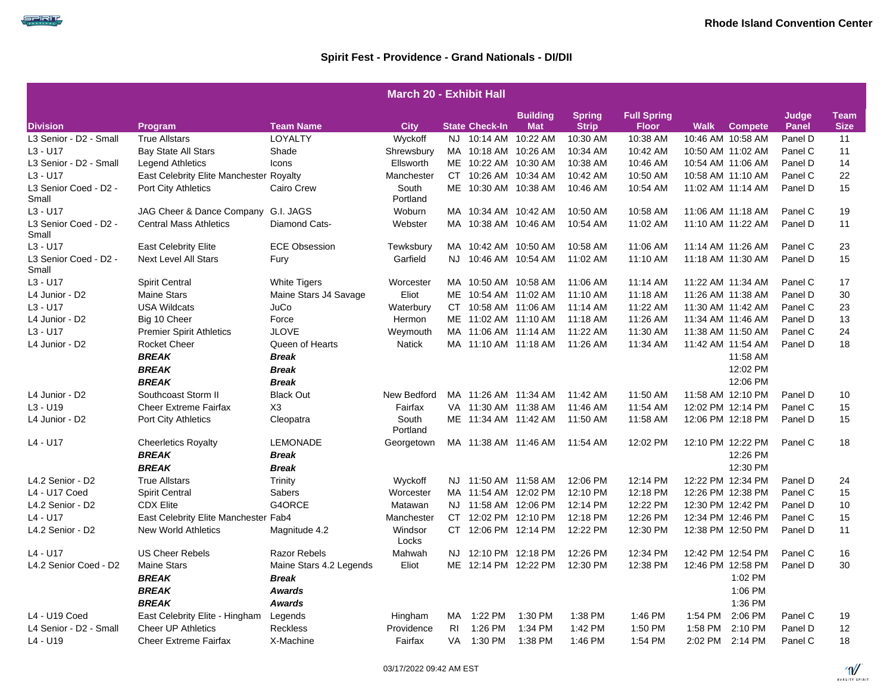| <b>March 20 - Exhibit Hall</b> |                                         |                         |                   |           |                       |                               |                               |                                    |             |                   |                       |                            |
|--------------------------------|-----------------------------------------|-------------------------|-------------------|-----------|-----------------------|-------------------------------|-------------------------------|------------------------------------|-------------|-------------------|-----------------------|----------------------------|
| <b>Division</b>                | Program                                 | <b>Team Name</b>        | <b>City</b>       |           | <b>State Check-In</b> | <b>Building</b><br><b>Mat</b> | <b>Spring</b><br><b>Strip</b> | <b>Full Spring</b><br><b>Floor</b> | <b>Walk</b> | <b>Compete</b>    | Judge<br><b>Panel</b> | <b>Team</b><br><b>Size</b> |
| L3 Senior - D2 - Small         | <b>True Allstars</b>                    | LOYALTY                 | Wyckoff           | <b>NJ</b> | 10:14 AM              | 10:22 AM                      | 10:30 AM                      | 10:38 AM                           |             | 10:46 AM 10:58 AM | Panel D               | 11                         |
| $L3 - U17$                     | <b>Bay State All Stars</b>              | Shade                   | Shrewsbury        |           | MA 10:18 AM 10:26 AM  |                               | 10:34 AM                      | 10:42 AM                           |             | 10:50 AM 11:02 AM | Panel C               | 11                         |
| L3 Senior - D2 - Small         | <b>Legend Athletics</b>                 | Icons                   | Ellsworth         |           | ME 10:22 AM 10:30 AM  |                               | 10:38 AM                      | 10:46 AM                           |             | 10:54 AM 11:06 AM | Panel D               | 14                         |
| L3 - U17                       | East Celebrity Elite Manchester Royalty |                         | Manchester        |           | CT 10:26 AM 10:34 AM  |                               | 10:42 AM                      | 10:50 AM                           |             | 10:58 AM 11:10 AM | Panel C               | 22                         |
| L3 Senior Coed - D2 -<br>Small | Port City Athletics                     | Cairo Crew              | South<br>Portland |           | ME 10:30 AM 10:38 AM  |                               | 10:46 AM                      | 10:54 AM                           |             | 11:02 AM 11:14 AM | Panel D               | 15                         |
| $L3 - U17$                     | JAG Cheer & Dance Company               | G.I. JAGS               | Woburn            |           | MA 10:34 AM 10:42 AM  |                               | 10:50 AM                      | 10:58 AM                           |             | 11:06 AM 11:18 AM | Panel C               | 19                         |
| L3 Senior Coed - D2 -<br>Small | <b>Central Mass Athletics</b>           | Diamond Cats-           | Webster           |           | MA 10:38 AM 10:46 AM  |                               | 10:54 AM                      | 11:02 AM                           |             | 11:10 AM 11:22 AM | Panel D               | 11                         |
| L3 - U17                       | <b>East Celebrity Elite</b>             | <b>ECE Obsession</b>    | Tewksbury         |           | MA 10:42 AM 10:50 AM  |                               | 10:58 AM                      | 11:06 AM                           |             | 11:14 AM 11:26 AM | Panel C               | 23                         |
| L3 Senior Coed - D2 -<br>Small | <b>Next Level All Stars</b>             | Fury                    | Garfield          | NJ.       |                       | 10:46 AM 10:54 AM             | 11:02 AM                      | 11:10 AM                           |             | 11:18 AM 11:30 AM | Panel D               | 15                         |
| $L3 - U17$                     | <b>Spirit Central</b>                   | <b>White Tigers</b>     | Worcester         |           | MA 10:50 AM 10:58 AM  |                               | 11:06 AM                      | 11:14 AM                           |             | 11:22 AM 11:34 AM | Panel C               | 17                         |
| L4 Junior - D2                 | <b>Maine Stars</b>                      | Maine Stars J4 Savage   | Eliot             |           | ME 10:54 AM 11:02 AM  |                               | 11:10 AM                      | 11:18 AM                           |             | 11:26 AM 11:38 AM | Panel D               | 30                         |
| $L3 - U17$                     | <b>USA Wildcats</b>                     | JuCo                    | Waterbury         |           | CT 10:58 AM 11:06 AM  |                               | 11:14 AM                      | 11:22 AM                           |             | 11:30 AM 11:42 AM | Panel C               | 23                         |
| L4 Junior - D2                 | Big 10 Cheer                            | Force                   | Hermon            |           | ME 11:02 AM 11:10 AM  |                               | 11:18 AM                      | 11:26 AM                           |             | 11:34 AM 11:46 AM | Panel D               | 13                         |
| $L3 - U17$                     | <b>Premier Spirit Athletics</b>         | <b>JLOVE</b>            | Weymouth          |           | MA 11:06 AM 11:14 AM  |                               | 11:22 AM                      | 11:30 AM                           |             | 11:38 AM 11:50 AM | Panel C               | 24                         |
| L4 Junior - D2                 | Rocket Cheer                            | Queen of Hearts         | <b>Natick</b>     |           | MA 11:10 AM 11:18 AM  |                               | 11:26 AM                      | 11:34 AM                           |             | 11:42 AM 11:54 AM | Panel D               | 18                         |
|                                | <b>BREAK</b>                            | <b>Break</b>            |                   |           |                       |                               |                               |                                    |             | 11:58 AM          |                       |                            |
|                                | <b>BREAK</b>                            | <b>Break</b>            |                   |           |                       |                               |                               |                                    |             | 12:02 PM          |                       |                            |
|                                | <b>BREAK</b>                            | <b>Break</b>            |                   |           |                       |                               |                               |                                    |             | 12:06 PM          |                       |                            |
| L4 Junior - D2                 | Southcoast Storm II                     | <b>Black Out</b>        | New Bedford       |           | MA 11:26 AM 11:34 AM  |                               | 11:42 AM                      | 11:50 AM                           |             | 11:58 AM 12:10 PM | Panel D               | 10                         |
| $L3 - U19$                     | <b>Cheer Extreme Fairfax</b>            | X <sub>3</sub>          | Fairfax           |           | VA 11:30 AM 11:38 AM  |                               | 11:46 AM                      | 11:54 AM                           |             | 12:02 PM 12:14 PM | Panel C               | 15                         |
| L4 Junior - D2                 | Port City Athletics                     | Cleopatra               | South<br>Portland |           | ME 11:34 AM 11:42 AM  |                               | 11:50 AM                      | 11:58 AM                           |             | 12:06 PM 12:18 PM | Panel D               | 15                         |
| $L4 - U17$                     | <b>Cheerletics Royalty</b>              | <b>LEMONADE</b>         | Georgetown        |           | MA 11:38 AM 11:46 AM  |                               | 11:54 AM                      | 12:02 PM                           |             | 12:10 PM 12:22 PM | Panel C               | 18                         |
|                                | <b>BREAK</b>                            | <b>Break</b>            |                   |           |                       |                               |                               |                                    |             | 12:26 PM          |                       |                            |
|                                | <b>BREAK</b>                            | <b>Break</b>            |                   |           |                       |                               |                               |                                    |             | 12:30 PM          |                       |                            |
| L4.2 Senior - D2               | <b>True Allstars</b>                    | Trinity                 | Wyckoff           |           | NJ 11:50 AM 11:58 AM  |                               | 12:06 PM                      | 12:14 PM                           |             | 12:22 PM 12:34 PM | Panel D               | 24                         |
| L4 - U17 Coed                  | <b>Spirit Central</b>                   | <b>Sabers</b>           | Worcester         |           | MA 11:54 AM 12:02 PM  |                               | 12:10 PM                      | 12:18 PM                           |             | 12:26 PM 12:38 PM | Panel C               | 15                         |
| L4.2 Senior - D2               | <b>CDX Elite</b>                        | G4ORCE                  | Matawan           |           | NJ 11:58 AM 12:06 PM  |                               | 12:14 PM                      | 12:22 PM                           |             | 12:30 PM 12:42 PM | Panel D               | 10                         |
| $L4 - U17$                     | East Celebrity Elite Manchester Fab4    |                         | Manchester        |           | CT 12:02 PM 12:10 PM  |                               | 12:18 PM                      | 12:26 PM                           |             | 12:34 PM 12:46 PM | Panel C               | 15                         |
| L4.2 Senior - D2               | <b>New World Athletics</b>              | Magnitude 4.2           | Windsor<br>Locks  |           | CT 12:06 PM 12:14 PM  |                               | 12:22 PM                      | 12:30 PM                           |             | 12:38 PM 12:50 PM | Panel D               | 11                         |
| $L4 - U17$                     | <b>US Cheer Rebels</b>                  | <b>Razor Rebels</b>     | Mahwah            |           | NJ 12:10 PM 12:18 PM  |                               | 12:26 PM                      | 12:34 PM                           |             | 12:42 PM 12:54 PM | Panel C               | 16                         |
| L4.2 Senior Coed - D2          | <b>Maine Stars</b>                      | Maine Stars 4.2 Legends | Eliot             |           | ME 12:14 PM 12:22 PM  |                               | 12:30 PM                      | 12:38 PM                           |             | 12:46 PM 12:58 PM | Panel D               | 30                         |
|                                | <b>BREAK</b>                            | <b>Break</b>            |                   |           |                       |                               |                               |                                    |             | 1:02 PM           |                       |                            |
|                                | <b>BREAK</b>                            | <b>Awards</b>           |                   |           |                       |                               |                               |                                    |             | 1:06 PM           |                       |                            |
|                                | <b>BREAK</b>                            | <b>Awards</b>           |                   |           |                       |                               |                               |                                    |             | 1:36 PM           |                       |                            |
| L4 - U19 Coed                  | East Celebrity Elite - Hingham          | Legends                 | Hingham           | MA        | 1:22 PM               | 1:30 PM                       | 1:38 PM                       | 1:46 PM                            | 1:54 PM     | 2:06 PM           | Panel C               | 19                         |
| L4 Senior - D2 - Small         | <b>Cheer UP Athletics</b>               | <b>Reckless</b>         | Providence        | RI.       | 1:26 PM               | 1:34 PM                       | 1:42 PM                       | 1:50 PM                            | 1:58 PM     | 2:10 PM           | Panel D               | 12                         |
| L4 - U19                       | <b>Cheer Extreme Fairfax</b>            | X-Machine               | Fairfax           |           | VA 1:30 PM            | 1:38 PM                       | 1:46 PM                       | 1:54 PM                            |             | 2:02 PM 2:14 PM   | Panel C               | 18                         |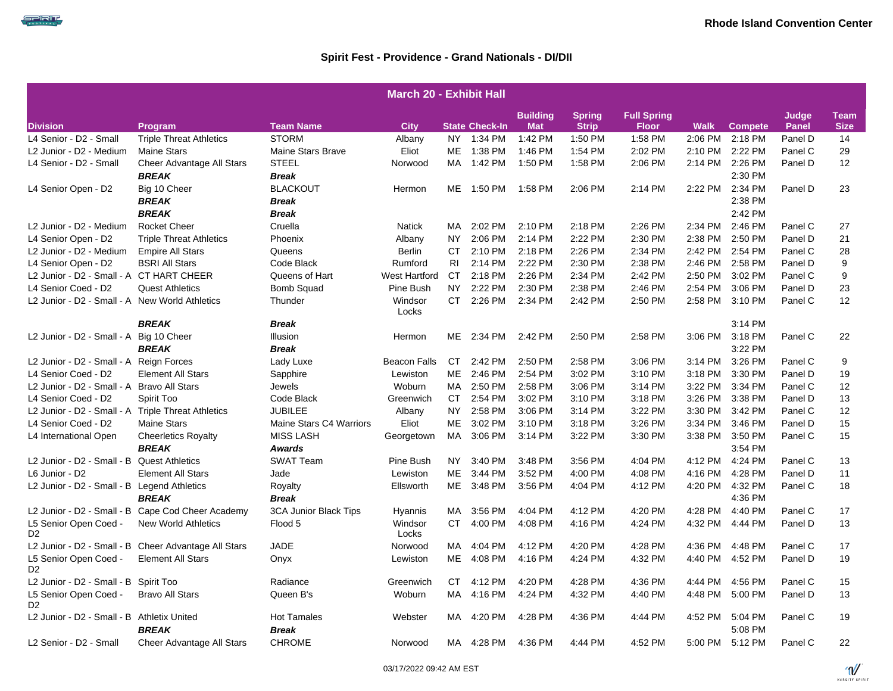|                                                    |                                                      |                         | <b>March 20 - Exhibit Hall</b> |           |                       |                               |                               |                                    |             |                 |                       |                            |
|----------------------------------------------------|------------------------------------------------------|-------------------------|--------------------------------|-----------|-----------------------|-------------------------------|-------------------------------|------------------------------------|-------------|-----------------|-----------------------|----------------------------|
| <b>Division</b>                                    | Program                                              | <b>Team Name</b>        | City                           |           | <b>State Check-In</b> | <b>Building</b><br><b>Mat</b> | <b>Spring</b><br><b>Strip</b> | <b>Full Spring</b><br><b>Floor</b> | <b>Walk</b> | <b>Compete</b>  | Judge<br><b>Panel</b> | <b>Team</b><br><b>Size</b> |
| L4 Senior - D2 - Small                             | <b>Triple Threat Athletics</b>                       | <b>STORM</b>            | Albany                         |           | NY 1:34 PM            | 1:42 PM                       | 1:50 PM                       | 1:58 PM                            | 2:06 PM     | 2:18 PM         | Panel D               | 14                         |
| L2 Junior - D2 - Medium                            | <b>Maine Stars</b>                                   | Maine Stars Brave       | Eliot                          | ME        | 1:38 PM               | 1:46 PM                       | 1:54 PM                       | 2:02 PM                            | 2:10 PM     | 2:22 PM         | Panel C               | 29                         |
| L4 Senior - D2 - Small                             | Cheer Advantage All Stars                            | <b>STEEL</b>            | Norwood                        | MA        | 1:42 PM               | 1:50 PM                       | 1:58 PM                       | 2:06 PM                            | 2:14 PM     | 2:26 PM         | Panel D               | 12                         |
|                                                    | <b>BREAK</b>                                         | <b>Break</b>            |                                |           |                       |                               |                               |                                    |             | 2:30 PM         |                       |                            |
| L4 Senior Open - D2                                | Big 10 Cheer                                         | <b>BLACKOUT</b>         | Hermon                         | ME        | 1:50 PM               | 1:58 PM                       | 2:06 PM                       | 2:14 PM                            | 2:22 PM     | 2:34 PM         | Panel D               | 23                         |
|                                                    | <b>BREAK</b>                                         | <b>Break</b>            |                                |           |                       |                               |                               |                                    |             | 2:38 PM         |                       |                            |
|                                                    | <b>BREAK</b>                                         | <b>Break</b>            |                                |           |                       |                               |                               |                                    |             | 2:42 PM         |                       |                            |
| L2 Junior - D2 - Medium                            | <b>Rocket Cheer</b>                                  | Cruella                 | <b>Natick</b>                  | MA.       | 2:02 PM               | 2:10 PM                       | 2:18 PM                       | 2:26 PM                            | 2:34 PM     | 2:46 PM         | Panel C               | 27                         |
| L4 Senior Open - D2                                | <b>Triple Threat Athletics</b>                       | Phoenix                 | Albany                         | <b>NY</b> | 2:06 PM               | 2:14 PM                       | 2:22 PM                       | 2:30 PM                            | 2:38 PM     | 2:50 PM         | Panel D               | 21                         |
| L2 Junior - D2 - Medium                            | <b>Empire All Stars</b>                              | Queens                  | <b>Berlin</b>                  | CT        | 2:10 PM               | 2:18 PM                       | 2:26 PM                       | 2:34 PM                            | 2:42 PM     | 2:54 PM         | Panel C               | 28                         |
| L4 Senior Open - D2                                | <b>BSRI All Stars</b>                                | Code Black              | Rumford                        | RI.       | 2:14 PM               | 2:22 PM                       | 2:30 PM                       | 2:38 PM                            | 2:46 PM     | 2:58 PM         | Panel D               | 9                          |
| L2 Junior - D2 - Small - A CT HART CHEER           |                                                      | Queens of Hart          | <b>West Hartford</b>           | CT.       | 2:18 PM               | 2:26 PM                       | 2:34 PM                       | 2:42 PM                            | 2:50 PM     | 3:02 PM         | Panel C               | 9                          |
| L4 Senior Coed - D2                                | <b>Quest Athletics</b>                               | <b>Bomb Squad</b>       | Pine Bush                      | NY        | 2:22 PM               | 2:30 PM                       | 2:38 PM                       | 2:46 PM                            | 2:54 PM     | 3:06 PM         | Panel D               | 23                         |
| L2 Junior - D2 - Small - A New World Athletics     |                                                      | Thunder                 | Windsor<br>Locks               |           | CT 2:26 PM            | 2:34 PM                       | 2:42 PM                       | 2:50 PM                            | 2:58 PM     | 3:10 PM         | Panel C               | 12                         |
|                                                    | <b>BREAK</b>                                         | <b>Break</b>            |                                |           |                       |                               |                               |                                    |             | 3:14 PM         |                       |                            |
| L2 Junior - D2 - Small - A Big 10 Cheer            |                                                      | Illusion                | Hermon                         |           | ME 2:34 PM            | 2:42 PM                       | 2:50 PM                       | 2:58 PM                            | 3:06 PM     | 3:18 PM         | Panel C               | 22                         |
|                                                    | <b>BREAK</b>                                         | <b>Break</b>            |                                |           |                       |                               |                               |                                    |             | 3:22 PM         |                       |                            |
| L2 Junior - D2 - Small - A Reign Forces            |                                                      | Lady Luxe               | <b>Beacon Falls</b>            | CT.       | 2:42 PM               | 2:50 PM                       | 2:58 PM                       | 3:06 PM                            | 3:14 PM     | 3:26 PM         | Panel C               | 9                          |
| L4 Senior Coed - D2                                | <b>Element All Stars</b>                             | Sapphire                | Lewiston                       | ME        | 2:46 PM               | 2:54 PM                       | 3:02 PM                       | 3:10 PM                            | 3:18 PM     | 3:30 PM         | Panel D               | 19                         |
| L2 Junior - D2 - Small - A Bravo All Stars         |                                                      | Jewels                  | Woburn                         | MA.       | 2:50 PM               | 2:58 PM                       | 3:06 PM                       | 3:14 PM                            | 3:22 PM     | 3:34 PM         | Panel C               | 12                         |
| L4 Senior Coed - D2                                | Spirit Too                                           | Code Black              | Greenwich                      | <b>CT</b> | 2:54 PM               | 3:02 PM                       | 3:10 PM                       | 3:18 PM                            | 3:26 PM     | 3:38 PM         | Panel D               | 13                         |
| L2 Junior - D2 - Small - A Triple Threat Athletics |                                                      | <b>JUBILEE</b>          | Albany                         | NY.       | 2:58 PM               | 3:06 PM                       | 3:14 PM                       | 3:22 PM                            | 3:30 PM     | 3:42 PM         | Panel C               | 12                         |
| L4 Senior Coed - D2                                | <b>Maine Stars</b>                                   | Maine Stars C4 Warriors | Eliot                          | ME        | 3:02 PM               | 3:10 PM                       | 3:18 PM                       | 3:26 PM                            | 3:34 PM     | 3:46 PM         | Panel D               | 15                         |
| L4 International Open                              | <b>Cheerletics Royalty</b>                           | <b>MISS LASH</b>        | Georgetown                     | MA        | 3:06 PM               | 3:14 PM                       | 3:22 PM                       | 3:30 PM                            | 3:38 PM     | 3:50 PM         | Panel C               | 15                         |
|                                                    | <b>BREAK</b>                                         | <b>Awards</b>           |                                |           |                       |                               |                               |                                    |             | 3:54 PM         |                       |                            |
| L2 Junior - D2 - Small - B Quest Athletics         |                                                      | <b>SWAT Team</b>        | Pine Bush                      | <b>NY</b> | 3:40 PM               | 3:48 PM                       | 3:56 PM                       | 4:04 PM                            | 4:12 PM     | 4:24 PM         | Panel C               | 13                         |
| L6 Junior - D2                                     | <b>Element All Stars</b>                             | Jade                    | Lewiston                       | ME        | 3:44 PM               | 3:52 PM                       | 4:00 PM                       | 4:08 PM                            | 4:16 PM     | 4:28 PM         | Panel D               | 11                         |
| L2 Junior - D2 - Small - B Legend Athletics        |                                                      | Royalty                 | Ellsworth                      | ME        | 3:48 PM               | 3:56 PM                       | 4:04 PM                       | 4:12 PM                            | 4:20 PM     | 4:32 PM         | Panel C               | 18                         |
|                                                    | <b>BREAK</b>                                         | <b>Break</b>            |                                |           |                       |                               |                               |                                    |             | 4:36 PM         |                       |                            |
|                                                    | L2 Junior - D2 - Small - B Cape Cod Cheer Academy    | 3CA Junior Black Tips   | Hyannis                        | MA        | 3:56 PM               | 4:04 PM                       | 4:12 PM                       | 4:20 PM                            | 4:28 PM     | 4:40 PM         | Panel C               | 17                         |
| L5 Senior Open Coed -<br>D <sub>2</sub>            | <b>New World Athletics</b>                           | Flood 5                 | Windsor<br>Locks               | CT        | 4:00 PM               | 4:08 PM                       | 4:16 PM                       | 4:24 PM                            | 4:32 PM     | 4:44 PM         | Panel D               | 13                         |
|                                                    | L2 Junior - D2 - Small - B Cheer Advantage All Stars | <b>JADE</b>             | Norwood                        | MA.       | 4:04 PM               | 4:12 PM                       | 4:20 PM                       | 4:28 PM                            | 4:36 PM     | 4:48 PM         | Panel C               | 17                         |
| L5 Senior Open Coed -<br>D <sub>2</sub>            | <b>Element All Stars</b>                             | Onyx                    | Lewiston                       | ME        | 4:08 PM               | 4:16 PM                       | 4:24 PM                       | 4:32 PM                            | 4:40 PM     | 4:52 PM         | Panel D               | 19                         |
| L2 Junior - D2 - Small - B Spirit Too              |                                                      | Radiance                | Greenwich                      | CT        | 4:12 PM               | 4:20 PM                       | 4:28 PM                       | 4:36 PM                            | 4:44 PM     | 4:56 PM         | Panel C               | 15                         |
| L5 Senior Open Coed -<br>D <sub>2</sub>            | <b>Bravo All Stars</b>                               | Queen B's               | Woburn                         | MA.       | 4:16 PM               | 4:24 PM                       | 4:32 PM                       | 4:40 PM                            | 4:48 PM     | 5:00 PM         | Panel D               | 13                         |
| L2 Junior - D2 - Small - B Athletix United         |                                                      | <b>Hot Tamales</b>      | Webster                        | MA        | 4:20 PM               | 4:28 PM                       | 4:36 PM                       | 4:44 PM                            | 4:52 PM     | 5:04 PM         | Panel C               | 19                         |
|                                                    | <b>BREAK</b>                                         | <b>Break</b>            |                                |           |                       |                               |                               |                                    |             | 5:08 PM         |                       |                            |
| L2 Senior - D2 - Small                             | <b>Cheer Advantage All Stars</b>                     | <b>CHROME</b>           | Norwood                        |           | MA 4:28 PM            | 4:36 PM                       | 4:44 PM                       | 4:52 PM                            |             | 5:00 PM 5:12 PM | Panel C               | 22                         |